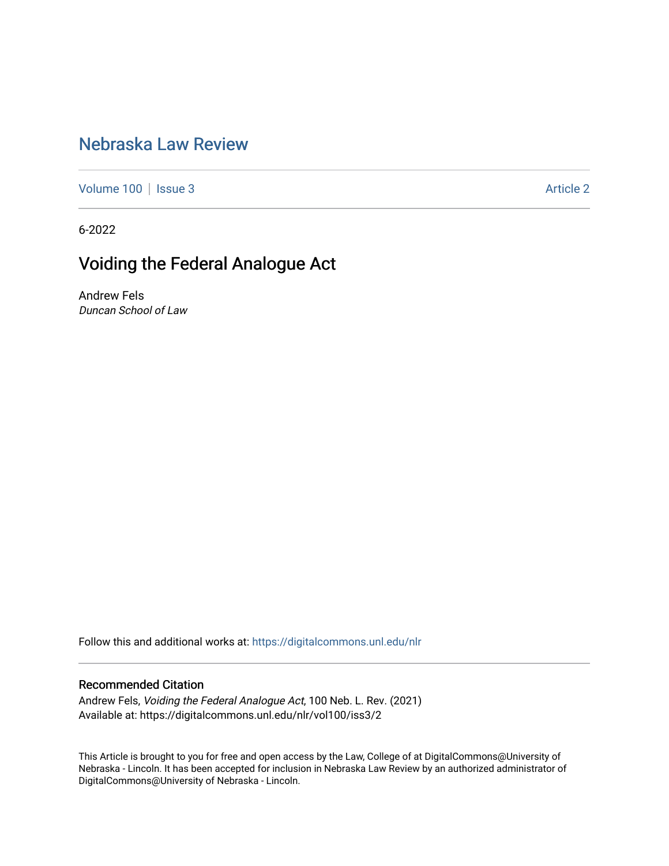## [Nebraska Law Review](https://digitalcommons.unl.edu/nlr)

[Volume 100](https://digitalcommons.unl.edu/nlr/vol100) | [Issue 3](https://digitalcommons.unl.edu/nlr/vol100/iss3) Article 2

6-2022

## Voiding the Federal Analogue Act

Andrew Fels Duncan School of Law

Follow this and additional works at: [https://digitalcommons.unl.edu/nlr](https://digitalcommons.unl.edu/nlr?utm_source=digitalcommons.unl.edu%2Fnlr%2Fvol100%2Fiss3%2F2&utm_medium=PDF&utm_campaign=PDFCoverPages) 

## Recommended Citation

Andrew Fels, Voiding the Federal Analogue Act, 100 Neb. L. Rev. (2021) Available at: https://digitalcommons.unl.edu/nlr/vol100/iss3/2

This Article is brought to you for free and open access by the Law, College of at DigitalCommons@University of Nebraska - Lincoln. It has been accepted for inclusion in Nebraska Law Review by an authorized administrator of DigitalCommons@University of Nebraska - Lincoln.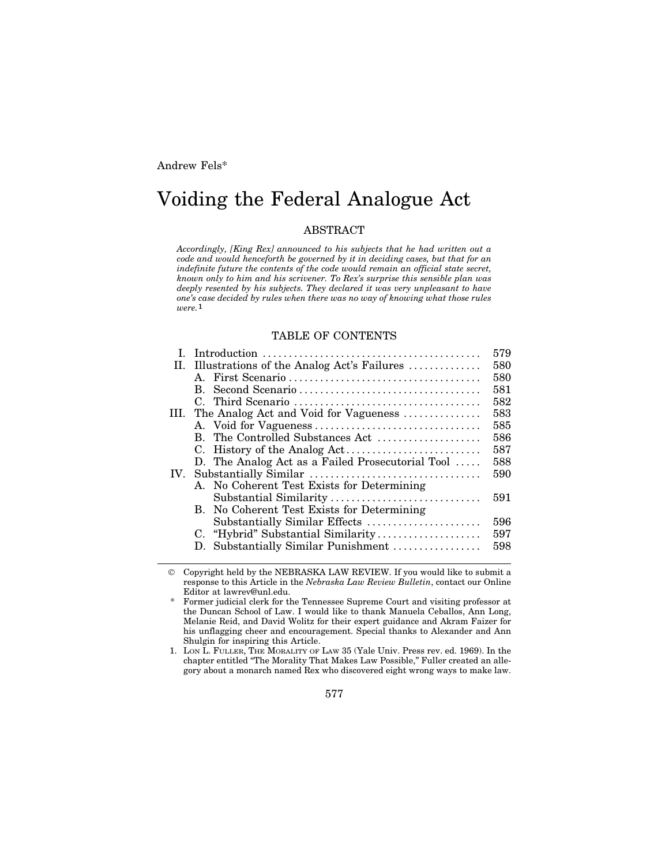Andrew Fels\*

# Voiding the Federal Analogue Act

## ABSTRACT

*Accordingly, [King Rex] announced to his subjects that he had written out a code and would henceforth be governed by it in deciding cases, but that for an indefinite future the contents of the code would remain an official state secret, known only to him and his scrivener. To Rex's surprise this sensible plan was deeply resented by his subjects. They declared it was very unpleasant to have one's case decided by rules when there was no way of knowing what those rules were.*1

#### TABLE OF CONTENTS

|                                                  | 579 |
|--------------------------------------------------|-----|
| II. Illustrations of the Analog Act's Failures   | 580 |
|                                                  | 580 |
|                                                  | 581 |
|                                                  | 582 |
| III. The Analog Act and Void for Vagueness       | 583 |
|                                                  | 585 |
| B. The Controlled Substances Act                 | 586 |
|                                                  | 587 |
| D. The Analog Act as a Failed Prosecutorial Tool | 588 |
|                                                  | 590 |
| A. No Coherent Test Exists for Determining       |     |
| Substantial Similarity                           | 591 |
| B. No Coherent Test Exists for Determining       |     |
| Substantially Similar Effects                    | 596 |
| C. "Hybrid" Substantial Similarity               | 597 |
| D. Substantially Similar Punishment              | 598 |
|                                                  |     |

 Copyright held by the NEBRASKA LAW REVIEW. If you would like to submit a response to this Article in the *Nebraska Law Review Bulletin*, contact our Online Editor at lawrev@unl.edu.

\* Former judicial clerk for the Tennessee Supreme Court and visiting professor at the Duncan School of Law. I would like to thank Manuela Ceballos, Ann Long, Melanie Reid, and David Wolitz for their expert guidance and Akram Faizer for his unflagging cheer and encouragement. Special thanks to Alexander and Ann Shulgin for inspiring this Article.

1. LON L. FULLER, THE MORALITY OF LAW 35 (Yale Univ. Press rev. ed. 1969). In the chapter entitled "The Morality That Makes Law Possible," Fuller created an allegory about a monarch named Rex who discovered eight wrong ways to make law.

577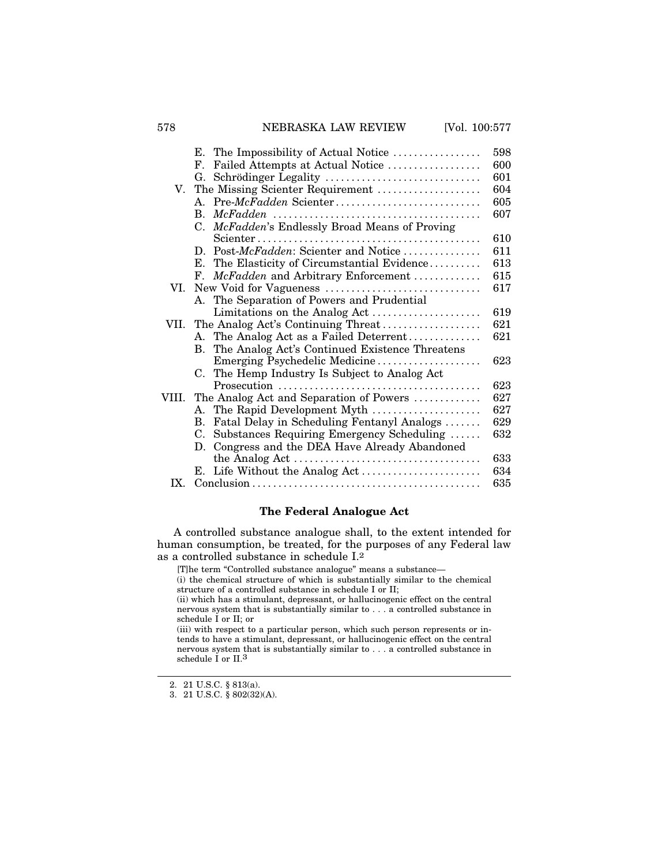## 578 NEBRASKA LAW REVIEW [Vol. 100:577

|       | The Impossibility of Actual Notice<br>Е.                   | 598 |
|-------|------------------------------------------------------------|-----|
|       | Failed Attempts at Actual Notice<br>F.                     | 600 |
|       | Schrödinger Legality<br>G.                                 | 601 |
| V.    | The Missing Scienter Requirement                           | 604 |
|       | A. Pre-McFadden Scienter                                   | 605 |
|       | $\mathbf{B}$ .                                             | 607 |
|       | McFadden's Endlessly Broad Means of Proving<br>$C_{\cdot}$ |     |
|       |                                                            | 610 |
|       | D. Post-McFadden: Scienter and Notice                      | 611 |
|       | The Elasticity of Circumstantial Evidence<br>Е.            | 613 |
|       | McFadden and Arbitrary Enforcement<br>$\mathbf{F}_{\cdot}$ | 615 |
| VI.   |                                                            | 617 |
|       | A. The Separation of Powers and Prudential                 |     |
|       | Limitations on the Analog Act                              | 619 |
| VII.  | The Analog Act's Continuing Threat                         | 621 |
|       | A. The Analog Act as a Failed Deterrent                    | 621 |
|       | B. The Analog Act's Continued Existence Threatens          |     |
|       | Emerging Psychedelic Medicine                              | 623 |
|       | C. The Hemp Industry Is Subject to Analog Act              |     |
|       |                                                            | 623 |
| VIII. | The Analog Act and Separation of Powers                    | 627 |
|       | A. The Rapid Development Myth                              | 627 |
|       | Fatal Delay in Scheduling Fentanyl Analogs<br>В.           | 629 |
|       | Substances Requiring Emergency Scheduling<br>C.            | 632 |
|       | D. Congress and the DEA Have Already Abandoned             |     |
|       |                                                            | 633 |
|       | E.                                                         | 634 |
| IX.   |                                                            | 635 |

## **The Federal Analogue Act**

A controlled substance analogue shall, to the extent intended for human consumption, be treated, for the purposes of any Federal law as a controlled substance in schedule I.2

[T]he term "Controlled substance analogue" means a substance—

(i) the chemical structure of which is substantially similar to the chemical structure of a controlled substance in schedule I or II;

(ii) which has a stimulant, depressant, or hallucinogenic effect on the central nervous system that is substantially similar to . . . a controlled substance in schedule I or II; or

(iii) with respect to a particular person, which such person represents or intends to have a stimulant, depressant, or hallucinogenic effect on the central nervous system that is substantially similar to . . . a controlled substance in schedule I or II.<sup>3</sup>

<sup>2. 21</sup> U.S.C. § 813(a).

<sup>3. 21</sup> U.S.C. § 802(32)(A).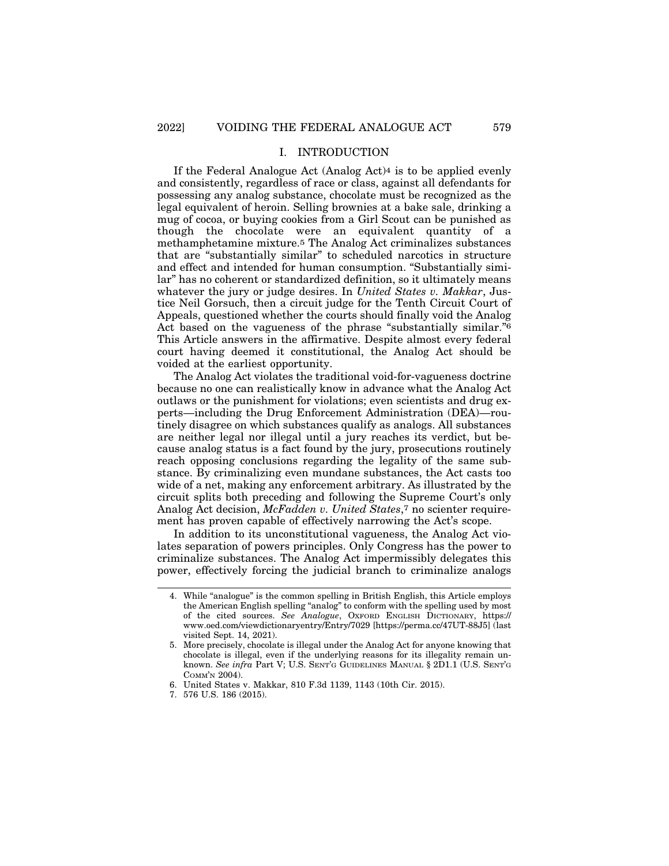## I. INTRODUCTION

If the Federal Analogue Act (Analog Act)4 is to be applied evenly and consistently, regardless of race or class, against all defendants for possessing any analog substance, chocolate must be recognized as the legal equivalent of heroin. Selling brownies at a bake sale, drinking a mug of cocoa, or buying cookies from a Girl Scout can be punished as though the chocolate were an equivalent quantity of a methamphetamine mixture.5 The Analog Act criminalizes substances that are "substantially similar" to scheduled narcotics in structure and effect and intended for human consumption. "Substantially similar" has no coherent or standardized definition, so it ultimately means whatever the jury or judge desires. In *United States v. Makkar*, Justice Neil Gorsuch, then a circuit judge for the Tenth Circuit Court of Appeals, questioned whether the courts should finally void the Analog Act based on the vagueness of the phrase "substantially similar."6 This Article answers in the affirmative. Despite almost every federal court having deemed it constitutional, the Analog Act should be voided at the earliest opportunity.

The Analog Act violates the traditional void-for-vagueness doctrine because no one can realistically know in advance what the Analog Act outlaws or the punishment for violations; even scientists and drug experts—including the Drug Enforcement Administration (DEA)—routinely disagree on which substances qualify as analogs. All substances are neither legal nor illegal until a jury reaches its verdict, but because analog status is a fact found by the jury, prosecutions routinely reach opposing conclusions regarding the legality of the same substance. By criminalizing even mundane substances, the Act casts too wide of a net, making any enforcement arbitrary. As illustrated by the circuit splits both preceding and following the Supreme Court's only Analog Act decision, *McFadden v. United States*,7 no scienter requirement has proven capable of effectively narrowing the Act's scope.

In addition to its unconstitutional vagueness, the Analog Act violates separation of powers principles. Only Congress has the power to criminalize substances. The Analog Act impermissibly delegates this power, effectively forcing the judicial branch to criminalize analogs

<sup>4.</sup> While "analogue" is the common spelling in British English, this Article employs the American English spelling "analog" to conform with the spelling used by most of the cited sources. *See Analogue*, OXFORD ENGLISH DICTIONARY, https:// www.oed.com/viewdictionaryentry/Entry/7029 [https://perma.cc/47UT-88J5] (last visited Sept. 14, 2021).

<sup>5.</sup> More precisely, chocolate is illegal under the Analog Act for anyone knowing that chocolate is illegal, even if the underlying reasons for its illegality remain unknown. *See infra* Part V; U.S. SENT'G GUIDELINES MANUAL § 2D1.1 (U.S. SENT'G COMM'N 2004).

<sup>6.</sup> United States v. Makkar, 810 F.3d 1139, 1143 (10th Cir. 2015).

<sup>7. 576</sup> U.S. 186 (2015).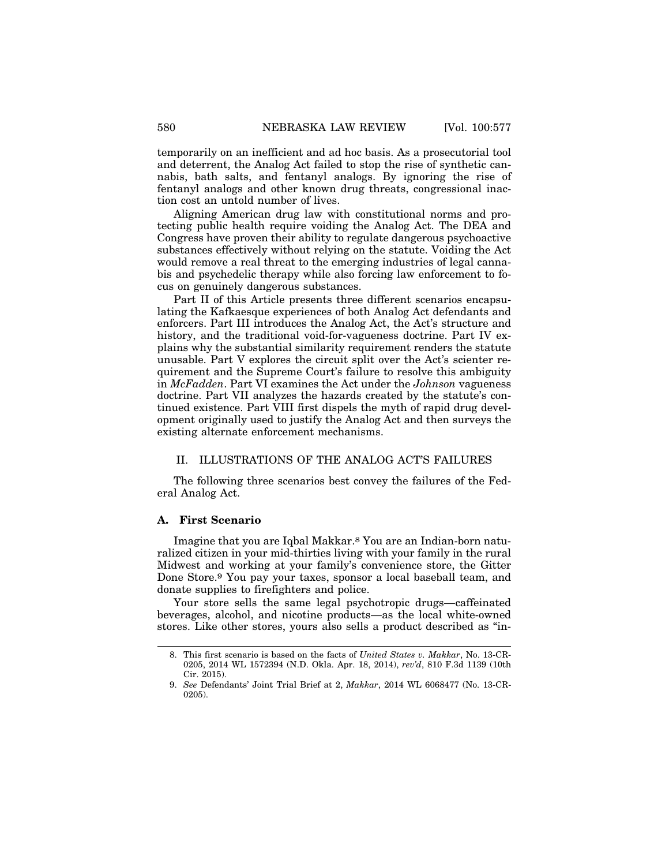temporarily on an inefficient and ad hoc basis. As a prosecutorial tool and deterrent, the Analog Act failed to stop the rise of synthetic cannabis, bath salts, and fentanyl analogs. By ignoring the rise of fentanyl analogs and other known drug threats, congressional inaction cost an untold number of lives.

Aligning American drug law with constitutional norms and protecting public health require voiding the Analog Act. The DEA and Congress have proven their ability to regulate dangerous psychoactive substances effectively without relying on the statute. Voiding the Act would remove a real threat to the emerging industries of legal cannabis and psychedelic therapy while also forcing law enforcement to focus on genuinely dangerous substances.

Part II of this Article presents three different scenarios encapsulating the Kafkaesque experiences of both Analog Act defendants and enforcers. Part III introduces the Analog Act, the Act's structure and history, and the traditional void-for-vagueness doctrine. Part IV explains why the substantial similarity requirement renders the statute unusable. Part V explores the circuit split over the Act's scienter requirement and the Supreme Court's failure to resolve this ambiguity in *McFadden*. Part VI examines the Act under the *Johnson* vagueness doctrine. Part VII analyzes the hazards created by the statute's continued existence. Part VIII first dispels the myth of rapid drug development originally used to justify the Analog Act and then surveys the existing alternate enforcement mechanisms.

## II. ILLUSTRATIONS OF THE ANALOG ACT'S FAILURES

The following three scenarios best convey the failures of the Federal Analog Act.

#### **A. First Scenario**

Imagine that you are Iqbal Makkar.8 You are an Indian-born naturalized citizen in your mid-thirties living with your family in the rural Midwest and working at your family's convenience store, the Gitter Done Store.9 You pay your taxes, sponsor a local baseball team, and donate supplies to firefighters and police.

Your store sells the same legal psychotropic drugs—caffeinated beverages, alcohol, and nicotine products—as the local white-owned stores. Like other stores, yours also sells a product described as "in-

<sup>8.</sup> This first scenario is based on the facts of *United States v. Makkar*, No. 13-CR-0205, 2014 WL 1572394 (N.D. Okla. Apr. 18, 2014), *rev'd*, 810 F.3d 1139 (10th Cir. 2015).

<sup>9.</sup> *See* Defendants' Joint Trial Brief at 2, *Makkar*, 2014 WL 6068477 (No. 13-CR-0205).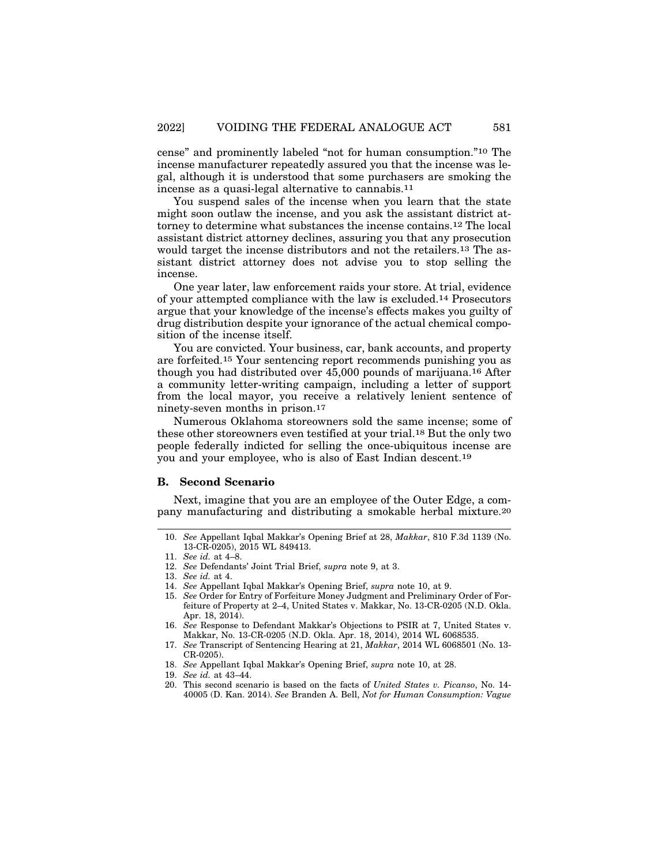cense" and prominently labeled "not for human consumption."10 The incense manufacturer repeatedly assured you that the incense was legal, although it is understood that some purchasers are smoking the incense as a quasi-legal alternative to cannabis.11

You suspend sales of the incense when you learn that the state might soon outlaw the incense, and you ask the assistant district attorney to determine what substances the incense contains.12 The local assistant district attorney declines, assuring you that any prosecution would target the incense distributors and not the retailers.13 The assistant district attorney does not advise you to stop selling the incense.

One year later, law enforcement raids your store. At trial, evidence of your attempted compliance with the law is excluded.14 Prosecutors argue that your knowledge of the incense's effects makes you guilty of drug distribution despite your ignorance of the actual chemical composition of the incense itself.

You are convicted. Your business, car, bank accounts, and property are forfeited.15 Your sentencing report recommends punishing you as though you had distributed over 45,000 pounds of marijuana.16 After a community letter-writing campaign, including a letter of support from the local mayor, you receive a relatively lenient sentence of ninety-seven months in prison.17

Numerous Oklahoma storeowners sold the same incense; some of these other storeowners even testified at your trial.18 But the only two people federally indicted for selling the once-ubiquitous incense are you and your employee, who is also of East Indian descent.19

#### **B. Second Scenario**

Next, imagine that you are an employee of the Outer Edge, a company manufacturing and distributing a smokable herbal mixture.20

<sup>10.</sup> *See* Appellant Iqbal Makkar's Opening Brief at 28, *Makkar*, 810 F.3d 1139 (No. 13-CR-0205), 2015 WL 849413.

<sup>11.</sup> *See id.* at 4–8.

<sup>12.</sup> *See* Defendants' Joint Trial Brief, *supra* note 9, at 3.

<sup>13.</sup> *See id.* at 4.

<sup>14.</sup> *See* Appellant Iqbal Makkar's Opening Brief, *supra* note 10, at 9.

<sup>15.</sup> *See* Order for Entry of Forfeiture Money Judgment and Preliminary Order of Forfeiture of Property at 2–4, United States v. Makkar, No. 13-CR-0205 (N.D. Okla. Apr. 18, 2014).

<sup>16.</sup> *See* Response to Defendant Makkar's Objections to PSIR at 7, United States v. Makkar, No. 13-CR-0205 (N.D. Okla. Apr. 18, 2014), 2014 WL 6068535.

<sup>17.</sup> *See* Transcript of Sentencing Hearing at 21, *Makkar*, 2014 WL 6068501 (No. 13- CR-0205).

<sup>18.</sup> *See* Appellant Iqbal Makkar's Opening Brief, *supra* note 10, at 28.

<sup>19.</sup> *See id.* at 43–44.

<sup>20.</sup> This second scenario is based on the facts of *United States v. Picanso*, No. 14- 40005 (D. Kan. 2014). *See* Branden A. Bell, *Not for Human Consumption: Vague*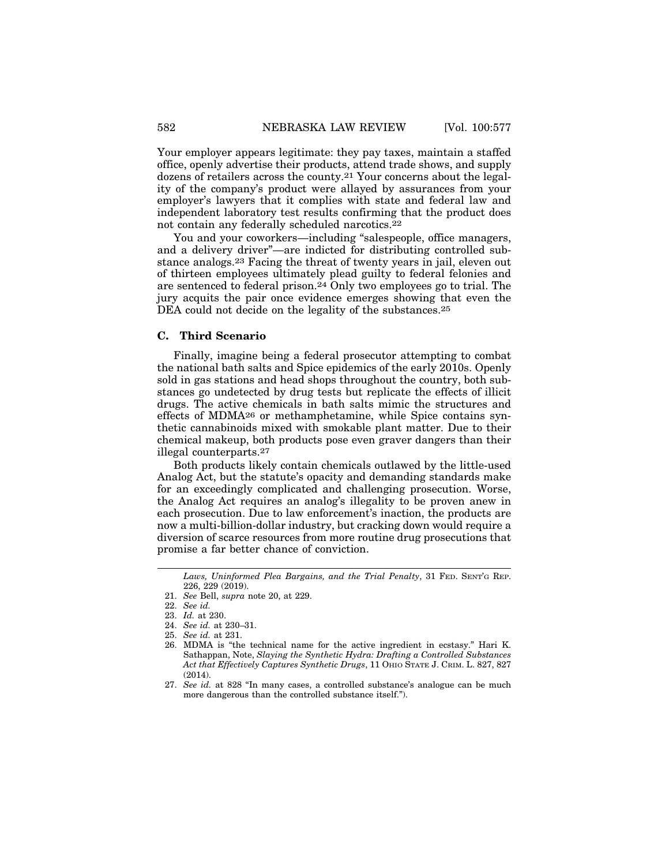Your employer appears legitimate: they pay taxes, maintain a staffed office, openly advertise their products, attend trade shows, and supply dozens of retailers across the county.21 Your concerns about the legality of the company's product were allayed by assurances from your employer's lawyers that it complies with state and federal law and independent laboratory test results confirming that the product does not contain any federally scheduled narcotics.22

You and your coworkers—including "salespeople, office managers, and a delivery driver"—are indicted for distributing controlled substance analogs.23 Facing the threat of twenty years in jail, eleven out of thirteen employees ultimately plead guilty to federal felonies and are sentenced to federal prison.24 Only two employees go to trial. The jury acquits the pair once evidence emerges showing that even the DEA could not decide on the legality of the substances.<sup>25</sup>

## **C. Third Scenario**

Finally, imagine being a federal prosecutor attempting to combat the national bath salts and Spice epidemics of the early 2010s. Openly sold in gas stations and head shops throughout the country, both substances go undetected by drug tests but replicate the effects of illicit drugs. The active chemicals in bath salts mimic the structures and effects of MDMA26 or methamphetamine, while Spice contains synthetic cannabinoids mixed with smokable plant matter. Due to their chemical makeup, both products pose even graver dangers than their illegal counterparts.27

Both products likely contain chemicals outlawed by the little-used Analog Act, but the statute's opacity and demanding standards make for an exceedingly complicated and challenging prosecution. Worse, the Analog Act requires an analog's illegality to be proven anew in each prosecution. Due to law enforcement's inaction, the products are now a multi-billion-dollar industry, but cracking down would require a diversion of scarce resources from more routine drug prosecutions that promise a far better chance of conviction.

*Laws, Uninformed Plea Bargains, and the Trial Penalty*, 31 FED. SENT'G REP. 226, 229 (2019).

<sup>21.</sup> *See* Bell, *supra* note 20, at 229.

<sup>22.</sup> *See id.*

<sup>23.</sup> *Id.* at 230.

<sup>24.</sup> *See id.* at 230–31.

<sup>25.</sup> *See id.* at 231.

<sup>26.</sup> MDMA is "the technical name for the active ingredient in ecstasy." Hari K. Sathappan, Note, *Slaying the Synthetic Hydra: Drafting a Controlled Substances Act that Effectively Captures Synthetic Drugs*, 11 OHIO STATE J. CRIM. L. 827, 827 (2014).

<sup>27.</sup> *See id.* at 828 "In many cases, a controlled substance's analogue can be much more dangerous than the controlled substance itself.").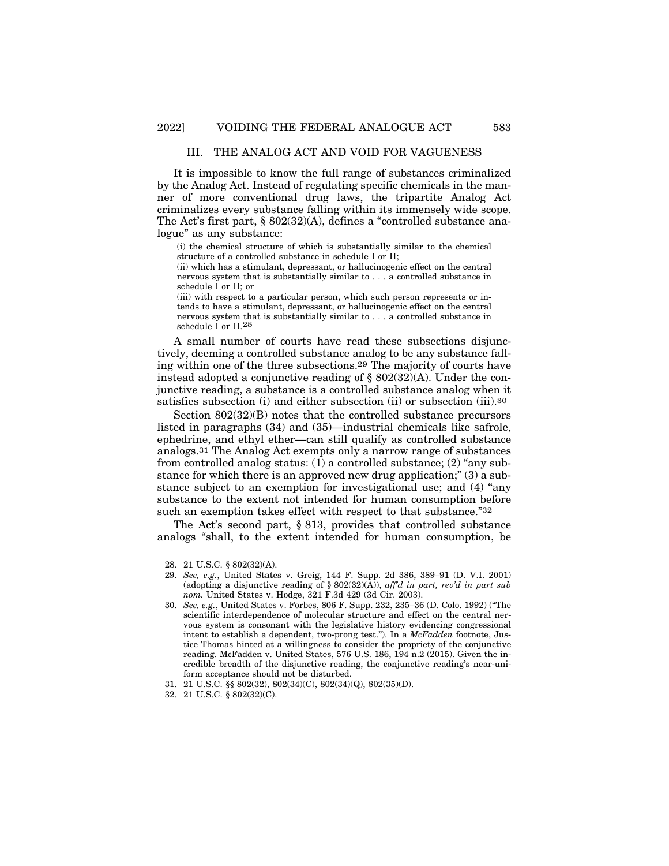#### III. THE ANALOG ACT AND VOID FOR VAGUENESS

It is impossible to know the full range of substances criminalized by the Analog Act. Instead of regulating specific chemicals in the manner of more conventional drug laws, the tripartite Analog Act criminalizes every substance falling within its immensely wide scope. The Act's first part, § 802(32)(A), defines a "controlled substance analogue" as any substance:

(i) the chemical structure of which is substantially similar to the chemical structure of a controlled substance in schedule I or II;

(ii) which has a stimulant, depressant, or hallucinogenic effect on the central nervous system that is substantially similar to . . . a controlled substance in schedule I or II; or

(iii) with respect to a particular person, which such person represents or intends to have a stimulant, depressant, or hallucinogenic effect on the central nervous system that is substantially similar to . . . a controlled substance in schedule I or II.28

A small number of courts have read these subsections disjunctively, deeming a controlled substance analog to be any substance falling within one of the three subsections.29 The majority of courts have instead adopted a conjunctive reading of  $\S$  802(32)(A). Under the conjunctive reading, a substance is a controlled substance analog when it satisfies subsection (i) and either subsection (ii) or subsection (iii).<sup>30</sup>

Section 802(32)(B) notes that the controlled substance precursors listed in paragraphs (34) and (35)—industrial chemicals like safrole, ephedrine, and ethyl ether—can still qualify as controlled substance analogs.31 The Analog Act exempts only a narrow range of substances from controlled analog status: (1) a controlled substance; (2) "any substance for which there is an approved new drug application;" (3) a substance subject to an exemption for investigational use; and (4) "any substance to the extent not intended for human consumption before such an exemption takes effect with respect to that substance."32

The Act's second part, § 813, provides that controlled substance analogs "shall, to the extent intended for human consumption, be

<sup>28. 21</sup> U.S.C. § 802(32)(A).

<sup>29.</sup> *See, e.g.*, United States v. Greig, 144 F. Supp. 2d 386, 389–91 (D. V.I. 2001) (adopting a disjunctive reading of § 802(32)(A)), *aff'd in part, rev'd in part sub nom.* United States v. Hodge, 321 F.3d 429 (3d Cir. 2003).

<sup>30.</sup> *See, e.g.*, United States v. Forbes, 806 F. Supp. 232, 235–36 (D. Colo. 1992) ("The scientific interdependence of molecular structure and effect on the central nervous system is consonant with the legislative history evidencing congressional intent to establish a dependent, two-prong test."). In a *McFadden* footnote, Justice Thomas hinted at a willingness to consider the propriety of the conjunctive reading. McFadden v. United States, 576 U.S. 186, 194 n.2 (2015). Given the incredible breadth of the disjunctive reading, the conjunctive reading's near-uniform acceptance should not be disturbed.

<sup>31. 21</sup> U.S.C. §§ 802(32), 802(34)(C), 802(34)(Q), 802(35)(D).

<sup>32. 21</sup> U.S.C. § 802(32)(C).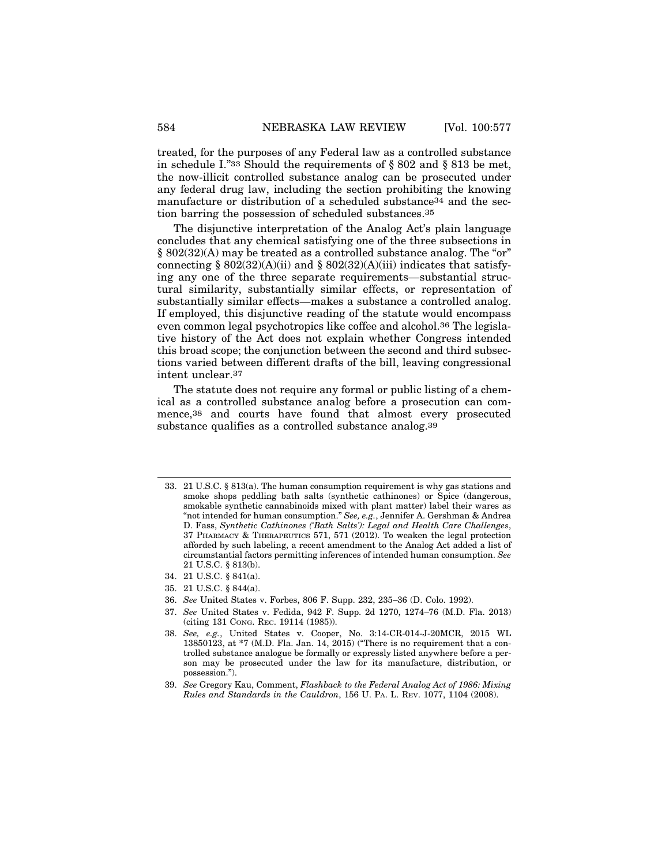treated, for the purposes of any Federal law as a controlled substance in schedule I."33 Should the requirements of § 802 and § 813 be met, the now-illicit controlled substance analog can be prosecuted under any federal drug law, including the section prohibiting the knowing manufacture or distribution of a scheduled substance<sup>34</sup> and the section barring the possession of scheduled substances.35

The disjunctive interpretation of the Analog Act's plain language concludes that any chemical satisfying one of the three subsections in § 802(32)(A) may be treated as a controlled substance analog. The "or" connecting § 802(32)(A)(ii) and § 802(32)(A)(iii) indicates that satisfying any one of the three separate requirements—substantial structural similarity, substantially similar effects, or representation of substantially similar effects—makes a substance a controlled analog. If employed, this disjunctive reading of the statute would encompass even common legal psychotropics like coffee and alcohol.36 The legislative history of the Act does not explain whether Congress intended this broad scope; the conjunction between the second and third subsections varied between different drafts of the bill, leaving congressional intent unclear.37

The statute does not require any formal or public listing of a chemical as a controlled substance analog before a prosecution can commence,38 and courts have found that almost every prosecuted substance qualifies as a controlled substance analog.39

- 34. 21 U.S.C. § 841(a).
- 35. 21 U.S.C. § 844(a).
- 36. *See* United States v. Forbes, 806 F. Supp. 232, 235–36 (D. Colo. 1992).
- 37. *See* United States v. Fedida, 942 F. Supp. 2d 1270, 1274–76 (M.D. Fla. 2013) (citing 131 CONG. REC. 19114 (1985)).

<sup>33. 21</sup> U.S.C. § 813(a). The human consumption requirement is why gas stations and smoke shops peddling bath salts (synthetic cathinones) or Spice (dangerous, smokable synthetic cannabinoids mixed with plant matter) label their wares as "not intended for human consumption." *See, e.g.*, Jennifer A. Gershman & Andrea D. Fass, *Synthetic Cathinones ('Bath Salts'): Legal and Health Care Challenges*, 37 PHARMACY & THERAPEUTICS 571, 571 (2012). To weaken the legal protection afforded by such labeling, a recent amendment to the Analog Act added a list of circumstantial factors permitting inferences of intended human consumption. *See* 21 U.S.C. § 813(b).

<sup>38.</sup> *See, e.g.*, United States v. Cooper, No. 3:14-CR-014-J-20MCR, 2015 WL 13850123, at  $*7$  (M.D. Fla. Jan. 14, 2015) ("There is no requirement that a controlled substance analogue be formally or expressly listed anywhere before a person may be prosecuted under the law for its manufacture, distribution, or possession.").

<sup>39.</sup> *See* Gregory Kau, Comment, *Flashback to the Federal Analog Act of 1986: Mixing Rules and Standards in the Cauldron*, 156 U. PA. L. REV. 1077, 1104 (2008).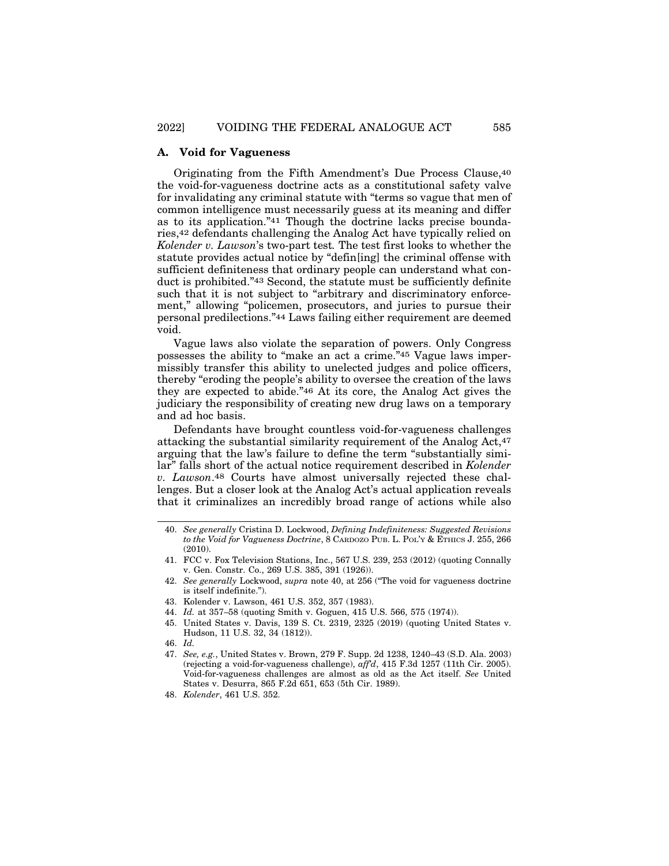#### **A. Void for Vagueness**

Originating from the Fifth Amendment's Due Process Clause,40 the void-for-vagueness doctrine acts as a constitutional safety valve for invalidating any criminal statute with "terms so vague that men of common intelligence must necessarily guess at its meaning and differ as to its application."41 Though the doctrine lacks precise boundaries,42 defendants challenging the Analog Act have typically relied on *Kolender v. Lawson*'s two-part test*.* The test first looks to whether the statute provides actual notice by "defin[ing] the criminal offense with sufficient definiteness that ordinary people can understand what conduct is prohibited."43 Second, the statute must be sufficiently definite such that it is not subject to "arbitrary and discriminatory enforcement," allowing "policemen, prosecutors, and juries to pursue their personal predilections."44 Laws failing either requirement are deemed void.

Vague laws also violate the separation of powers. Only Congress possesses the ability to "make an act a crime."45 Vague laws impermissibly transfer this ability to unelected judges and police officers, thereby "eroding the people's ability to oversee the creation of the laws they are expected to abide."46 At its core, the Analog Act gives the judiciary the responsibility of creating new drug laws on a temporary and ad hoc basis.

Defendants have brought countless void-for-vagueness challenges attacking the substantial similarity requirement of the Analog Act,47 arguing that the law's failure to define the term "substantially similar" falls short of the actual notice requirement described in *Kolender v. Lawson*.48 Courts have almost universally rejected these challenges. But a closer look at the Analog Act's actual application reveals that it criminalizes an incredibly broad range of actions while also

- 43. Kolender v. Lawson, 461 U.S. 352, 357 (1983).
- 44. *Id.* at 357–58 (quoting Smith v. Goguen, 415 U.S. 566, 575 (1974)).
- 45. United States v. Davis, 139 S. Ct. 2319, 2325 (2019) (quoting United States v. Hudson, 11 U.S. 32, 34 (1812)).
- 46. *Id.*
- 47. *See, e.g.*, United States v. Brown, 279 F. Supp. 2d 1238, 1240–43 (S.D. Ala. 2003) (rejecting a void-for-vagueness challenge), *aff'd*, 415 F.3d 1257 (11th Cir. 2005). Void-for-vagueness challenges are almost as old as the Act itself. *See* United States v. Desurra, 865 F.2d 651, 653 (5th Cir. 1989).

<sup>40.</sup> *See generally* Cristina D. Lockwood, *Defining Indefiniteness: Suggested Revisions to the Void for Vagueness Doctrine*, 8 CARDOZO PUB. L. POL'Y & ETHICS J. 255, 266 (2010).

<sup>41.</sup> FCC v. Fox Television Stations, Inc., 567 U.S. 239, 253 (2012) (quoting Connally v. Gen. Constr. Co., 269 U.S. 385, 391 (1926)).

<sup>42.</sup> *See generally* Lockwood, *supra* note 40, at 256 ("The void for vagueness doctrine is itself indefinite.").

<sup>48.</sup> *Kolender*, 461 U.S. 352.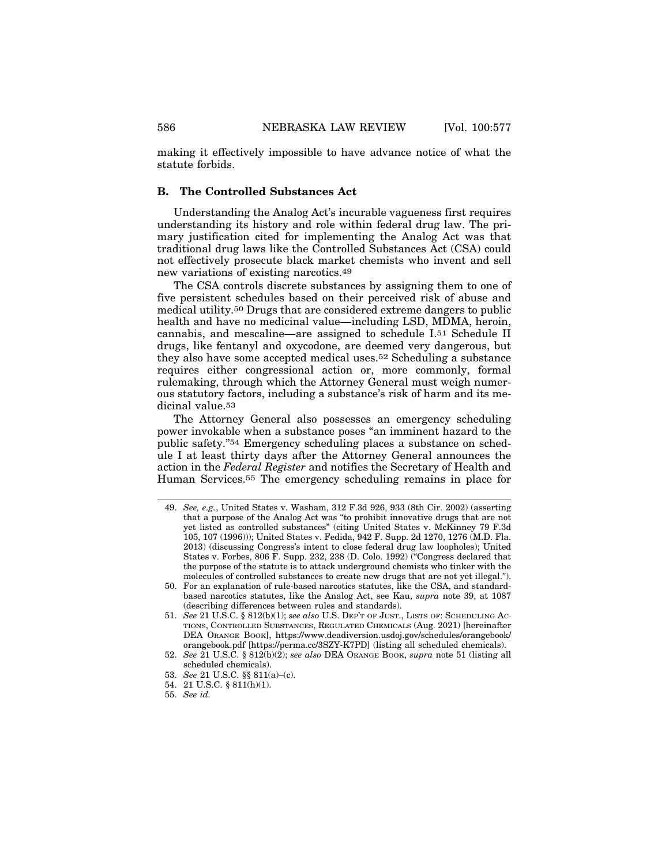making it effectively impossible to have advance notice of what the statute forbids.

## **B. The Controlled Substances Act**

Understanding the Analog Act's incurable vagueness first requires understanding its history and role within federal drug law. The primary justification cited for implementing the Analog Act was that traditional drug laws like the Controlled Substances Act (CSA) could not effectively prosecute black market chemists who invent and sell new variations of existing narcotics.49

The CSA controls discrete substances by assigning them to one of five persistent schedules based on their perceived risk of abuse and medical utility.50 Drugs that are considered extreme dangers to public health and have no medicinal value—including LSD, MDMA, heroin, cannabis, and mescaline—are assigned to schedule I.51 Schedule II drugs, like fentanyl and oxycodone, are deemed very dangerous, but they also have some accepted medical uses.52 Scheduling a substance requires either congressional action or, more commonly, formal rulemaking, through which the Attorney General must weigh numerous statutory factors, including a substance's risk of harm and its medicinal value.53

The Attorney General also possesses an emergency scheduling power invokable when a substance poses "an imminent hazard to the public safety."54 Emergency scheduling places a substance on schedule I at least thirty days after the Attorney General announces the action in the *Federal Register* and notifies the Secretary of Health and Human Services.55 The emergency scheduling remains in place for

<sup>49.</sup> *See, e.g.*, United States v. Washam, 312 F.3d 926, 933 (8th Cir. 2002) (asserting that a purpose of the Analog Act was "to prohibit innovative drugs that are not yet listed as controlled substances" (citing United States v. McKinney 79 F.3d 105, 107 (1996))); United States v. Fedida, 942 F. Supp. 2d 1270, 1276 (M.D. Fla. 2013) (discussing Congress's intent to close federal drug law loopholes); United States v. Forbes, 806 F. Supp. 232, 238 (D. Colo. 1992) ("Congress declared that the purpose of the statute is to attack underground chemists who tinker with the molecules of controlled substances to create new drugs that are not yet illegal.").

<sup>50.</sup> For an explanation of rule-based narcotics statutes, like the CSA, and standardbased narcotics statutes, like the Analog Act, see Kau, *supra* note 39, at 1087 (describing differences between rules and standards).

<sup>51.</sup> *See* 21 U.S.C. § 812(b)(1); *see also* U.S. DEP'T OF JUST., LISTS OF: SCHEDULING AC-TIONS, CONTROLLED SUBSTANCES, REGULATED CHEMICALS (Aug. 2021) [hereinafter DEA ORANGE BOOK], https://www.deadiversion.usdoj.gov/schedules/orangebook/ orangebook.pdf [https://perma.cc/3SZY-K7PD] (listing all scheduled chemicals).

<sup>52.</sup> *See* 21 U.S.C. § 812(b)(2); *see also* DEA ORANGE BOOK, *supra* note 51 (listing all scheduled chemicals).

<sup>53.</sup> *See* 21 U.S.C. §§ 811(a)–(c).

<sup>54. 21</sup> U.S.C. § 811(h)(1).

<sup>55.</sup> *See id.*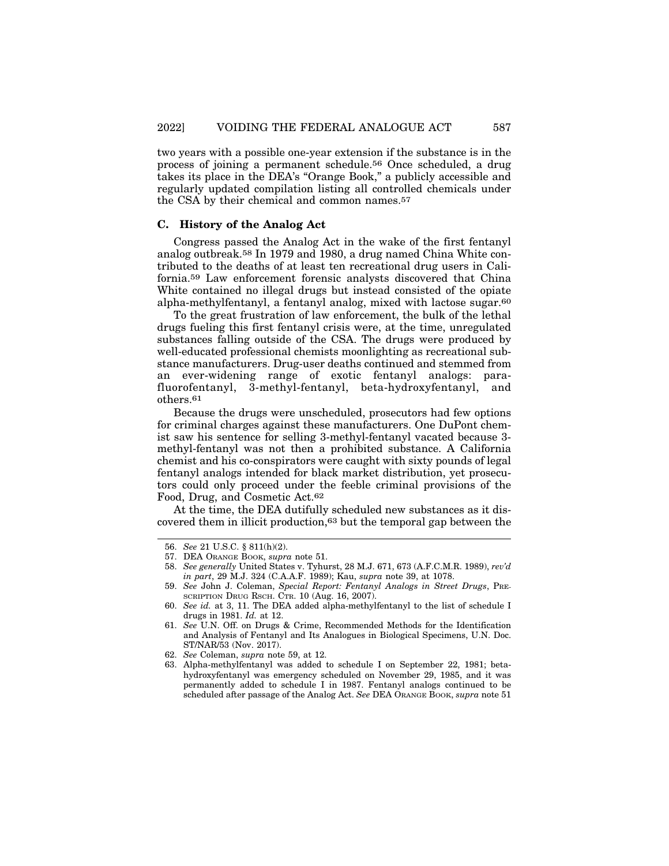two years with a possible one-year extension if the substance is in the process of joining a permanent schedule.56 Once scheduled, a drug takes its place in the DEA's "Orange Book," a publicly accessible and regularly updated compilation listing all controlled chemicals under the CSA by their chemical and common names.57

#### **C. History of the Analog Act**

Congress passed the Analog Act in the wake of the first fentanyl analog outbreak.58 In 1979 and 1980, a drug named China White contributed to the deaths of at least ten recreational drug users in California.59 Law enforcement forensic analysts discovered that China White contained no illegal drugs but instead consisted of the opiate alpha-methylfentanyl, a fentanyl analog, mixed with lactose sugar.60

To the great frustration of law enforcement, the bulk of the lethal drugs fueling this first fentanyl crisis were, at the time, unregulated substances falling outside of the CSA. The drugs were produced by well-educated professional chemists moonlighting as recreational substance manufacturers. Drug-user deaths continued and stemmed from an ever-widening range of exotic fentanyl analogs: parafluorofentanyl, 3-methyl-fentanyl, beta-hydroxyfentanyl, and others.61

Because the drugs were unscheduled, prosecutors had few options for criminal charges against these manufacturers. One DuPont chemist saw his sentence for selling 3-methyl-fentanyl vacated because 3 methyl-fentanyl was not then a prohibited substance. A California chemist and his co-conspirators were caught with sixty pounds of legal fentanyl analogs intended for black market distribution, yet prosecutors could only proceed under the feeble criminal provisions of the Food, Drug, and Cosmetic Act.62

At the time, the DEA dutifully scheduled new substances as it discovered them in illicit production,63 but the temporal gap between the

<sup>56.</sup> *See* 21 U.S.C. § 811(h)(2).

<sup>57.</sup> DEA ORANGE BOOK, *supra* note 51.

<sup>58.</sup> *See generally* United States v. Tyhurst, 28 M.J. 671, 673 (A.F.C.M.R. 1989), *rev'd in part*, 29 M.J. 324 (C.A.A.F. 1989); Kau, *supra* note 39, at 1078.

<sup>59.</sup> *See* John J. Coleman, *Special Report: Fentanyl Analogs in Street Drugs*, PRE-SCRIPTION DRUG RSCH. CTR. 10 (Aug. 16, 2007).

<sup>60.</sup> *See id.* at 3, 11. The DEA added alpha-methylfentanyl to the list of schedule I drugs in 1981. *Id.* at 12.

<sup>61.</sup> *See* U.N. Off. on Drugs & Crime, Recommended Methods for the Identification and Analysis of Fentanyl and Its Analogues in Biological Specimens, U.N. Doc. ST/NAR/53 (Nov. 2017).

<sup>62.</sup> *See* Coleman, *supra* note 59, at 12.

<sup>63.</sup> Alpha-methylfentanyl was added to schedule I on September 22, 1981; betahydroxyfentanyl was emergency scheduled on November 29, 1985, and it was permanently added to schedule I in 1987. Fentanyl analogs continued to be scheduled after passage of the Analog Act. *See* DEA ORANGE BOOK, *supra* note 51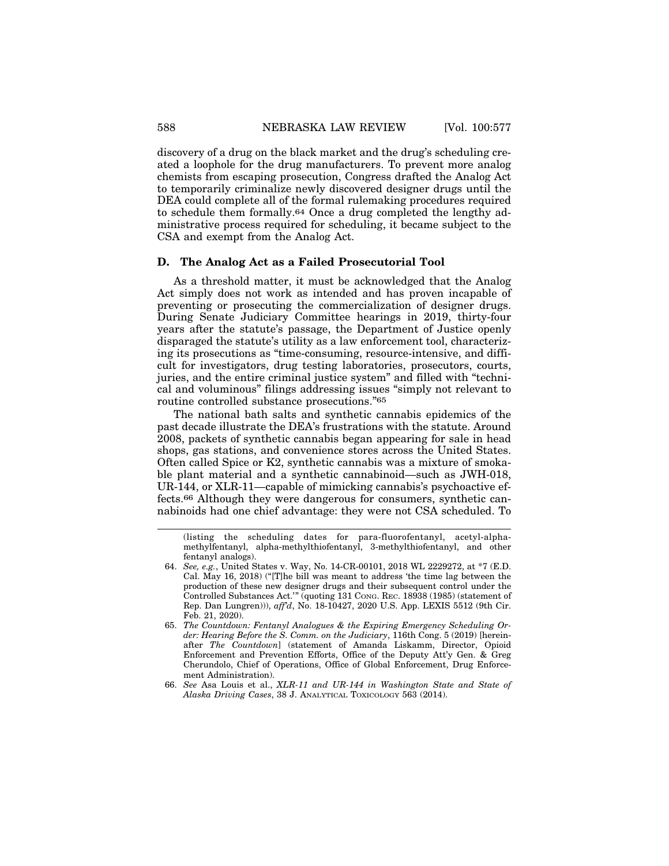discovery of a drug on the black market and the drug's scheduling created a loophole for the drug manufacturers. To prevent more analog chemists from escaping prosecution, Congress drafted the Analog Act to temporarily criminalize newly discovered designer drugs until the DEA could complete all of the formal rulemaking procedures required to schedule them formally.64 Once a drug completed the lengthy administrative process required for scheduling, it became subject to the CSA and exempt from the Analog Act.

#### **D. The Analog Act as a Failed Prosecutorial Tool**

As a threshold matter, it must be acknowledged that the Analog Act simply does not work as intended and has proven incapable of preventing or prosecuting the commercialization of designer drugs. During Senate Judiciary Committee hearings in 2019, thirty-four years after the statute's passage, the Department of Justice openly disparaged the statute's utility as a law enforcement tool, characterizing its prosecutions as "time-consuming, resource-intensive, and difficult for investigators, drug testing laboratories, prosecutors, courts, juries, and the entire criminal justice system" and filled with "technical and voluminous" filings addressing issues "simply not relevant to routine controlled substance prosecutions."65

The national bath salts and synthetic cannabis epidemics of the past decade illustrate the DEA's frustrations with the statute. Around 2008, packets of synthetic cannabis began appearing for sale in head shops, gas stations, and convenience stores across the United States. Often called Spice or K2, synthetic cannabis was a mixture of smokable plant material and a synthetic cannabinoid—such as JWH-018, UR-144, or XLR-11—capable of mimicking cannabis's psychoactive effects.66 Although they were dangerous for consumers, synthetic cannabinoids had one chief advantage: they were not CSA scheduled. To

<sup>(</sup>listing the scheduling dates for para-fluorofentanyl, acetyl-alphamethylfentanyl, alpha-methylthiofentanyl, 3-methylthiofentanyl, and other fentanyl analogs).

<sup>64.</sup> *See, e.g.*, United States v. Way, No. 14-CR-00101, 2018 WL 2229272, at \*7 (E.D. Cal. May 16, 2018) ("[T]he bill was meant to address 'the time lag between the production of these new designer drugs and their subsequent control under the Controlled Substances Act.'" (quoting 131 CONG. REC. 18938 (1985) (statement of Rep. Dan Lungren))), *aff'd*, No. 18-10427, 2020 U.S. App. LEXIS 5512 (9th Cir. Feb. 21, 2020).

<sup>65.</sup> *The Countdown: Fentanyl Analogues & the Expiring Emergency Scheduling Order: Hearing Before the S. Comm. on the Judiciary*, 116th Cong. 5 (2019) [hereinafter *The Countdown*] (statement of Amanda Liskamm, Director, Opioid Enforcement and Prevention Efforts, Office of the Deputy Att'y Gen. & Greg Cherundolo, Chief of Operations, Office of Global Enforcement, Drug Enforcement Administration).

<sup>66.</sup> *See* Asa Louis et al., *XLR-11 and UR-144 in Washington State and State of Alaska Driving Cases*, 38 J. ANALYTICAL TOXICOLOGY 563 (2014).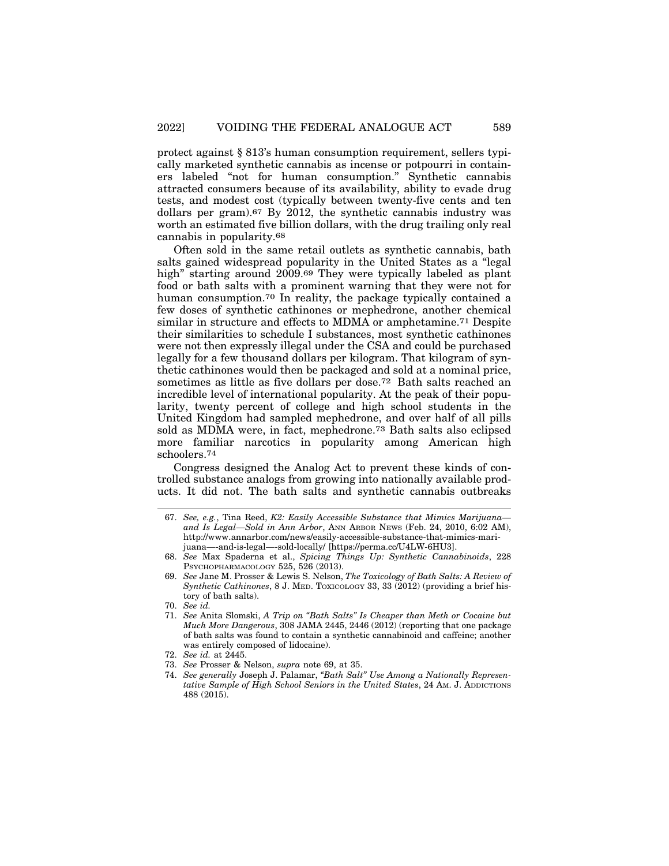protect against § 813's human consumption requirement, sellers typically marketed synthetic cannabis as incense or potpourri in containers labeled "not for human consumption." Synthetic cannabis attracted consumers because of its availability, ability to evade drug tests, and modest cost (typically between twenty-five cents and ten dollars per gram).67 By 2012, the synthetic cannabis industry was worth an estimated five billion dollars, with the drug trailing only real cannabis in popularity.68

Often sold in the same retail outlets as synthetic cannabis, bath salts gained widespread popularity in the United States as a "legal high" starting around 2009.69 They were typically labeled as plant food or bath salts with a prominent warning that they were not for human consumption.70 In reality, the package typically contained a few doses of synthetic cathinones or mephedrone, another chemical similar in structure and effects to MDMA or amphetamine.71 Despite their similarities to schedule I substances, most synthetic cathinones were not then expressly illegal under the CSA and could be purchased legally for a few thousand dollars per kilogram. That kilogram of synthetic cathinones would then be packaged and sold at a nominal price, sometimes as little as five dollars per dose.72 Bath salts reached an incredible level of international popularity. At the peak of their popularity, twenty percent of college and high school students in the United Kingdom had sampled mephedrone, and over half of all pills sold as MDMA were, in fact, mephedrone.73 Bath salts also eclipsed more familiar narcotics in popularity among American high schoolers.74

Congress designed the Analog Act to prevent these kinds of controlled substance analogs from growing into nationally available products. It did not. The bath salts and synthetic cannabis outbreaks

<sup>67.</sup> *See, e.g.*, Tina Reed, *K2: Easily Accessible Substance that Mimics Marijuana and Is Legal—Sold in Ann Arbor*, ANN ARBOR NEWS (Feb. 24, 2010, 6:02 AM), http://www.annarbor.com/news/easily-accessible-substance-that-mimics-marijuana—-and-is-legal—-sold-locally/ [https://perma.cc/U4LW-6HU3].

<sup>68.</sup> *See* Max Spaderna et al., *Spicing Things Up: Synthetic Cannabinoids*, 228 PSYCHOPHARMACOLOGY 525, 526 (2013).

<sup>69.</sup> *See* Jane M. Prosser & Lewis S. Nelson, *The Toxicology of Bath Salts: A Review of Synthetic Cathinones*, 8 J. MED. TOXICOLOGY 33, 33 (2012) (providing a brief history of bath salts).

<sup>70.</sup> *See id.*

<sup>71.</sup> *See* Anita Slomski, *A Trip on "Bath Salts" Is Cheaper than Meth or Cocaine but Much More Dangerous*, 308 JAMA 2445, 2446 (2012) (reporting that one package of bath salts was found to contain a synthetic cannabinoid and caffeine; another was entirely composed of lidocaine).

<sup>72.</sup> *See id.* at 2445.

<sup>73.</sup> *See* Prosser & Nelson, *supra* note 69, at 35.

<sup>74.</sup> *See generally* Joseph J. Palamar, *"Bath Salt" Use Among a Nationally Representative Sample of High School Seniors in the United States*, 24 AM. J. ADDICTIONS 488 (2015).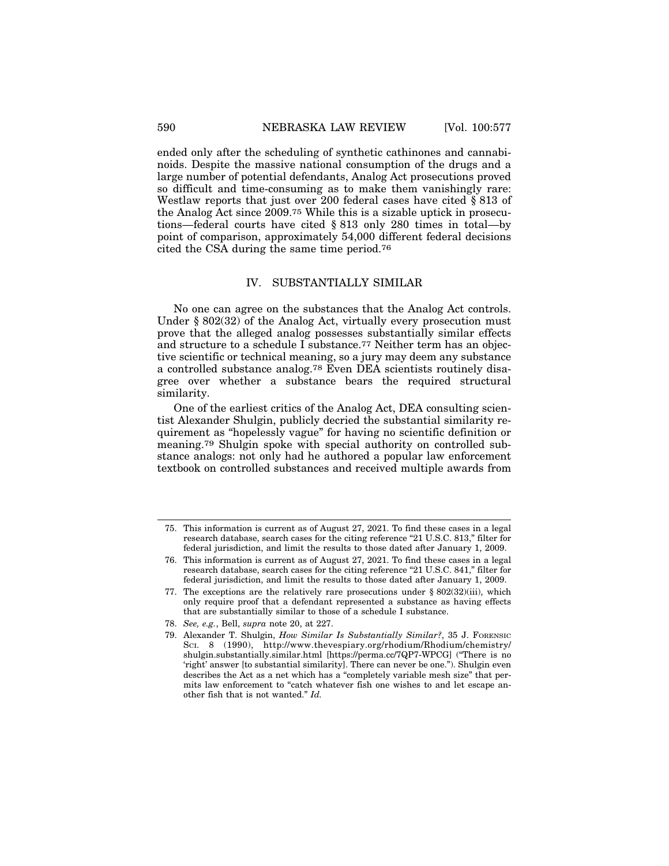ended only after the scheduling of synthetic cathinones and cannabinoids. Despite the massive national consumption of the drugs and a large number of potential defendants, Analog Act prosecutions proved so difficult and time-consuming as to make them vanishingly rare: Westlaw reports that just over 200 federal cases have cited § 813 of the Analog Act since 2009.75 While this is a sizable uptick in prosecutions—federal courts have cited § 813 only 280 times in total—by point of comparison, approximately 54,000 different federal decisions cited the CSA during the same time period.76

## IV. SUBSTANTIALLY SIMILAR

No one can agree on the substances that the Analog Act controls. Under § 802(32) of the Analog Act, virtually every prosecution must prove that the alleged analog possesses substantially similar effects and structure to a schedule I substance.77 Neither term has an objective scientific or technical meaning, so a jury may deem any substance a controlled substance analog.78 Even DEA scientists routinely disagree over whether a substance bears the required structural similarity.

One of the earliest critics of the Analog Act, DEA consulting scientist Alexander Shulgin, publicly decried the substantial similarity requirement as "hopelessly vague" for having no scientific definition or meaning.79 Shulgin spoke with special authority on controlled substance analogs: not only had he authored a popular law enforcement textbook on controlled substances and received multiple awards from

<sup>75.</sup> This information is current as of August 27, 2021. To find these cases in a legal research database, search cases for the citing reference "21 U.S.C. 813," filter for federal jurisdiction, and limit the results to those dated after January 1, 2009.

<sup>76.</sup> This information is current as of August 27, 2021. To find these cases in a legal research database, search cases for the citing reference "21 U.S.C. 841," filter for federal jurisdiction, and limit the results to those dated after January 1, 2009.

<sup>77.</sup> The exceptions are the relatively rare prosecutions under  $\S 802(32)(iii)$ , which only require proof that a defendant represented a substance as having effects that are substantially similar to those of a schedule I substance.

<sup>78.</sup> *See, e.g.*, Bell, *supra* note 20, at 227.

<sup>79.</sup> Alexander T. Shulgin, *How Similar Is Substantially Similar?*, 35 J. FORENSIC SCI. 8 (1990), http://www.thevespiary.org/rhodium/Rhodium/chemistry/ shulgin.substantially.similar.html [https://perma.cc/7QP7-WPCG] ("There is no 'right' answer [to substantial similarity]. There can never be one."). Shulgin even describes the Act as a net which has a "completely variable mesh size" that permits law enforcement to "catch whatever fish one wishes to and let escape another fish that is not wanted." *Id.*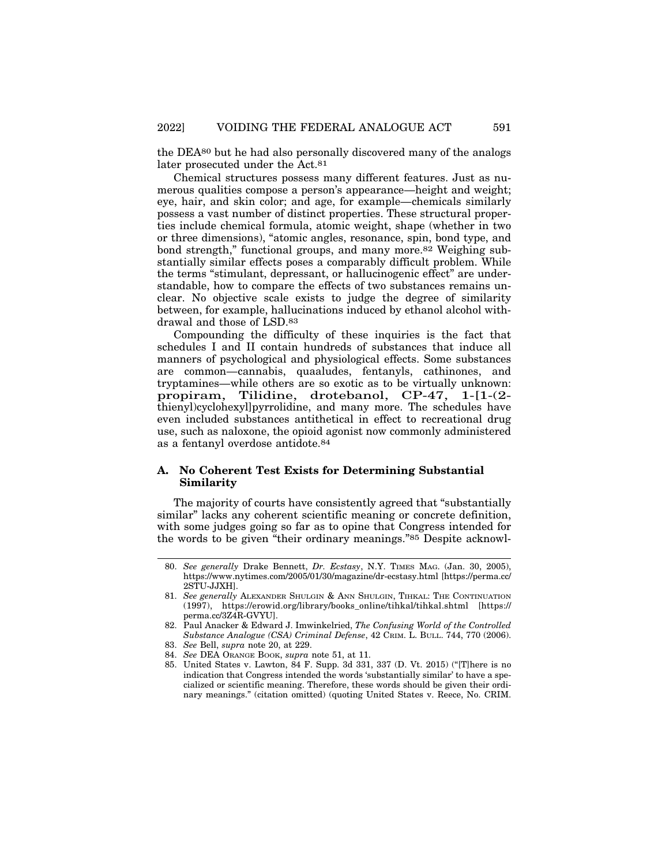the DEA80 but he had also personally discovered many of the analogs later prosecuted under the Act.81

Chemical structures possess many different features. Just as numerous qualities compose a person's appearance—height and weight; eye, hair, and skin color; and age, for example—chemicals similarly possess a vast number of distinct properties. These structural properties include chemical formula, atomic weight, shape (whether in two or three dimensions), "atomic angles, resonance, spin, bond type, and bond strength," functional groups, and many more.82 Weighing substantially similar effects poses a comparably difficult problem. While the terms "stimulant, depressant, or hallucinogenic effect" are understandable, how to compare the effects of two substances remains unclear. No objective scale exists to judge the degree of similarity between, for example, hallucinations induced by ethanol alcohol withdrawal and those of LSD.83

Compounding the difficulty of these inquiries is the fact that schedules I and II contain hundreds of substances that induce all manners of psychological and physiological effects. Some substances are common—cannabis, quaaludes, fentanyls, cathinones, and tryptamines—while others are so exotic as to be virtually unknown: propiram, Tilidine, drotebanol, CP-47, 1-[1-(2 thienyl)cyclohexyl]pyrrolidine, and many more. The schedules have even included substances antithetical in effect to recreational drug use, such as naloxone, the opioid agonist now commonly administered as a fentanyl overdose antidote.84

## **A. No Coherent Test Exists for Determining Substantial Similarity**

The majority of courts have consistently agreed that "substantially similar" lacks any coherent scientific meaning or concrete definition, with some judges going so far as to opine that Congress intended for the words to be given "their ordinary meanings."85 Despite acknowl-

- 84. *See* DEA ORANGE BOOK, *supra* note 51, at 11.
- 85. United States v. Lawton, 84 F. Supp. 3d 331, 337 (D. Vt. 2015) ("[T]here is no indication that Congress intended the words 'substantially similar' to have a specialized or scientific meaning. Therefore, these words should be given their ordinary meanings." (citation omitted) (quoting United States v. Reece, No. CRIM.

<sup>80.</sup> *See generally* Drake Bennett, *Dr. Ecstasy*, N.Y. TIMES MAG. (Jan. 30, 2005), https://www.nytimes.com/2005/01/30/magazine/dr-ecstasy.html [https://perma.cc/ 2STU-JJXH].

<sup>81.</sup> *See generally* ALEXANDER SHULGIN & ANN SHULGIN, TIHKAL: THE CONTINUATION (1997), https://erowid.org/library/books\_online/tihkal/tihkal.shtml [https:// perma.cc/3Z4R-GVYU].

<sup>82.</sup> Paul Anacker & Edward J. Imwinkelried, *The Confusing World of the Controlled Substance Analogue (CSA) Criminal Defense*, 42 CRIM. L. BULL. 744, 770 (2006).

<sup>83.</sup> *See* Bell, *supra* note 20, at 229.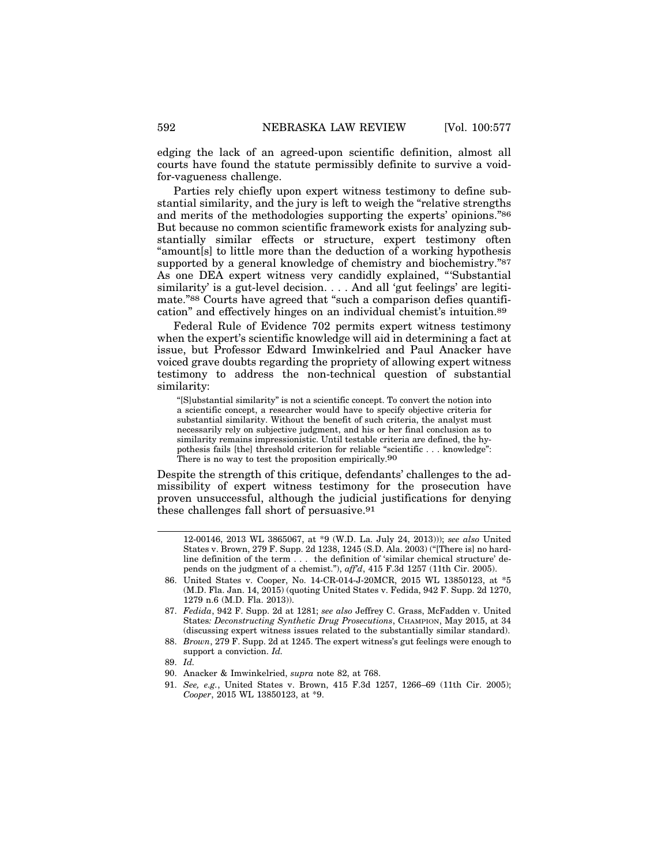edging the lack of an agreed-upon scientific definition, almost all courts have found the statute permissibly definite to survive a voidfor-vagueness challenge.

Parties rely chiefly upon expert witness testimony to define substantial similarity, and the jury is left to weigh the "relative strengths and merits of the methodologies supporting the experts' opinions."86 But because no common scientific framework exists for analyzing substantially similar effects or structure, expert testimony often "amount[s] to little more than the deduction of a working hypothesis supported by a general knowledge of chemistry and biochemistry."87 As one DEA expert witness very candidly explained, "'Substantial similarity' is a gut-level decision. . . . And all 'gut feelings' are legitimate."88 Courts have agreed that "such a comparison defies quantification" and effectively hinges on an individual chemist's intuition.89

Federal Rule of Evidence 702 permits expert witness testimony when the expert's scientific knowledge will aid in determining a fact at issue, but Professor Edward Imwinkelried and Paul Anacker have voiced grave doubts regarding the propriety of allowing expert witness testimony to address the non-technical question of substantial similarity:

"[S]ubstantial similarity" is not a scientific concept. To convert the notion into a scientific concept, a researcher would have to specify objective criteria for substantial similarity. Without the benefit of such criteria, the analyst must necessarily rely on subjective judgment, and his or her final conclusion as to similarity remains impressionistic. Until testable criteria are defined, the hypothesis fails [the] threshold criterion for reliable "scientific . . . knowledge": There is no way to test the proposition empirically.<sup>90</sup>

Despite the strength of this critique, defendants' challenges to the admissibility of expert witness testimony for the prosecution have proven unsuccessful, although the judicial justifications for denying these challenges fall short of persuasive.91

- 90. Anacker & Imwinkelried, *supra* note 82, at 768.
- 91. *See, e.g.*, United States v. Brown, 415 F.3d 1257, 1266–69 (11th Cir. 2005); *Cooper*, 2015 WL 13850123, at \*9.

<sup>12-00146, 2013</sup> WL 3865067, at \*9 (W.D. La. July 24, 2013))); *see also* United States v. Brown, 279 F. Supp. 2d 1238, 1245 (S.D. Ala. 2003) ("[There is] no hardline definition of the term . . . the definition of 'similar chemical structure' depends on the judgment of a chemist."), *aff'd*, 415 F.3d 1257 (11th Cir. 2005).

<sup>86.</sup> United States v. Cooper, No. 14-CR-014-J-20MCR, 2015 WL 13850123, at \*5 (M.D. Fla. Jan. 14, 2015) (quoting United States v. Fedida, 942 F. Supp. 2d 1270, 1279 n.6 (M.D. Fla. 2013)).

<sup>87.</sup> *Fedida*, 942 F. Supp. 2d at 1281; *see also* Jeffrey C. Grass, McFadden v. United States*: Deconstructing Synthetic Drug Prosecutions*, CHAMPION, May 2015, at 34 (discussing expert witness issues related to the substantially similar standard).

<sup>88.</sup> *Brown*, 279 F. Supp. 2d at 1245. The expert witness's gut feelings were enough to support a conviction. *Id.*

<sup>89.</sup> *Id.*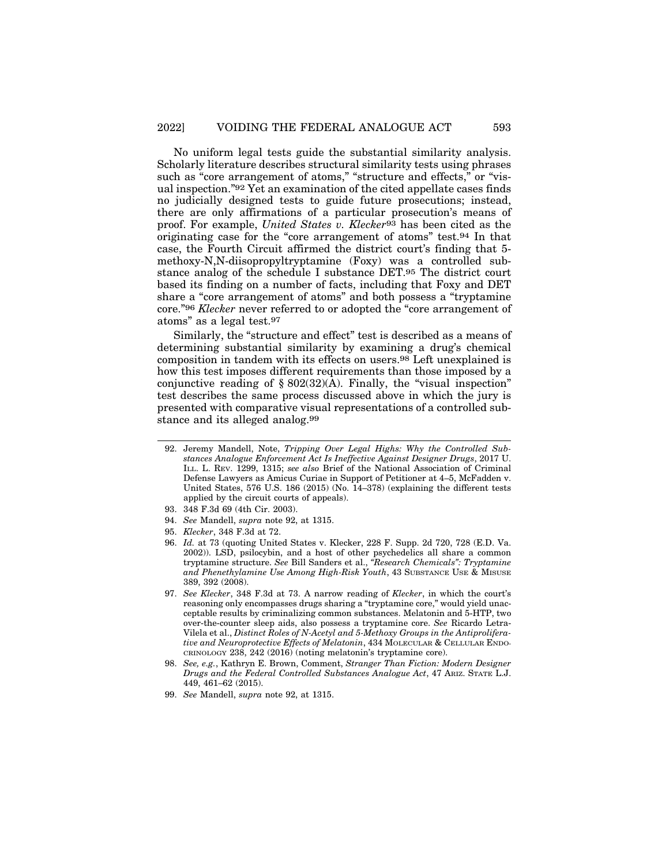No uniform legal tests guide the substantial similarity analysis. Scholarly literature describes structural similarity tests using phrases such as "core arrangement of atoms," "structure and effects," or "visual inspection."92 Yet an examination of the cited appellate cases finds no judicially designed tests to guide future prosecutions; instead, there are only affirmations of a particular prosecution's means of proof. For example, *United States v. Klecker*93 has been cited as the originating case for the "core arrangement of atoms" test.94 In that case, the Fourth Circuit affirmed the district court's finding that 5 methoxy-N,N-diisopropyltryptamine (Foxy) was a controlled substance analog of the schedule I substance DET.95 The district court based its finding on a number of facts, including that Foxy and DET share a "core arrangement of atoms" and both possess a "tryptamine core."96 *Klecker* never referred to or adopted the "core arrangement of atoms" as a legal test.97

Similarly, the "structure and effect" test is described as a means of determining substantial similarity by examining a drug's chemical composition in tandem with its effects on users.98 Left unexplained is how this test imposes different requirements than those imposed by a conjunctive reading of § 802(32)(A). Finally, the "visual inspection" test describes the same process discussed above in which the jury is presented with comparative visual representations of a controlled substance and its alleged analog.99

- 97. *See Klecker*, 348 F.3d at 73. A narrow reading of *Klecker*, in which the court's reasoning only encompasses drugs sharing a "tryptamine core," would yield unacceptable results by criminalizing common substances. Melatonin and 5-HTP, two over-the-counter sleep aids, also possess a tryptamine core. *See* Ricardo Letra-Vilela et al., *Distinct Roles of N-Acetyl and 5-Methoxy Groups in the Antiproliferative and Neuroprotective Effects of Melatonin*, 434 MOLECULAR & CELLULAR ENDO-CRINOLOGY 238, 242 (2016) (noting melatonin's tryptamine core).
- 98. *See, e.g.*, Kathryn E. Brown, Comment, *Stranger Than Fiction: Modern Designer Drugs and the Federal Controlled Substances Analogue Act*, 47 ARIZ. STATE L.J. 449, 461–62 (2015).
- 99. *See* Mandell, *supra* note 92, at 1315.

<sup>92.</sup> Jeremy Mandell, Note, *Tripping Over Legal Highs: Why the Controlled Substances Analogue Enforcement Act Is Ineffective Against Designer Drugs*, 2017 U. ILL. L. REV. 1299, 1315; *see also* Brief of the National Association of Criminal Defense Lawyers as Amicus Curiae in Support of Petitioner at 4–5, McFadden v. United States, 576 U.S. 186 (2015) (No. 14–378) (explaining the different tests applied by the circuit courts of appeals).

<sup>93. 348</sup> F.3d 69 (4th Cir. 2003).

<sup>94.</sup> *See* Mandell, *supra* note 92, at 1315.

<sup>95.</sup> *Klecker*, 348 F.3d at 72.

<sup>96.</sup> *Id.* at 73 (quoting United States v. Klecker, 228 F. Supp. 2d 720, 728 (E.D. Va. 2002)). LSD, psilocybin, and a host of other psychedelics all share a common tryptamine structure. *See* Bill Sanders et al., *"Research Chemicals": Tryptamine and Phenethylamine Use Among High-Risk Youth*, 43 SUBSTANCE USE & MISUSE 389, 392 (2008).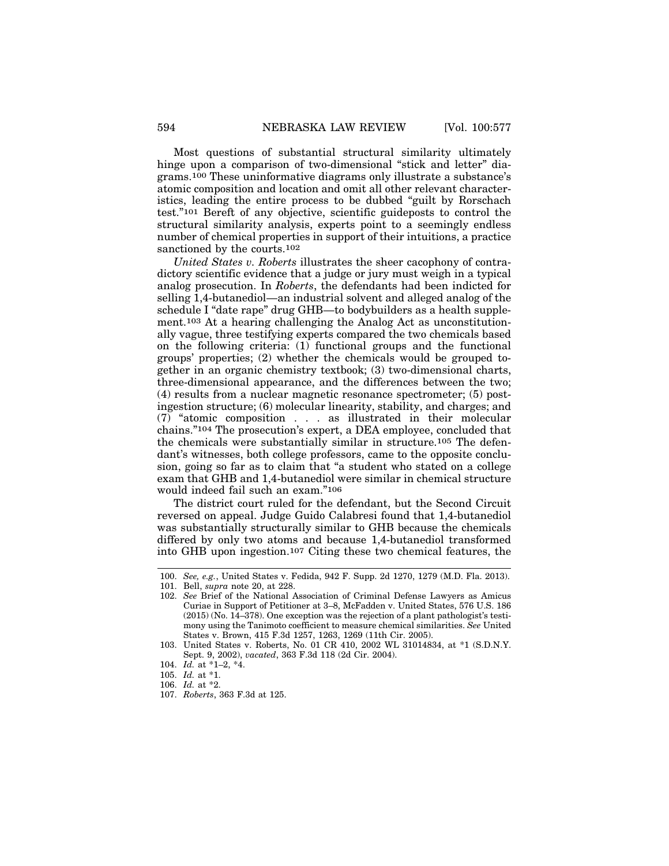Most questions of substantial structural similarity ultimately hinge upon a comparison of two-dimensional "stick and letter" diagrams.100 These uninformative diagrams only illustrate a substance's atomic composition and location and omit all other relevant characteristics, leading the entire process to be dubbed "guilt by Rorschach test."101 Bereft of any objective, scientific guideposts to control the structural similarity analysis, experts point to a seemingly endless number of chemical properties in support of their intuitions, a practice sanctioned by the courts.102

*United States v. Roberts* illustrates the sheer cacophony of contradictory scientific evidence that a judge or jury must weigh in a typical analog prosecution. In *Roberts*, the defendants had been indicted for selling 1,4-butanediol—an industrial solvent and alleged analog of the schedule I "date rape" drug GHB—to bodybuilders as a health supplement.103 At a hearing challenging the Analog Act as unconstitutionally vague, three testifying experts compared the two chemicals based on the following criteria: (1) functional groups and the functional groups' properties; (2) whether the chemicals would be grouped together in an organic chemistry textbook; (3) two-dimensional charts, three-dimensional appearance, and the differences between the two; (4) results from a nuclear magnetic resonance spectrometer; (5) postingestion structure; (6) molecular linearity, stability, and charges; and (7) "atomic composition . . . as illustrated in their molecular chains."104 The prosecution's expert, a DEA employee, concluded that the chemicals were substantially similar in structure.105 The defendant's witnesses, both college professors, came to the opposite conclusion, going so far as to claim that "a student who stated on a college exam that GHB and 1,4-butanediol were similar in chemical structure would indeed fail such an exam."106

The district court ruled for the defendant, but the Second Circuit reversed on appeal. Judge Guido Calabresi found that 1,4-butanediol was substantially structurally similar to GHB because the chemicals differed by only two atoms and because 1,4-butanediol transformed into GHB upon ingestion.107 Citing these two chemical features, the

<sup>100.</sup> *See, e.g.*, United States v. Fedida, 942 F. Supp. 2d 1270, 1279 (M.D. Fla. 2013).

<sup>101.</sup> Bell, *supra* note 20, at 228.

<sup>102.</sup> *See* Brief of the National Association of Criminal Defense Lawyers as Amicus Curiae in Support of Petitioner at 3–8, McFadden v. United States, 576 U.S. 186 (2015) (No. 14–378). One exception was the rejection of a plant pathologist's testimony using the Tanimoto coefficient to measure chemical similarities. *See* United States v. Brown, 415 F.3d 1257, 1263, 1269 (11th Cir. 2005).

<sup>103.</sup> United States v. Roberts, No. 01 CR 410, 2002 WL 31014834, at \*1 (S.D.N.Y. Sept. 9, 2002), *vacated*, 363 F.3d 118 (2d Cir. 2004).

<sup>104.</sup> *Id.* at \*1–2, \*4.

<sup>105.</sup> *Id.* at \*1.

<sup>106.</sup> *Id.* at \*2.

<sup>107.</sup> *Roberts*, 363 F.3d at 125.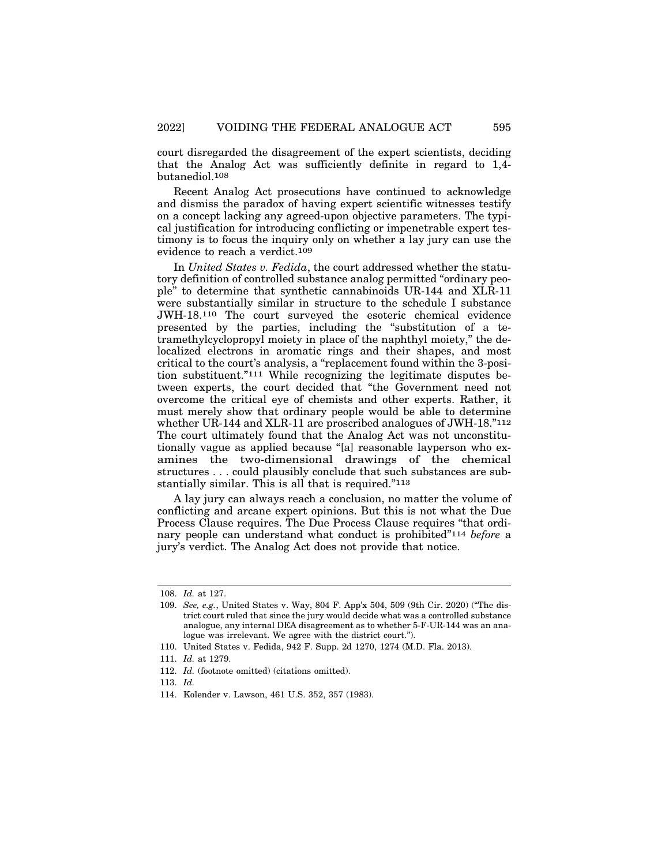court disregarded the disagreement of the expert scientists, deciding that the Analog Act was sufficiently definite in regard to 1,4 butanediol.108

Recent Analog Act prosecutions have continued to acknowledge and dismiss the paradox of having expert scientific witnesses testify on a concept lacking any agreed-upon objective parameters. The typical justification for introducing conflicting or impenetrable expert testimony is to focus the inquiry only on whether a lay jury can use the evidence to reach a verdict.109

In *United States v. Fedida*, the court addressed whether the statutory definition of controlled substance analog permitted "ordinary people" to determine that synthetic cannabinoids UR-144 and XLR-11 were substantially similar in structure to the schedule I substance JWH-18.110 The court surveyed the esoteric chemical evidence presented by the parties, including the "substitution of a tetramethylcyclopropyl moiety in place of the naphthyl moiety," the delocalized electrons in aromatic rings and their shapes, and most critical to the court's analysis, a "replacement found within the 3-position substituent."111 While recognizing the legitimate disputes between experts, the court decided that "the Government need not overcome the critical eye of chemists and other experts. Rather, it must merely show that ordinary people would be able to determine whether UR-144 and XLR-11 are proscribed analogues of JWH-18."112 The court ultimately found that the Analog Act was not unconstitutionally vague as applied because "[a] reasonable layperson who examines the two-dimensional drawings of the chemical structures . . . could plausibly conclude that such substances are substantially similar. This is all that is required."113

A lay jury can always reach a conclusion, no matter the volume of conflicting and arcane expert opinions. But this is not what the Due Process Clause requires. The Due Process Clause requires "that ordinary people can understand what conduct is prohibited"114 *before* a jury's verdict. The Analog Act does not provide that notice.

<sup>108.</sup> *Id.* at 127.

<sup>109.</sup> *See, e.g.*, United States v. Way, 804 F. App'x 504, 509 (9th Cir. 2020) ("The district court ruled that since the jury would decide what was a controlled substance analogue, any internal DEA disagreement as to whether 5-F-UR-144 was an analogue was irrelevant. We agree with the district court.").

<sup>110.</sup> United States v. Fedida, 942 F. Supp. 2d 1270, 1274 (M.D. Fla. 2013).

<sup>111.</sup> *Id.* at 1279.

<sup>112.</sup> *Id.* (footnote omitted) (citations omitted).

<sup>113.</sup> *Id.*

<sup>114.</sup> Kolender v. Lawson, 461 U.S. 352, 357 (1983).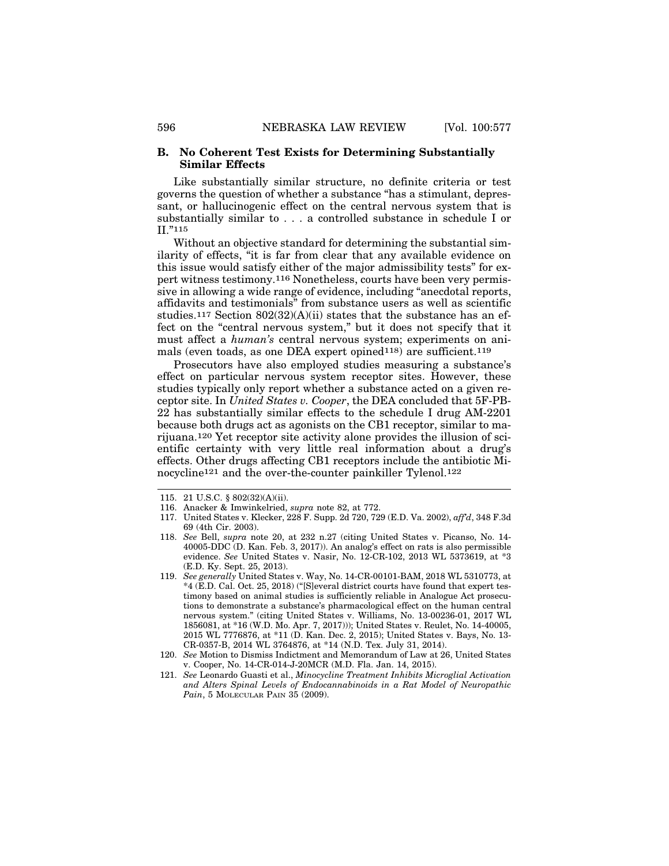### **B. No Coherent Test Exists for Determining Substantially Similar Effects**

Like substantially similar structure, no definite criteria or test governs the question of whether a substance "has a stimulant, depressant, or hallucinogenic effect on the central nervous system that is substantially similar to . . . a controlled substance in schedule I or II."115

Without an objective standard for determining the substantial similarity of effects, "it is far from clear that any available evidence on this issue would satisfy either of the major admissibility tests" for expert witness testimony.116 Nonetheless, courts have been very permissive in allowing a wide range of evidence, including "anecdotal reports, affidavits and testimonials" from substance users as well as scientific studies.117 Section 802(32)(A)(ii) states that the substance has an effect on the "central nervous system," but it does not specify that it must affect a *human's* central nervous system; experiments on animals (even toads, as one DEA expert opined118) are sufficient.119

Prosecutors have also employed studies measuring a substance's effect on particular nervous system receptor sites. However, these studies typically only report whether a substance acted on a given receptor site. In *United States v. Cooper*, the DEA concluded that 5F-PB-22 has substantially similar effects to the schedule I drug AM-2201 because both drugs act as agonists on the CB1 receptor, similar to marijuana.120 Yet receptor site activity alone provides the illusion of scientific certainty with very little real information about a drug's effects. Other drugs affecting CB1 receptors include the antibiotic Minocycline121 and the over-the-counter painkiller Tylenol.122

- 117. United States v. Klecker, 228 F. Supp. 2d 720, 729 (E.D. Va. 2002), *aff'd*, 348 F.3d 69 (4th Cir. 2003).
- 118. *See* Bell, *supra* note 20, at 232 n.27 (citing United States v. Picanso, No. 14- 40005-DDC (D. Kan. Feb. 3, 2017)). An analog's effect on rats is also permissible evidence. *See* United States v. Nasir, No. 12-CR-102, 2013 WL 5373619, at \*3 (E.D. Ky. Sept. 25, 2013).
- 119. *See generally* United States v. Way, No. 14-CR-00101-BAM, 2018 WL 5310773, at \*4 (E.D. Cal. Oct. 25, 2018) ("[S]everal district courts have found that expert testimony based on animal studies is sufficiently reliable in Analogue Act prosecutions to demonstrate a substance's pharmacological effect on the human central nervous system." (citing United States v. Williams, No. 13-00236-01, 2017 WL 1856081, at \*16 (W.D. Mo. Apr. 7, 2017))); United States v. Reulet, No. 14-40005, 2015 WL 7776876, at \*11 (D. Kan. Dec. 2, 2015); United States v. Bays, No. 13- CR-0357-B, 2014 WL 3764876, at \*14 (N.D. Tex. July 31, 2014).
- 120. *See* Motion to Dismiss Indictment and Memorandum of Law at 26, United States v. Cooper, No. 14-CR-014-J-20MCR (M.D. Fla. Jan. 14, 2015).
- 121. *See* Leonardo Guasti et al., *Minocycline Treatment Inhibits Microglial Activation and Alters Spinal Levels of Endocannabinoids in a Rat Model of Neuropathic Pain*, 5 MOLECULAR PAIN 35 (2009).

<sup>115. 21</sup> U.S.C. § 802(32)(A)(ii).

<sup>116.</sup> Anacker & Imwinkelried, *supra* note 82, at 772.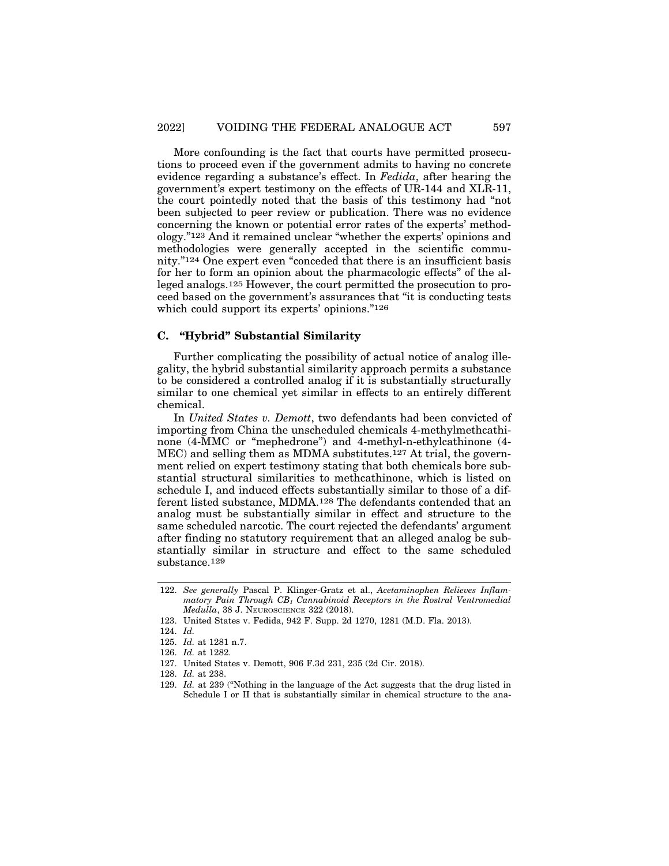More confounding is the fact that courts have permitted prosecutions to proceed even if the government admits to having no concrete evidence regarding a substance's effect. In *Fedida*, after hearing the government's expert testimony on the effects of UR-144 and XLR-11, the court pointedly noted that the basis of this testimony had "not been subjected to peer review or publication. There was no evidence concerning the known or potential error rates of the experts' methodology."123 And it remained unclear "whether the experts' opinions and methodologies were generally accepted in the scientific community."124 One expert even "conceded that there is an insufficient basis for her to form an opinion about the pharmacologic effects" of the alleged analogs.125 However, the court permitted the prosecution to proceed based on the government's assurances that "it is conducting tests which could support its experts' opinions."<sup>126</sup>

## **C. "Hybrid" Substantial Similarity**

Further complicating the possibility of actual notice of analog illegality, the hybrid substantial similarity approach permits a substance to be considered a controlled analog if it is substantially structurally similar to one chemical yet similar in effects to an entirely different chemical.

In *United States v. Demott*, two defendants had been convicted of importing from China the unscheduled chemicals 4-methylmethcathinone (4-MMC or "mephedrone") and 4-methyl-n-ethylcathinone (4- MEC) and selling them as MDMA substitutes.127 At trial, the government relied on expert testimony stating that both chemicals bore substantial structural similarities to methcathinone, which is listed on schedule I, and induced effects substantially similar to those of a different listed substance, MDMA.128 The defendants contended that an analog must be substantially similar in effect and structure to the same scheduled narcotic. The court rejected the defendants' argument after finding no statutory requirement that an alleged analog be substantially similar in structure and effect to the same scheduled substance.129

<sup>122.</sup> *See generally* Pascal P. Klinger-Gratz et al., *Acetaminophen Relieves Inflammatory Pain Through CB1 Cannabinoid Receptors in the Rostral Ventromedial Medulla*, 38 J. NEUROSCIENCE 322 (2018).

<sup>123.</sup> United States v. Fedida, 942 F. Supp. 2d 1270, 1281 (M.D. Fla. 2013).

<sup>124.</sup> *Id.*

<sup>125.</sup> *Id.* at 1281 n.7.

<sup>126.</sup> *Id.* at 1282.

<sup>127.</sup> United States v. Demott, 906 F.3d 231, 235 (2d Cir. 2018).

<sup>128.</sup> *Id.* at 238.

<sup>129.</sup> *Id.* at 239 ("Nothing in the language of the Act suggests that the drug listed in Schedule I or II that is substantially similar in chemical structure to the ana-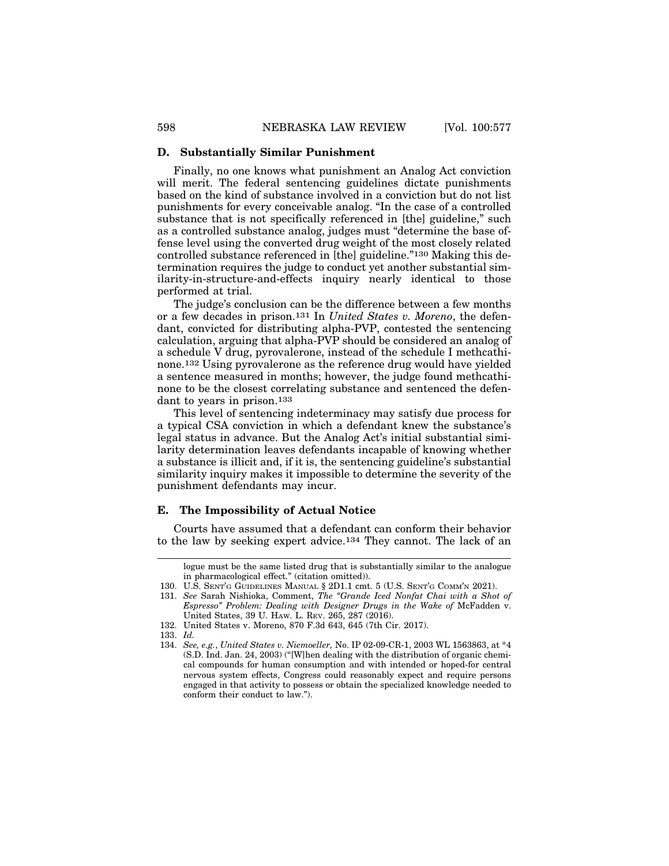#### **D. Substantially Similar Punishment**

Finally, no one knows what punishment an Analog Act conviction will merit. The federal sentencing guidelines dictate punishments based on the kind of substance involved in a conviction but do not list punishments for every conceivable analog. "In the case of a controlled substance that is not specifically referenced in [the] guideline," such as a controlled substance analog, judges must "determine the base offense level using the converted drug weight of the most closely related controlled substance referenced in [the] guideline."130 Making this determination requires the judge to conduct yet another substantial similarity-in-structure-and-effects inquiry nearly identical to those performed at trial.

The judge's conclusion can be the difference between a few months or a few decades in prison.131 In *United States v. Moreno*, the defendant, convicted for distributing alpha-PVP, contested the sentencing calculation, arguing that alpha-PVP should be considered an analog of a schedule V drug, pyrovalerone, instead of the schedule I methcathinone.132 Using pyrovalerone as the reference drug would have yielded a sentence measured in months; however, the judge found methcathinone to be the closest correlating substance and sentenced the defendant to years in prison.133

This level of sentencing indeterminacy may satisfy due process for a typical CSA conviction in which a defendant knew the substance's legal status in advance. But the Analog Act's initial substantial similarity determination leaves defendants incapable of knowing whether a substance is illicit and, if it is, the sentencing guideline's substantial similarity inquiry makes it impossible to determine the severity of the punishment defendants may incur.

#### **E. The Impossibility of Actual Notice**

Courts have assumed that a defendant can conform their behavior to the law by seeking expert advice.134 They cannot. The lack of an

131. *See* Sarah Nishioka, Comment, *The "Grande Iced Nonfat Chai with a Shot of Espresso" Problem: Dealing with Designer Drugs in the Wake of* McFadden v. United States, 39 U. HAW. L. REV. 265, 287 (2016).

133. *Id.*

logue must be the same listed drug that is substantially similar to the analogue in pharmacological effect." (citation omitted)).

<sup>130.</sup> U.S. SENT'G GUIDELINES MANUAL § 2D1.1 cmt. 5 (U.S. SENT'G COMM'N 2021).

<sup>132.</sup> United States v. Moreno, 870 F.3d 643, 645 (7th Cir. 2017).

<sup>134.</sup> *See, e.g.*, *United States v. Niemoeller,* No. IP 02-09-CR-1, 2003 WL 1563863, at \*4 (S.D. Ind. Jan. 24, 2003) ("[W]hen dealing with the distribution of organic chemical compounds for human consumption and with intended or hoped-for central nervous system effects, Congress could reasonably expect and require persons engaged in that activity to possess or obtain the specialized knowledge needed to conform their conduct to law.").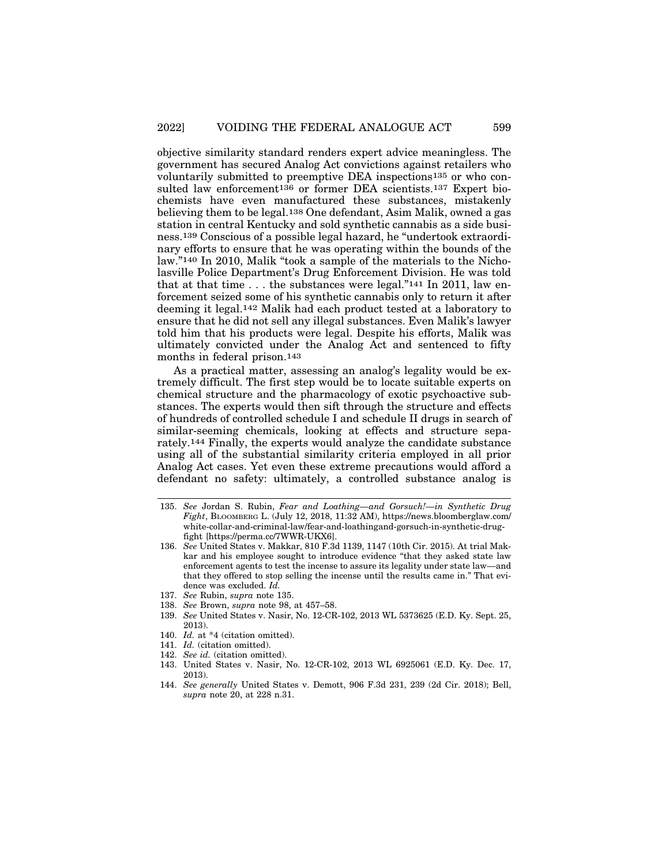objective similarity standard renders expert advice meaningless. The government has secured Analog Act convictions against retailers who voluntarily submitted to preemptive DEA inspections135 or who consulted law enforcement<sup>136</sup> or former DEA scientists.<sup>137</sup> Expert biochemists have even manufactured these substances, mistakenly believing them to be legal.138 One defendant, Asim Malik, owned a gas station in central Kentucky and sold synthetic cannabis as a side business.139 Conscious of a possible legal hazard, he "undertook extraordinary efforts to ensure that he was operating within the bounds of the law."140 In 2010, Malik "took a sample of the materials to the Nicholasville Police Department's Drug Enforcement Division. He was told that at that time . . . the substances were legal."141 In 2011, law enforcement seized some of his synthetic cannabis only to return it after deeming it legal.142 Malik had each product tested at a laboratory to ensure that he did not sell any illegal substances. Even Malik's lawyer told him that his products were legal. Despite his efforts, Malik was ultimately convicted under the Analog Act and sentenced to fifty months in federal prison.143

As a practical matter, assessing an analog's legality would be extremely difficult. The first step would be to locate suitable experts on chemical structure and the pharmacology of exotic psychoactive substances. The experts would then sift through the structure and effects of hundreds of controlled schedule I and schedule II drugs in search of similar-seeming chemicals, looking at effects and structure separately.144 Finally, the experts would analyze the candidate substance using all of the substantial similarity criteria employed in all prior Analog Act cases. Yet even these extreme precautions would afford a defendant no safety: ultimately, a controlled substance analog is

- 142. *See id.* (citation omitted).
- 143. United States v. Nasir, No. 12-CR-102, 2013 WL 6925061 (E.D. Ky. Dec. 17, 2013).
- 144. *See generally* United States v. Demott, 906 F.3d 231, 239 (2d Cir. 2018); Bell, *supra* note 20, at 228 n.31.

<sup>135.</sup> *See* Jordan S. Rubin, *Fear and Loathing—and Gorsuch!—in Synthetic Drug Fight*, BLOOMBERG L. (July 12, 2018, 11:32 AM), https://news.bloomberglaw.com/ white-collar-and-criminal-law/fear-and-loathingand-gorsuch-in-synthetic-drugfight [https://perma.cc/7WWR-UKX6].

<sup>136.</sup> *See* United States v. Makkar, 810 F.3d 1139, 1147 (10th Cir. 2015). At trial Makkar and his employee sought to introduce evidence "that they asked state law enforcement agents to test the incense to assure its legality under state law—and that they offered to stop selling the incense until the results came in." That evidence was excluded. *Id.*

<sup>137.</sup> *See* Rubin, *supra* note 135.

<sup>138.</sup> *See* Brown, *supra* note 98, at 457–58.

<sup>139.</sup> *See* United States v. Nasir, No. 12-CR-102, 2013 WL 5373625 (E.D. Ky. Sept. 25, 2013).

<sup>140.</sup> *Id.* at \*4 (citation omitted).

<sup>141.</sup> *Id.* (citation omitted).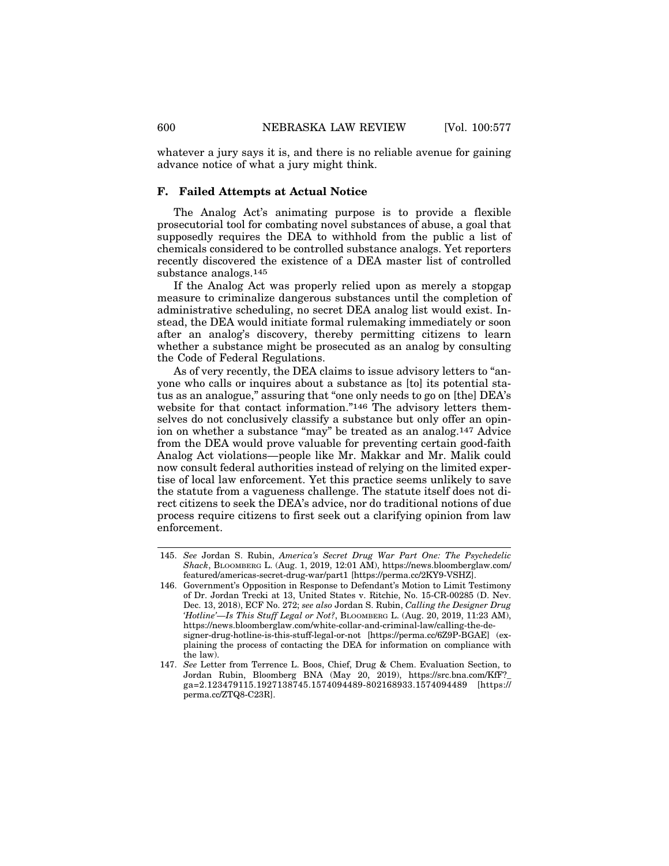whatever a jury says it is, and there is no reliable avenue for gaining advance notice of what a jury might think.

## **F. Failed Attempts at Actual Notice**

The Analog Act's animating purpose is to provide a flexible prosecutorial tool for combating novel substances of abuse, a goal that supposedly requires the DEA to withhold from the public a list of chemicals considered to be controlled substance analogs. Yet reporters recently discovered the existence of a DEA master list of controlled substance analogs.145

If the Analog Act was properly relied upon as merely a stopgap measure to criminalize dangerous substances until the completion of administrative scheduling, no secret DEA analog list would exist. Instead, the DEA would initiate formal rulemaking immediately or soon after an analog's discovery, thereby permitting citizens to learn whether a substance might be prosecuted as an analog by consulting the Code of Federal Regulations.

As of very recently, the DEA claims to issue advisory letters to "anyone who calls or inquires about a substance as [to] its potential status as an analogue," assuring that "one only needs to go on [the] DEA's website for that contact information."<sup>146</sup> The advisory letters themselves do not conclusively classify a substance but only offer an opinion on whether a substance "may" be treated as an analog.147 Advice from the DEA would prove valuable for preventing certain good-faith Analog Act violations—people like Mr. Makkar and Mr. Malik could now consult federal authorities instead of relying on the limited expertise of local law enforcement. Yet this practice seems unlikely to save the statute from a vagueness challenge. The statute itself does not direct citizens to seek the DEA's advice, nor do traditional notions of due process require citizens to first seek out a clarifying opinion from law enforcement.

<sup>145.</sup> *See* Jordan S. Rubin, *America's Secret Drug War Part One: The Psychedelic Shack*, BLOOMBERG L. (Aug. 1, 2019, 12:01 AM), https://news.bloomberglaw.com/ featured/americas-secret-drug-war/part1 [https://perma.cc/2KY9-VSHZ].

<sup>146.</sup> Government's Opposition in Response to Defendant's Motion to Limit Testimony of Dr. Jordan Trecki at 13, United States v. Ritchie, No. 15-CR-00285 (D. Nev. Dec. 13, 2018), ECF No. 272; *see also* Jordan S. Rubin, *Calling the Designer Drug 'Hotline'—Is This Stuff Legal or Not?*, BLOOMBERG L. (Aug. 20, 2019, 11:23 AM), https://news.bloomberglaw.com/white-collar-and-criminal-law/calling-the-designer-drug-hotline-is-this-stuff-legal-or-not [https://perma.cc/6Z9P-BGAE] (explaining the process of contacting the DEA for information on compliance with the law).

<sup>147.</sup> *See* Letter from Terrence L. Boos, Chief, Drug & Chem. Evaluation Section, to Jordan Rubin, Bloomberg BNA (May 20, 2019), https://src.bna.com/KfF?\_ ga=2.123479115.1927138745.1574094489-802168933.1574094489 [https:// perma.cc/ZTQ8-C23R].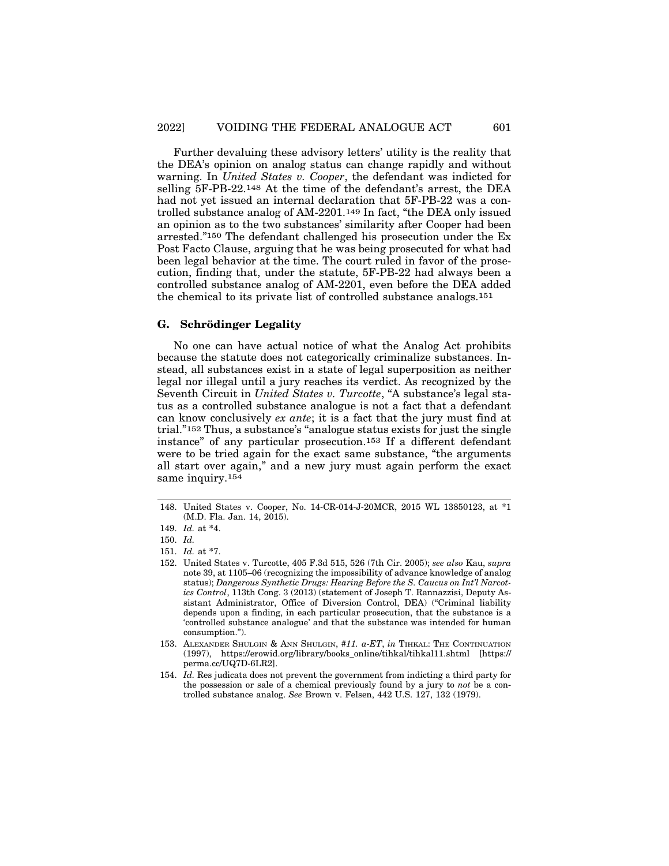Further devaluing these advisory letters' utility is the reality that the DEA's opinion on analog status can change rapidly and without warning. In *United States v. Cooper*, the defendant was indicted for selling 5F-PB-22.148 At the time of the defendant's arrest, the DEA had not yet issued an internal declaration that 5F-PB-22 was a controlled substance analog of AM-2201.149 In fact, "the DEA only issued an opinion as to the two substances' similarity after Cooper had been arrested."150 The defendant challenged his prosecution under the Ex Post Facto Clause, arguing that he was being prosecuted for what had been legal behavior at the time. The court ruled in favor of the prosecution, finding that, under the statute, 5F-PB-22 had always been a controlled substance analog of AM-2201, even before the DEA added the chemical to its private list of controlled substance analogs.151

## **G.** Schrödinger Legality

No one can have actual notice of what the Analog Act prohibits because the statute does not categorically criminalize substances. Instead, all substances exist in a state of legal superposition as neither legal nor illegal until a jury reaches its verdict. As recognized by the Seventh Circuit in *United States v. Turcotte*, "A substance's legal status as a controlled substance analogue is not a fact that a defendant can know conclusively *ex ante*; it is a fact that the jury must find at trial."152 Thus, a substance's "analogue status exists for just the single instance" of any particular prosecution.153 If a different defendant were to be tried again for the exact same substance, "the arguments all start over again," and a new jury must again perform the exact same inquiry.154

<sup>148.</sup> United States v. Cooper, No. 14-CR-014-J-20MCR, 2015 WL 13850123, at \*1 (M.D. Fla. Jan. 14, 2015).

<sup>149.</sup> *Id.* at \*4.

<sup>150.</sup> *Id.*

<sup>151.</sup> *Id.* at \*7.

<sup>152.</sup> United States v. Turcotte, 405 F.3d 515, 526 (7th Cir. 2005); *see also* Kau, *supra* note 39, at 1105–06 (recognizing the impossibility of advance knowledge of analog status); *Dangerous Synthetic Drugs: Hearing Before the S. Caucus on Int'l Narcotics Control*, 113th Cong. 3 (2013) (statement of Joseph T. Rannazzisi, Deputy Assistant Administrator, Office of Diversion Control, DEA) ("Criminal liability depends upon a finding, in each particular prosecution, that the substance is a 'controlled substance analogue' and that the substance was intended for human consumption.").

<sup>153.</sup> ALEXANDER SHULGIN & ANN SHULGIN, *#11. a-ET*, *in* TIHKAL: THE CONTINUATION (1997), https://erowid.org/library/books\_online/tihkal/tihkal11.shtml [https:// perma.cc/UQ7D-6LR2].

<sup>154.</sup> *Id.* Res judicata does not prevent the government from indicting a third party for the possession or sale of a chemical previously found by a jury to *not* be a controlled substance analog. *See* Brown v. Felsen, 442 U.S. 127, 132 (1979).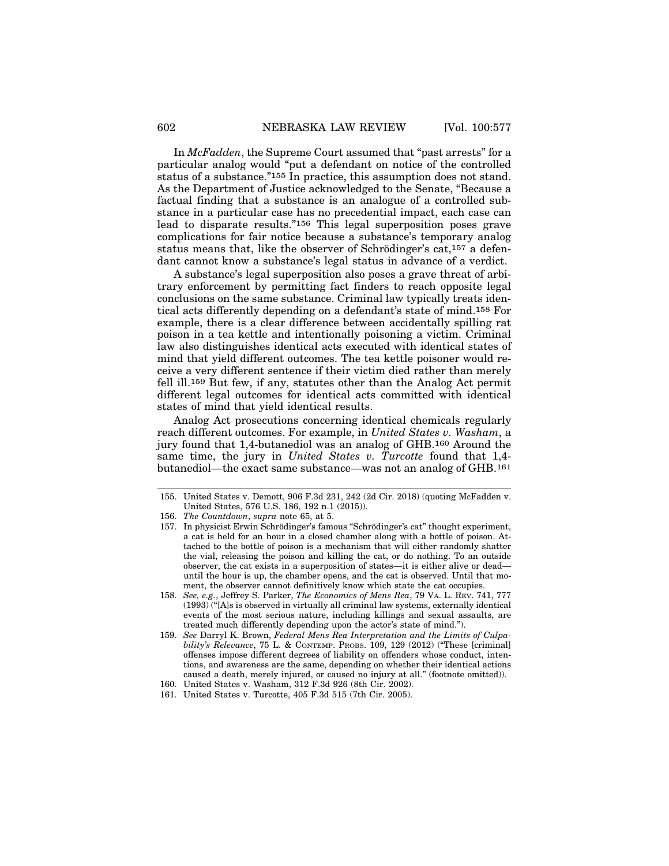In *McFadden*, the Supreme Court assumed that "past arrests" for a particular analog would "put a defendant on notice of the controlled status of a substance."155 In practice, this assumption does not stand. As the Department of Justice acknowledged to the Senate, "Because a factual finding that a substance is an analogue of a controlled substance in a particular case has no precedential impact, each case can lead to disparate results."156 This legal superposition poses grave complications for fair notice because a substance's temporary analog status means that, like the observer of Schrödinger's cat,<sup>157</sup> a defendant cannot know a substance's legal status in advance of a verdict.

A substance's legal superposition also poses a grave threat of arbitrary enforcement by permitting fact finders to reach opposite legal conclusions on the same substance. Criminal law typically treats identical acts differently depending on a defendant's state of mind.158 For example, there is a clear difference between accidentally spilling rat poison in a tea kettle and intentionally poisoning a victim. Criminal law also distinguishes identical acts executed with identical states of mind that yield different outcomes. The tea kettle poisoner would receive a very different sentence if their victim died rather than merely fell ill.159 But few, if any, statutes other than the Analog Act permit different legal outcomes for identical acts committed with identical states of mind that yield identical results.

Analog Act prosecutions concerning identical chemicals regularly reach different outcomes. For example, in *United States v. Washam*, a jury found that 1,4-butanediol was an analog of GHB.160 Around the same time, the jury in *United States v. Turcotte* found that 1,4 butanediol—the exact same substance—was not an analog of GHB.161

<sup>155.</sup> United States v. Demott, 906 F.3d 231, 242 (2d Cir. 2018) (quoting McFadden v. United States, 576 U.S. 186, 192 n.1 (2015)).

<sup>156.</sup> *The Countdown*, *supra* note 65, at 5.

<sup>157.</sup> In physicist Erwin Schrödinger's famous "Schrödinger's cat" thought experiment, a cat is held for an hour in a closed chamber along with a bottle of poison. Attached to the bottle of poison is a mechanism that will either randomly shatter the vial, releasing the poison and killing the cat, or do nothing. To an outside observer, the cat exists in a superposition of states—it is either alive or dead until the hour is up, the chamber opens, and the cat is observed. Until that moment, the observer cannot definitively know which state the cat occupies.

<sup>158.</sup> *See, e.g.*, Jeffrey S. Parker, *The Economics of Mens Rea*, 79 VA. L. REV. 741, 777 (1993) ("[A]s is observed in virtually all criminal law systems, externally identical events of the most serious nature, including killings and sexual assaults, are treated much differently depending upon the actor's state of mind.").

<sup>159.</sup> *See* Darryl K. Brown, *Federal Mens Rea Interpretation and the Limits of Culpability's Relevance*, 75 L. & CONTEMP. PROBS. 109, 129 (2012) ("These [criminal] offenses impose different degrees of liability on offenders whose conduct, intentions, and awareness are the same, depending on whether their identical actions caused a death, merely injured, or caused no injury at all." (footnote omitted)).

<sup>160.</sup> United States v. Washam, 312 F.3d 926 (8th Cir. 2002).

<sup>161.</sup> United States v. Turcotte, 405 F.3d 515 (7th Cir. 2005).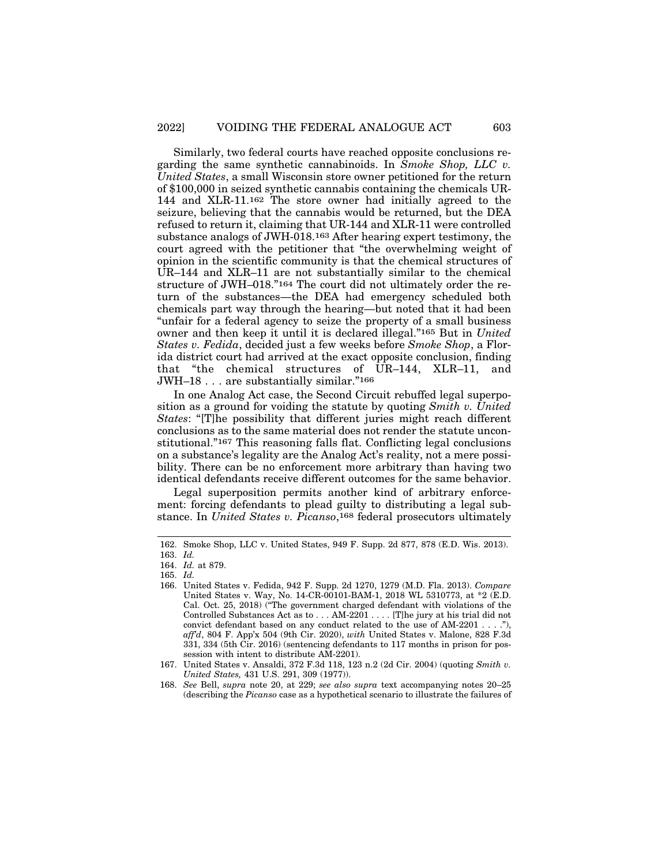Similarly, two federal courts have reached opposite conclusions regarding the same synthetic cannabinoids. In *Smoke Shop, LLC v. United States*, a small Wisconsin store owner petitioned for the return of \$100,000 in seized synthetic cannabis containing the chemicals UR-144 and XLR-11.162 The store owner had initially agreed to the seizure, believing that the cannabis would be returned, but the DEA refused to return it, claiming that UR-144 and XLR-11 were controlled substance analogs of JWH-018.163 After hearing expert testimony, the court agreed with the petitioner that "the overwhelming weight of opinion in the scientific community is that the chemical structures of UR–144 and XLR–11 are not substantially similar to the chemical structure of JWH–018."164 The court did not ultimately order the return of the substances—the DEA had emergency scheduled both chemicals part way through the hearing—but noted that it had been "unfair for a federal agency to seize the property of a small business owner and then keep it until it is declared illegal."165 But in *United States v. Fedida*, decided just a few weeks before *Smoke Shop*, a Florida district court had arrived at the exact opposite conclusion, finding that "the chemical structures of UR–144, XLR–11, and JWH–18 . . . are substantially similar."166

In one Analog Act case, the Second Circuit rebuffed legal superposition as a ground for voiding the statute by quoting *Smith v. United States*: "[T]he possibility that different juries might reach different conclusions as to the same material does not render the statute unconstitutional."167 This reasoning falls flat. Conflicting legal conclusions on a substance's legality are the Analog Act's reality, not a mere possibility. There can be no enforcement more arbitrary than having two identical defendants receive different outcomes for the same behavior.

Legal superposition permits another kind of arbitrary enforcement: forcing defendants to plead guilty to distributing a legal substance. In *United States v. Picanso*,168 federal prosecutors ultimately

<sup>162.</sup> Smoke Shop, LLC v. United States, 949 F. Supp. 2d 877, 878 (E.D. Wis. 2013).

<sup>163.</sup> *Id.*

<sup>164.</sup> *Id.* at 879. 165. *Id.*

<sup>166.</sup> United States v. Fedida, 942 F. Supp. 2d 1270, 1279 (M.D. Fla. 2013). *Compare* United States v. Way, No. 14-CR-00101-BAM-1, 2018 WL 5310773, at \*2 (E.D. Cal. Oct. 25, 2018) ("The government charged defendant with violations of the Controlled Substances Act as to . . . AM-2201 . . . . [T]he jury at his trial did not convict defendant based on any conduct related to the use of AM-2201 . . . ."), *aff'd*, 804 F. App'x 504 (9th Cir. 2020), *with* United States v. Malone, 828 F.3d 331, 334 (5th Cir. 2016) (sentencing defendants to 117 months in prison for possession with intent to distribute AM-2201).

<sup>167.</sup> United States v. Ansaldi, 372 F.3d 118, 123 n.2 (2d Cir. 2004) (quoting *Smith v. United States,* 431 U.S. 291, 309 (1977)).

<sup>168.</sup> *See* Bell, *supra* note 20, at 229; *see also supra* text accompanying notes 20–25 (describing the *Picanso* case as a hypothetical scenario to illustrate the failures of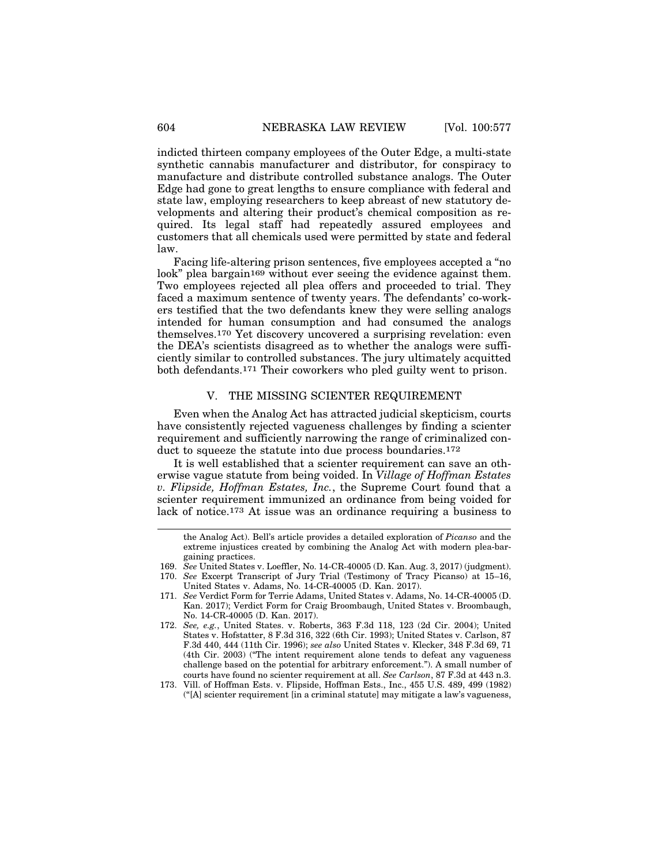indicted thirteen company employees of the Outer Edge, a multi-state synthetic cannabis manufacturer and distributor, for conspiracy to manufacture and distribute controlled substance analogs. The Outer Edge had gone to great lengths to ensure compliance with federal and state law, employing researchers to keep abreast of new statutory developments and altering their product's chemical composition as required. Its legal staff had repeatedly assured employees and customers that all chemicals used were permitted by state and federal law.

Facing life-altering prison sentences, five employees accepted a "no look" plea bargain<sup>169</sup> without ever seeing the evidence against them. Two employees rejected all plea offers and proceeded to trial. They faced a maximum sentence of twenty years. The defendants' co-workers testified that the two defendants knew they were selling analogs intended for human consumption and had consumed the analogs themselves.170 Yet discovery uncovered a surprising revelation: even the DEA's scientists disagreed as to whether the analogs were sufficiently similar to controlled substances. The jury ultimately acquitted both defendants.171 Their coworkers who pled guilty went to prison.

## V. THE MISSING SCIENTER REQUIREMENT

Even when the Analog Act has attracted judicial skepticism, courts have consistently rejected vagueness challenges by finding a scienter requirement and sufficiently narrowing the range of criminalized conduct to squeeze the statute into due process boundaries.<sup>172</sup>

It is well established that a scienter requirement can save an otherwise vague statute from being voided. In *Village of Hoffman Estates v. Flipside, Hoffman Estates, Inc.*, the Supreme Court found that a scienter requirement immunized an ordinance from being voided for lack of notice.173 At issue was an ordinance requiring a business to

the Analog Act). Bell's article provides a detailed exploration of *Picanso* and the extreme injustices created by combining the Analog Act with modern plea-bargaining practices.

<sup>169.</sup> *See* United States v. Loeffler, No. 14-CR-40005 (D. Kan. Aug. 3, 2017) (judgment).

<sup>170.</sup> *See* Excerpt Transcript of Jury Trial (Testimony of Tracy Picanso) at 15–16, United States v. Adams, No. 14-CR-40005 (D. Kan. 2017).

<sup>171.</sup> *See* Verdict Form for Terrie Adams, United States v. Adams, No. 14-CR-40005 (D. Kan. 2017); Verdict Form for Craig Broombaugh, United States v. Broombaugh, No. 14-CR-40005 (D. Kan. 2017).

<sup>172.</sup> *See, e.g.*, United States. v. Roberts, 363 F.3d 118, 123 (2d Cir. 2004); United States v. Hofstatter, 8 F.3d 316, 322 (6th Cir. 1993); United States v. Carlson, 87 F.3d 440, 444 (11th Cir. 1996); *see also* United States v. Klecker, 348 F.3d 69, 71 (4th Cir. 2003) ("The intent requirement alone tends to defeat any vagueness challenge based on the potential for arbitrary enforcement."). A small number of courts have found no scienter requirement at all. *See Carlson*, 87 F.3d at 443 n.3.

<sup>173.</sup> Vill. of Hoffman Ests. v. Flipside, Hoffman Ests., Inc., 455 U.S. 489, 499 (1982) ("[A] scienter requirement [in a criminal statute] may mitigate a law's vagueness,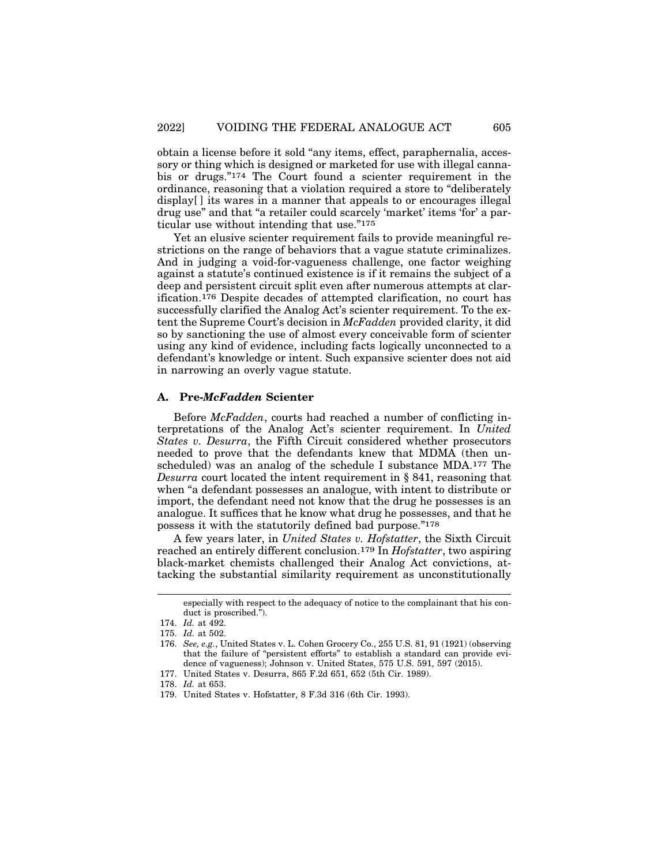obtain a license before it sold "any items, effect, paraphernalia, accessory or thing which is designed or marketed for use with illegal cannabis or drugs."174 The Court found a scienter requirement in the ordinance, reasoning that a violation required a store to "deliberately display[ ] its wares in a manner that appeals to or encourages illegal drug use" and that "a retailer could scarcely 'market' items 'for' a particular use without intending that use."175

Yet an elusive scienter requirement fails to provide meaningful restrictions on the range of behaviors that a vague statute criminalizes. And in judging a void-for-vagueness challenge, one factor weighing against a statute's continued existence is if it remains the subject of a deep and persistent circuit split even after numerous attempts at clarification.176 Despite decades of attempted clarification, no court has successfully clarified the Analog Act's scienter requirement. To the extent the Supreme Court's decision in *McFadden* provided clarity, it did so by sanctioning the use of almost every conceivable form of scienter using any kind of evidence, including facts logically unconnected to a defendant's knowledge or intent. Such expansive scienter does not aid in narrowing an overly vague statute.

#### **A. Pre-***McFadden* **Scienter**

Before *McFadden*, courts had reached a number of conflicting interpretations of the Analog Act's scienter requirement. In *United States v. Desurra*, the Fifth Circuit considered whether prosecutors needed to prove that the defendants knew that MDMA (then unscheduled) was an analog of the schedule I substance MDA.177 The *Desurra* court located the intent requirement in § 841, reasoning that when "a defendant possesses an analogue, with intent to distribute or import, the defendant need not know that the drug he possesses is an analogue. It suffices that he know what drug he possesses, and that he possess it with the statutorily defined bad purpose."178

A few years later, in *United States v. Hofstatter*, the Sixth Circuit reached an entirely different conclusion.179 In *Hofstatter*, two aspiring black-market chemists challenged their Analog Act convictions, attacking the substantial similarity requirement as unconstitutionally

especially with respect to the adequacy of notice to the complainant that his conduct is proscribed.").

<sup>174.</sup> *Id.* at 492.

<sup>175.</sup> *Id.* at 502.

<sup>176.</sup> *See, e.g.*, United States v. L. Cohen Grocery Co., 255 U.S. 81, 91 (1921) (observing that the failure of "persistent efforts" to establish a standard can provide evidence of vagueness); Johnson v. United States, 575 U.S. 591, 597 (2015).

<sup>177.</sup> United States v. Desurra, 865 F.2d 651, 652 (5th Cir. 1989).

<sup>178.</sup> *Id.* at 653.

<sup>179.</sup> United States v. Hofstatter, 8 F.3d 316 (6th Cir. 1993).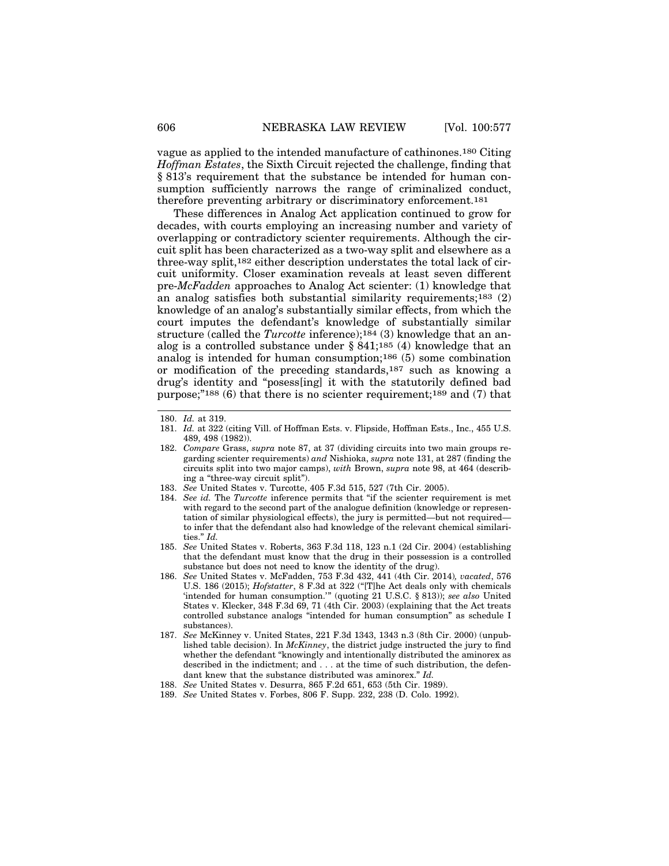vague as applied to the intended manufacture of cathinones.180 Citing *Hoffman Estates*, the Sixth Circuit rejected the challenge, finding that § 813's requirement that the substance be intended for human consumption sufficiently narrows the range of criminalized conduct, therefore preventing arbitrary or discriminatory enforcement.181

These differences in Analog Act application continued to grow for decades, with courts employing an increasing number and variety of overlapping or contradictory scienter requirements. Although the circuit split has been characterized as a two-way split and elsewhere as a three-way split,182 either description understates the total lack of circuit uniformity. Closer examination reveals at least seven different pre-*McFadden* approaches to Analog Act scienter: (1) knowledge that an analog satisfies both substantial similarity requirements;183 (2) knowledge of an analog's substantially similar effects, from which the court imputes the defendant's knowledge of substantially similar structure (called the *Turcotte* inference);184 (3) knowledge that an analog is a controlled substance under § 841;185 (4) knowledge that an analog is intended for human consumption;186 (5) some combination or modification of the preceding standards,187 such as knowing a drug's identity and "posess[ing] it with the statutorily defined bad purpose;"188 (6) that there is no scienter requirement;189 and (7) that

<sup>180.</sup> *Id.* at 319.

<sup>181.</sup> *Id.* at 322 (citing Vill. of Hoffman Ests. v. Flipside, Hoffman Ests., Inc., 455 U.S. 489, 498 (1982)).

<sup>182.</sup> *Compare* Grass, *supra* note 87, at 37 (dividing circuits into two main groups regarding scienter requirements) *and* Nishioka, *supra* note 131, at 287 (finding the circuits split into two major camps), *with* Brown, *supra* note 98, at 464 (describing a "three-way circuit split").

<sup>183.</sup> *See* United States v. Turcotte, 405 F.3d 515, 527 (7th Cir. 2005).

<sup>184.</sup> *See id.* The *Turcotte* inference permits that "if the scienter requirement is met with regard to the second part of the analogue definition (knowledge or representation of similar physiological effects), the jury is permitted—but not required to infer that the defendant also had knowledge of the relevant chemical similarities." *Id.*

<sup>185.</sup> *See* United States v. Roberts, 363 F.3d 118, 123 n.1 (2d Cir. 2004) (establishing that the defendant must know that the drug in their possession is a controlled substance but does not need to know the identity of the drug).

<sup>186.</sup> *See* United States v. McFadden, 753 F.3d 432, 441 (4th Cir. 2014)*, vacated*, 576 U.S. 186 (2015); *Hofstatter*, 8 F.3d at 322 ("[T]he Act deals only with chemicals 'intended for human consumption.'" (quoting 21 U.S.C. § 813)); *see also* United States v. Klecker, 348 F.3d 69, 71 (4th Cir. 2003) (explaining that the Act treats controlled substance analogs "intended for human consumption" as schedule I substances).

<sup>187.</sup> *See* McKinney v. United States, 221 F.3d 1343, 1343 n.3 (8th Cir. 2000) (unpublished table decision). In *McKinney*, the district judge instructed the jury to find whether the defendant "knowingly and intentionally distributed the aminorex as described in the indictment; and . . . at the time of such distribution, the defendant knew that the substance distributed was aminorex." *Id.*

<sup>188.</sup> *See* United States v. Desurra, 865 F.2d 651, 653 (5th Cir. 1989).

<sup>189.</sup> *See* United States v. Forbes, 806 F. Supp. 232, 238 (D. Colo. 1992).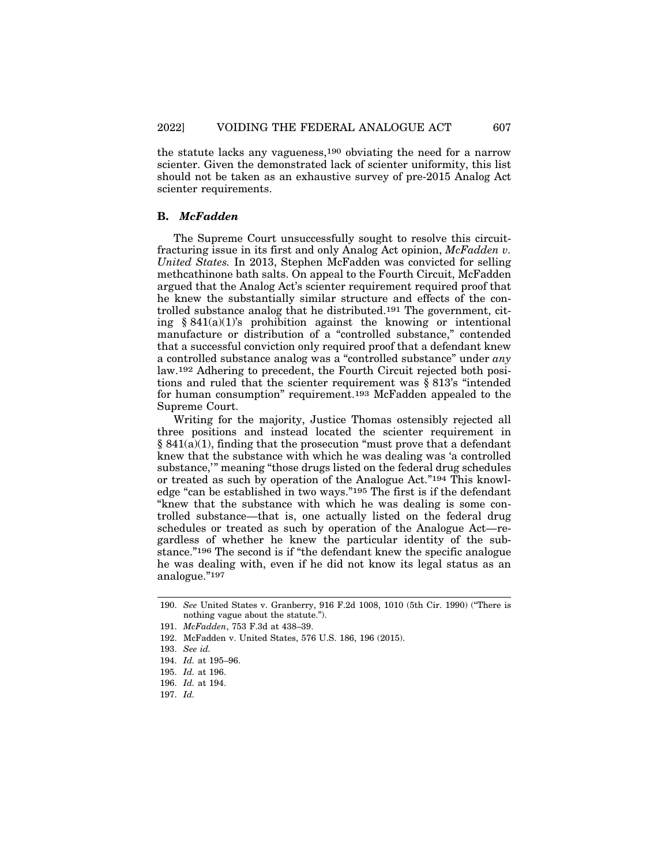the statute lacks any vagueness,190 obviating the need for a narrow scienter. Given the demonstrated lack of scienter uniformity, this list should not be taken as an exhaustive survey of pre-2015 Analog Act scienter requirements.

## **B.** *McFadden*

The Supreme Court unsuccessfully sought to resolve this circuitfracturing issue in its first and only Analog Act opinion, *McFadden v. United States.* In 2013, Stephen McFadden was convicted for selling methcathinone bath salts. On appeal to the Fourth Circuit, McFadden argued that the Analog Act's scienter requirement required proof that he knew the substantially similar structure and effects of the controlled substance analog that he distributed.191 The government, citing  $§ 841(a)(1)$ 's prohibition against the knowing or intentional manufacture or distribution of a "controlled substance," contended that a successful conviction only required proof that a defendant knew a controlled substance analog was a "controlled substance" under *any* law.192 Adhering to precedent, the Fourth Circuit rejected both positions and ruled that the scienter requirement was § 813's "intended for human consumption" requirement.193 McFadden appealed to the Supreme Court.

Writing for the majority, Justice Thomas ostensibly rejected all three positions and instead located the scienter requirement in  $§ 841(a)(1)$ , finding that the prosecution "must prove that a defendant" knew that the substance with which he was dealing was 'a controlled substance,'" meaning "those drugs listed on the federal drug schedules or treated as such by operation of the Analogue Act."194 This knowledge "can be established in two ways."195 The first is if the defendant "knew that the substance with which he was dealing is some controlled substance—that is, one actually listed on the federal drug schedules or treated as such by operation of the Analogue Act—regardless of whether he knew the particular identity of the substance."196 The second is if "the defendant knew the specific analogue he was dealing with, even if he did not know its legal status as an analogue."197

<sup>190.</sup> *See* United States v. Granberry, 916 F.2d 1008, 1010 (5th Cir. 1990) ("There is nothing vague about the statute.").

<sup>191.</sup> *McFadden*, 753 F.3d at 438–39.

<sup>192.</sup> McFadden v. United States, 576 U.S. 186, 196 (2015).

<sup>193.</sup> *See id.*

<sup>194.</sup> *Id.* at 195–96.

<sup>195.</sup> *Id.* at 196.

<sup>196.</sup> *Id.* at 194.

<sup>197.</sup> *Id.*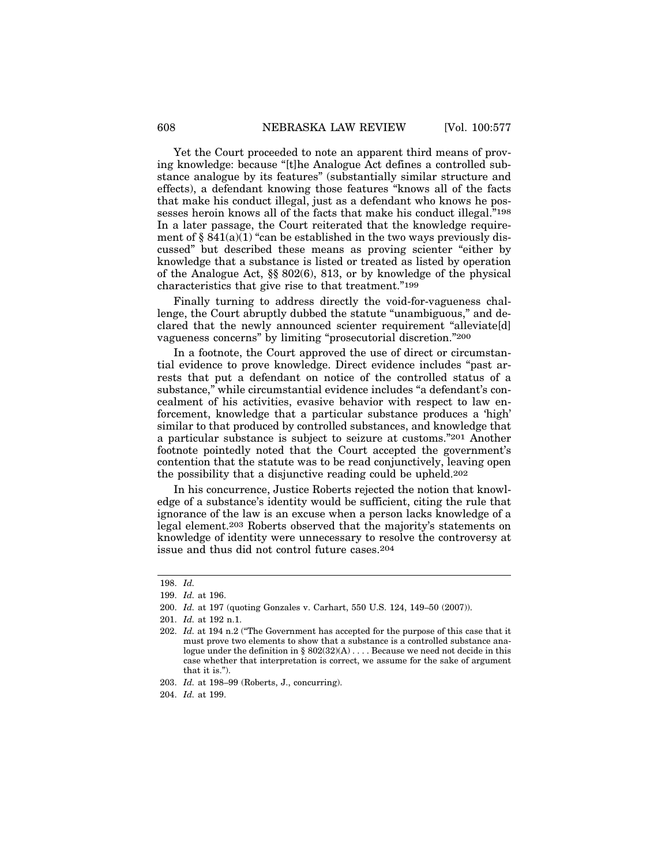Yet the Court proceeded to note an apparent third means of proving knowledge: because "[t]he Analogue Act defines a controlled substance analogue by its features" (substantially similar structure and effects), a defendant knowing those features "knows all of the facts that make his conduct illegal, just as a defendant who knows he possesses heroin knows all of the facts that make his conduct illegal."198 In a later passage, the Court reiterated that the knowledge requirement of  $\S 841(a)(1)$  "can be established in the two ways previously discussed" but described these means as proving scienter "either by knowledge that a substance is listed or treated as listed by operation of the Analogue Act, §§ 802(6), 813, or by knowledge of the physical characteristics that give rise to that treatment."199

Finally turning to address directly the void-for-vagueness challenge, the Court abruptly dubbed the statute "unambiguous," and declared that the newly announced scienter requirement "alleviate[d] vagueness concerns" by limiting "prosecutorial discretion."200

In a footnote, the Court approved the use of direct or circumstantial evidence to prove knowledge. Direct evidence includes "past arrests that put a defendant on notice of the controlled status of a substance," while circumstantial evidence includes "a defendant's concealment of his activities, evasive behavior with respect to law enforcement, knowledge that a particular substance produces a 'high' similar to that produced by controlled substances, and knowledge that a particular substance is subject to seizure at customs."201 Another footnote pointedly noted that the Court accepted the government's contention that the statute was to be read conjunctively, leaving open the possibility that a disjunctive reading could be upheld.202

In his concurrence, Justice Roberts rejected the notion that knowledge of a substance's identity would be sufficient, citing the rule that ignorance of the law is an excuse when a person lacks knowledge of a legal element.203 Roberts observed that the majority's statements on knowledge of identity were unnecessary to resolve the controversy at issue and thus did not control future cases.204

<sup>198.</sup> *Id.*

<sup>199.</sup> *Id.* at 196.

<sup>200.</sup> *Id.* at 197 (quoting Gonzales v. Carhart, 550 U.S. 124, 149–50 (2007)).

<sup>201.</sup> *Id.* at 192 n.1.

<sup>202.</sup> *Id.* at 194 n.2 ("The Government has accepted for the purpose of this case that it must prove two elements to show that a substance is a controlled substance analogue under the definition in §  $802(32)(A)$ ... Because we need not decide in this case whether that interpretation is correct, we assume for the sake of argument that it is.").

<sup>203.</sup> *Id.* at 198–99 (Roberts, J., concurring).

<sup>204.</sup> *Id.* at 199.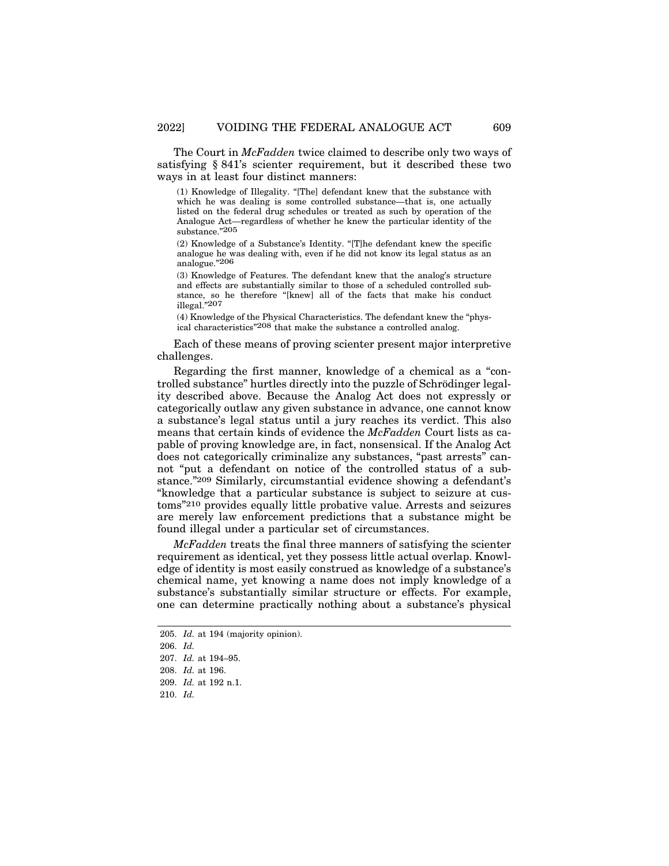The Court in *McFadden* twice claimed to describe only two ways of satisfying § 841's scienter requirement, but it described these two ways in at least four distinct manners:

(1) Knowledge of Illegality. "[The] defendant knew that the substance with which he was dealing is some controlled substance—that is, one actually listed on the federal drug schedules or treated as such by operation of the Analogue Act—regardless of whether he knew the particular identity of the substance."205

(2) Knowledge of a Substance's Identity. "[T]he defendant knew the specific analogue he was dealing with, even if he did not know its legal status as an analogue."206

(3) Knowledge of Features. The defendant knew that the analog's structure and effects are substantially similar to those of a scheduled controlled substance, so he therefore "[knew] all of the facts that make his conduct illegal."207

(4) Knowledge of the Physical Characteristics. The defendant knew the "physical characteristics"<sup>208</sup> that make the substance a controlled analog.

Each of these means of proving scienter present major interpretive challenges.

Regarding the first manner, knowledge of a chemical as a "controlled substance" hurtles directly into the puzzle of Schrödinger legality described above. Because the Analog Act does not expressly or categorically outlaw any given substance in advance, one cannot know a substance's legal status until a jury reaches its verdict. This also means that certain kinds of evidence the *McFadden* Court lists as capable of proving knowledge are, in fact, nonsensical. If the Analog Act does not categorically criminalize any substances, "past arrests" cannot "put a defendant on notice of the controlled status of a substance."209 Similarly, circumstantial evidence showing a defendant's "knowledge that a particular substance is subject to seizure at customs"210 provides equally little probative value. Arrests and seizures are merely law enforcement predictions that a substance might be found illegal under a particular set of circumstances.

*McFadden* treats the final three manners of satisfying the scienter requirement as identical, yet they possess little actual overlap. Knowledge of identity is most easily construed as knowledge of a substance's chemical name, yet knowing a name does not imply knowledge of a substance's substantially similar structure or effects. For example, one can determine practically nothing about a substance's physical

<sup>205.</sup> *Id.* at 194 (majority opinion).

<sup>206.</sup> *Id.*

<sup>207.</sup> *Id.* at 194–95.

<sup>208.</sup> *Id.* at 196.

<sup>209.</sup> *Id.* at 192 n.1.

<sup>210.</sup> *Id.*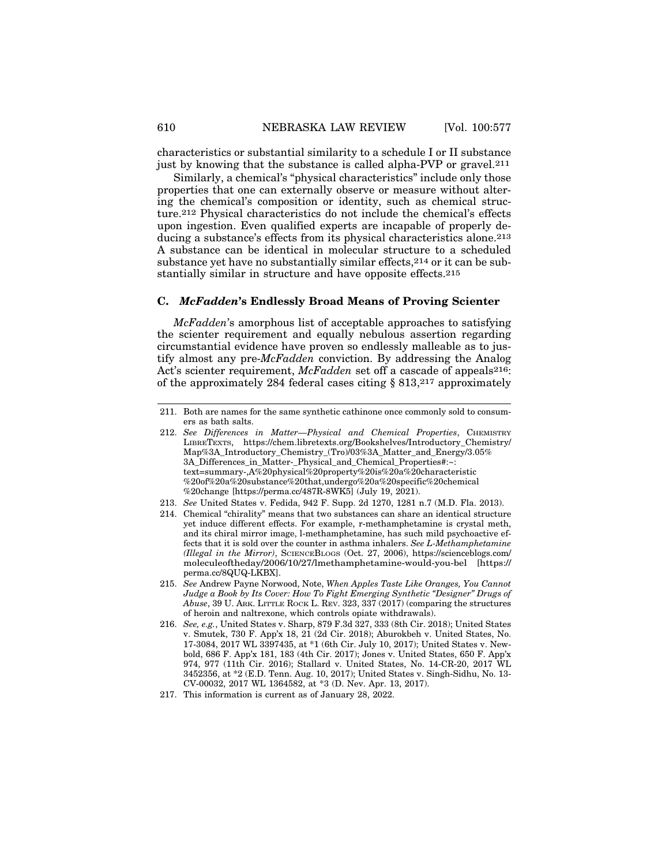characteristics or substantial similarity to a schedule I or II substance just by knowing that the substance is called alpha-PVP or gravel.211

Similarly, a chemical's "physical characteristics" include only those properties that one can externally observe or measure without altering the chemical's composition or identity, such as chemical structure.212 Physical characteristics do not include the chemical's effects upon ingestion. Even qualified experts are incapable of properly deducing a substance's effects from its physical characteristics alone.213 A substance can be identical in molecular structure to a scheduled substance yet have no substantially similar effects,214 or it can be substantially similar in structure and have opposite effects.215

## **C.** *McFadden***'s Endlessly Broad Means of Proving Scienter**

*McFadden*'s amorphous list of acceptable approaches to satisfying the scienter requirement and equally nebulous assertion regarding circumstantial evidence have proven so endlessly malleable as to justify almost any pre-*McFadden* conviction. By addressing the Analog Act's scienter requirement, *McFadden* set off a cascade of appeals<sup>216</sup>: of the approximately 284 federal cases citing § 813,217 approximately

- 214. Chemical "chirality" means that two substances can share an identical structure yet induce different effects. For example, r-methamphetamine is crystal meth, and its chiral mirror image, l-methamphetamine, has such mild psychoactive effects that it is sold over the counter in asthma inhalers. *See L-Methamphetamine (Illegal in the Mirror)*, SCIENCEBLOGS (Oct. 27, 2006), https://scienceblogs.com/ moleculeoftheday/2006/10/27/lmethamphetamine-would-you-bel [https:// perma.cc/8QUQ-LKBX].
- 215. *See* Andrew Payne Norwood, Note, *When Apples Taste Like Oranges, You Cannot Judge a Book by Its Cover: How To Fight Emerging Synthetic "Designer" Drugs of Abuse*, 39 U. ARK. LITTLE ROCK L. REV. 323, 337 (2017) (comparing the structures of heroin and naltrexone, which controls opiate withdrawals).
- 216. *See, e.g.*, United States v. Sharp, 879 F.3d 327, 333 (8th Cir. 2018); United States v. Smutek, 730 F. App'x 18, 21 (2d Cir. 2018); Aburokbeh v. United States, No. 17-3084, 2017 WL 3397435, at \*1 (6th Cir. July 10, 2017); United States v. Newbold, 686 F. App'x 181, 183 (4th Cir. 2017); Jones v. United States, 650 F. App'x 974, 977 (11th Cir. 2016); Stallard v. United States, No. 14-CR-20, 2017 WL 3452356, at \*2 (E.D. Tenn. Aug. 10, 2017); United States v. Singh-Sidhu, No. 13- CV-00032, 2017 WL 1364582, at \*3 (D. Nev. Apr. 13, 2017).

<sup>211.</sup> Both are names for the same synthetic cathinone once commonly sold to consumers as bath salts.

<sup>212.</sup> See Differences in Matter-Physical and Chemical Properties, CHEMISTRY LIBRETEXTS, https://chem.libretexts.org/Bookshelves/Introductory\_Chemistry/ Map%3A\_Introductory\_Chemistry\_(Tro)/03%3A\_Matter\_and\_Energy/3.05% 3A Differences in Matter- Physical and Chemical Properties#:~: text=summary-,A%20physical%20property%20is%20a%20characteristic %20of%20a%20substance%20that,undergo%20a%20specific%20chemical %20change [https://perma.cc/487R-8WK5] (July 19, 2021).

<sup>213.</sup> *See* United States v. Fedida, 942 F. Supp. 2d 1270, 1281 n.7 (M.D. Fla. 2013).

<sup>217.</sup> This information is current as of January 28, 2022.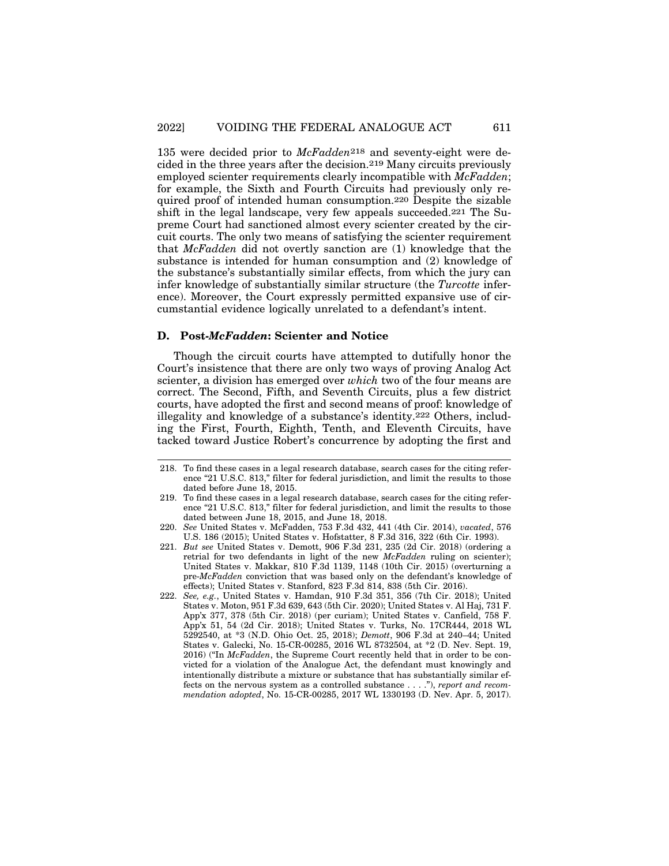135 were decided prior to *McFadden*218 and seventy-eight were decided in the three years after the decision.219 Many circuits previously employed scienter requirements clearly incompatible with *McFadden*; for example, the Sixth and Fourth Circuits had previously only required proof of intended human consumption.220 Despite the sizable shift in the legal landscape, very few appeals succeeded.221 The Supreme Court had sanctioned almost every scienter created by the circuit courts. The only two means of satisfying the scienter requirement that *McFadden* did not overtly sanction are (1) knowledge that the substance is intended for human consumption and (2) knowledge of the substance's substantially similar effects, from which the jury can infer knowledge of substantially similar structure (the *Turcotte* inference). Moreover, the Court expressly permitted expansive use of circumstantial evidence logically unrelated to a defendant's intent.

## **D. Post-***McFadden***: Scienter and Notice**

Though the circuit courts have attempted to dutifully honor the Court's insistence that there are only two ways of proving Analog Act scienter, a division has emerged over *which* two of the four means are correct. The Second, Fifth, and Seventh Circuits, plus a few district courts, have adopted the first and second means of proof: knowledge of illegality and knowledge of a substance's identity.222 Others, including the First, Fourth, Eighth, Tenth, and Eleventh Circuits, have tacked toward Justice Robert's concurrence by adopting the first and

<sup>218.</sup> To find these cases in a legal research database, search cases for the citing reference "21 U.S.C. 813," filter for federal jurisdiction, and limit the results to those dated before June 18, 2015.

<sup>219.</sup> To find these cases in a legal research database, search cases for the citing reference "21 U.S.C. 813," filter for federal jurisdiction, and limit the results to those dated between June 18, 2015, and June 18, 2018.

<sup>220.</sup> *See* United States v. McFadden, 753 F.3d 432, 441 (4th Cir. 2014), *vacated*, 576 U.S. 186 (2015); United States v. Hofstatter, 8 F.3d 316, 322 (6th Cir. 1993).

<sup>221.</sup> *But see* United States v. Demott, 906 F.3d 231, 235 (2d Cir. 2018) (ordering a retrial for two defendants in light of the new *McFadden* ruling on scienter); United States v. Makkar, 810 F.3d 1139, 1148 (10th Cir. 2015) (overturning a pre-*McFadden* conviction that was based only on the defendant's knowledge of effects); United States v. Stanford, 823 F.3d 814, 838 (5th Cir. 2016).

<sup>222.</sup> *See, e.g.*, United States v. Hamdan, 910 F.3d 351, 356 (7th Cir. 2018); United States v. Moton, 951 F.3d 639, 643 (5th Cir. 2020); United States v. Al Haj, 731 F. App'x 377, 378 (5th Cir. 2018) (per curiam); United States v. Canfield, 758 F. App'x 51, 54 (2d Cir. 2018); United States v. Turks, No. 17CR444, 2018 WL 5292540, at \*3 (N.D. Ohio Oct. 25, 2018); *Demott*, 906 F.3d at 240–44; United States v. Galecki, No. 15-CR-00285, 2016 WL 8732504, at \*2 (D. Nev. Sept. 19, 2016) ("In *McFadden*, the Supreme Court recently held that in order to be convicted for a violation of the Analogue Act, the defendant must knowingly and intentionally distribute a mixture or substance that has substantially similar effects on the nervous system as a controlled substance . . . ."), *report and recommendation adopted*, No. 15-CR-00285, 2017 WL 1330193 (D. Nev. Apr. 5, 2017).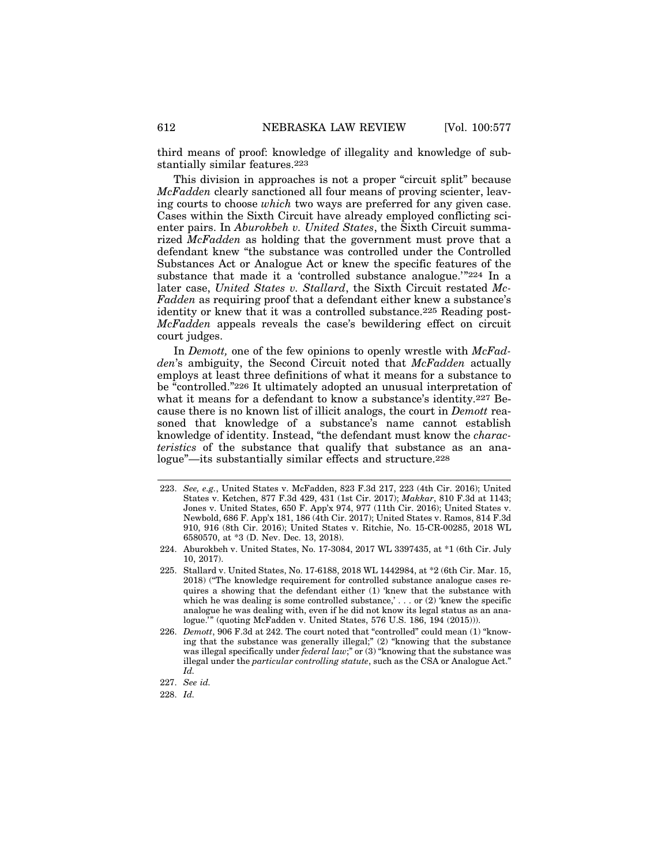third means of proof: knowledge of illegality and knowledge of substantially similar features.223

This division in approaches is not a proper "circuit split" because *McFadden* clearly sanctioned all four means of proving scienter, leaving courts to choose *which* two ways are preferred for any given case. Cases within the Sixth Circuit have already employed conflicting scienter pairs. In *Aburokbeh v. United States*, the Sixth Circuit summarized *McFadden* as holding that the government must prove that a defendant knew "the substance was controlled under the Controlled Substances Act or Analogue Act or knew the specific features of the substance that made it a 'controlled substance analogue.'"224 In a later case, *United States v. Stallard*, the Sixth Circuit restated *Mc-Fadden* as requiring proof that a defendant either knew a substance's identity or knew that it was a controlled substance.225 Reading post-*McFadden* appeals reveals the case's bewildering effect on circuit court judges.

In *Demott,* one of the few opinions to openly wrestle with *McFadden*'s ambiguity, the Second Circuit noted that *McFadden* actually employs at least three definitions of what it means for a substance to be "controlled."226 It ultimately adopted an unusual interpretation of what it means for a defendant to know a substance's identity.227 Because there is no known list of illicit analogs, the court in *Demott* reasoned that knowledge of a substance's name cannot establish knowledge of identity. Instead, "the defendant must know the *characteristics* of the substance that qualify that substance as an analogue"—its substantially similar effects and structure.228

<sup>223.</sup> *See, e.g.*, United States v. McFadden, 823 F.3d 217, 223 (4th Cir. 2016); United States v. Ketchen, 877 F.3d 429, 431 (1st Cir. 2017); *Makkar*, 810 F.3d at 1143; Jones v. United States, 650 F. App'x 974, 977 (11th Cir. 2016); United States v. Newbold, 686 F. App'x 181, 186 (4th Cir. 2017); United States v. Ramos, 814 F.3d 910, 916 (8th Cir. 2016); United States v. Ritchie, No. 15-CR-00285, 2018 WL 6580570, at \*3 (D. Nev. Dec. 13, 2018).

<sup>224.</sup> Aburokbeh v. United States, No. 17-3084, 2017 WL 3397435, at \*1 (6th Cir. July 10, 2017).

<sup>225.</sup> Stallard v. United States, No. 17-6188, 2018 WL 1442984, at \*2 (6th Cir. Mar. 15, 2018) ("The knowledge requirement for controlled substance analogue cases requires a showing that the defendant either (1) 'knew that the substance with which he was dealing is some controlled substance,' . . . or (2) 'knew the specific analogue he was dealing with, even if he did not know its legal status as an analogue.'" (quoting McFadden v. United States, 576 U.S. 186, 194 (2015))).

<sup>226.</sup> *Demott*, 906 F.3d at 242. The court noted that "controlled" could mean (1) "knowing that the substance was generally illegal;" (2) "knowing that the substance was illegal specifically under *federal law*;" or (3) "knowing that the substance was illegal under the *particular controlling statute*, such as the CSA or Analogue Act." *Id.*

<sup>227.</sup> *See id.*

<sup>228.</sup> *Id.*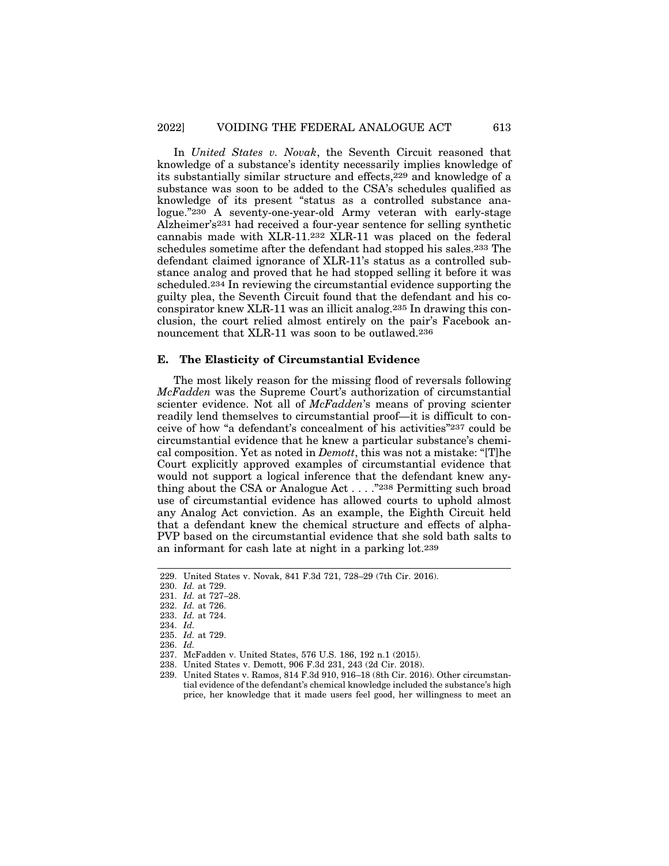In *United States v. Novak*, the Seventh Circuit reasoned that knowledge of a substance's identity necessarily implies knowledge of its substantially similar structure and effects,229 and knowledge of a substance was soon to be added to the CSA's schedules qualified as knowledge of its present "status as a controlled substance analogue."230 A seventy-one-year-old Army veteran with early-stage Alzheimer's231 had received a four-year sentence for selling synthetic cannabis made with XLR-11.232 XLR-11 was placed on the federal schedules sometime after the defendant had stopped his sales.233 The defendant claimed ignorance of XLR-11's status as a controlled substance analog and proved that he had stopped selling it before it was scheduled.234 In reviewing the circumstantial evidence supporting the guilty plea, the Seventh Circuit found that the defendant and his coconspirator knew XLR-11 was an illicit analog.235 In drawing this conclusion, the court relied almost entirely on the pair's Facebook announcement that XLR-11 was soon to be outlawed.236

## **E. The Elasticity of Circumstantial Evidence**

The most likely reason for the missing flood of reversals following *McFadden* was the Supreme Court's authorization of circumstantial scienter evidence. Not all of *McFadden*'s means of proving scienter readily lend themselves to circumstantial proof—it is difficult to conceive of how "a defendant's concealment of his activities"237 could be circumstantial evidence that he knew a particular substance's chemical composition. Yet as noted in *Demott*, this was not a mistake: "[T]he Court explicitly approved examples of circumstantial evidence that would not support a logical inference that the defendant knew anything about the CSA or Analogue Act . . . ."238 Permitting such broad use of circumstantial evidence has allowed courts to uphold almost any Analog Act conviction. As an example, the Eighth Circuit held that a defendant knew the chemical structure and effects of alpha-PVP based on the circumstantial evidence that she sold bath salts to an informant for cash late at night in a parking lot.239

<sup>229.</sup> United States v. Novak, 841 F.3d 721, 728–29 (7th Cir. 2016).

<sup>230.</sup> *Id.* at 729.

<sup>231.</sup> *Id.* at 727–28.

<sup>232.</sup> *Id.* at 726.

<sup>233.</sup> *Id.* at 724.

<sup>234.</sup> *Id.*

<sup>235.</sup> *Id.* at 729.

<sup>236.</sup> *Id.*

<sup>237.</sup> McFadden v. United States, 576 U.S. 186, 192 n.1 (2015).

<sup>238.</sup> United States v. Demott, 906 F.3d 231, 243 (2d Cir. 2018).

<sup>239.</sup> United States v. Ramos, 814 F.3d 910, 916–18 (8th Cir. 2016). Other circumstantial evidence of the defendant's chemical knowledge included the substance's high price, her knowledge that it made users feel good, her willingness to meet an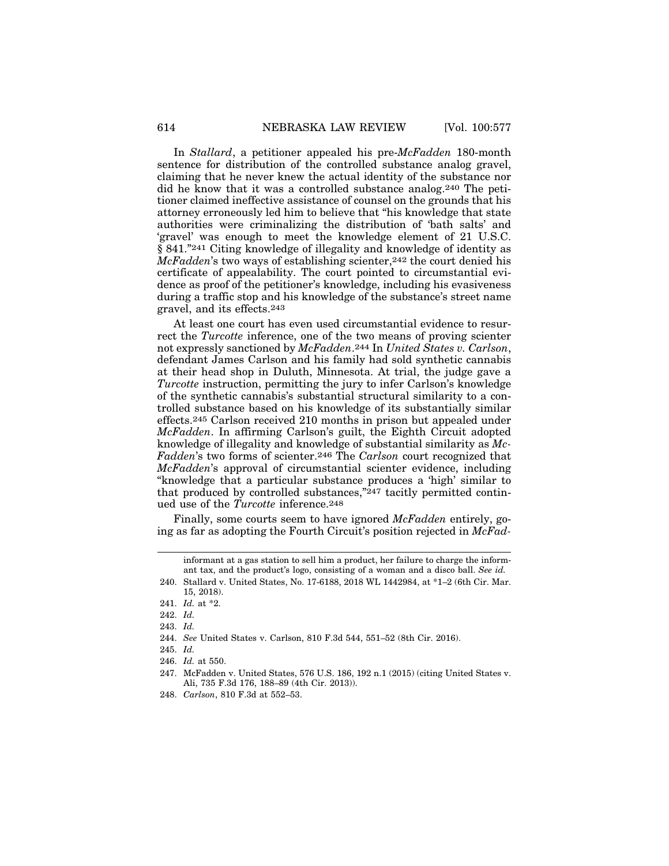In *Stallard*, a petitioner appealed his pre-*McFadden* 180-month sentence for distribution of the controlled substance analog gravel, claiming that he never knew the actual identity of the substance nor did he know that it was a controlled substance analog.240 The petitioner claimed ineffective assistance of counsel on the grounds that his attorney erroneously led him to believe that "his knowledge that state authorities were criminalizing the distribution of 'bath salts' and 'gravel' was enough to meet the knowledge element of 21 U.S.C. § 841."241 Citing knowledge of illegality and knowledge of identity as *McFadden*'s two ways of establishing scienter,<sup>242</sup> the court denied his certificate of appealability. The court pointed to circumstantial evidence as proof of the petitioner's knowledge, including his evasiveness during a traffic stop and his knowledge of the substance's street name gravel, and its effects.243

At least one court has even used circumstantial evidence to resurrect the *Turcotte* inference, one of the two means of proving scienter not expressly sanctioned by *McFadden*.244 In *United States v. Carlson*, defendant James Carlson and his family had sold synthetic cannabis at their head shop in Duluth, Minnesota. At trial, the judge gave a *Turcotte* instruction, permitting the jury to infer Carlson's knowledge of the synthetic cannabis's substantial structural similarity to a controlled substance based on his knowledge of its substantially similar effects.245 Carlson received 210 months in prison but appealed under *McFadden*. In affirming Carlson's guilt, the Eighth Circuit adopted knowledge of illegality and knowledge of substantial similarity as *Mc-Fadden*'s two forms of scienter.246 The *Carlson* court recognized that *McFadden*'s approval of circumstantial scienter evidence, including "knowledge that a particular substance produces a 'high' similar to that produced by controlled substances,"247 tacitly permitted continued use of the *Turcotte* inference.248

Finally, some courts seem to have ignored *McFadden* entirely, going as far as adopting the Fourth Circuit's position rejected in *McFad-*

informant at a gas station to sell him a product, her failure to charge the informant tax, and the product's logo, consisting of a woman and a disco ball. *See id.*

<sup>240.</sup> Stallard v. United States, No. 17-6188, 2018 WL 1442984, at \*1–2 (6th Cir. Mar. 15, 2018).

<sup>241.</sup> *Id.* at \*2.

<sup>242.</sup> *Id.*

<sup>243.</sup> *Id.*

<sup>244.</sup> *See* United States v. Carlson, 810 F.3d 544, 551–52 (8th Cir. 2016).

<sup>245.</sup> *Id.*

<sup>246.</sup> *Id.* at 550.

<sup>247.</sup> McFadden v. United States, 576 U.S. 186, 192 n.1 (2015) (citing United States v. Ali, 735 F.3d 176, 188–89 (4th Cir. 2013)).

<sup>248.</sup> *Carlson*, 810 F.3d at 552–53.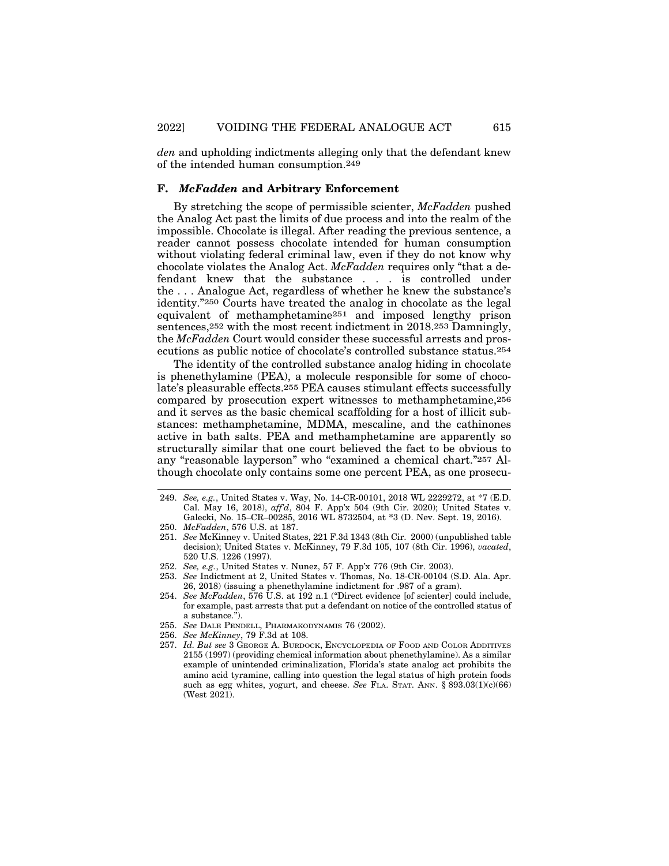*den* and upholding indictments alleging only that the defendant knew of the intended human consumption.249

## **F.** *McFadden* **and Arbitrary Enforcement**

By stretching the scope of permissible scienter, *McFadden* pushed the Analog Act past the limits of due process and into the realm of the impossible. Chocolate is illegal. After reading the previous sentence, a reader cannot possess chocolate intended for human consumption without violating federal criminal law, even if they do not know why chocolate violates the Analog Act. *McFadden* requires only "that a defendant knew that the substance . . . is controlled under the . . . Analogue Act, regardless of whether he knew the substance's identity."250 Courts have treated the analog in chocolate as the legal equivalent of methamphetamine251 and imposed lengthy prison sentences,<sup>252</sup> with the most recent indictment in 2018.<sup>253</sup> Damningly, the *McFadden* Court would consider these successful arrests and prosecutions as public notice of chocolate's controlled substance status.254

The identity of the controlled substance analog hiding in chocolate is phenethylamine (PEA), a molecule responsible for some of chocolate's pleasurable effects.255 PEA causes stimulant effects successfully compared by prosecution expert witnesses to methamphetamine,256 and it serves as the basic chemical scaffolding for a host of illicit substances: methamphetamine, MDMA, mescaline, and the cathinones active in bath salts. PEA and methamphetamine are apparently so structurally similar that one court believed the fact to be obvious to any "reasonable layperson" who "examined a chemical chart."257 Although chocolate only contains some one percent PEA, as one prosecu-

<sup>249.</sup> *See, e.g.*, United States v. Way, No. 14-CR-00101, 2018 WL 2229272, at \*7 (E.D. Cal. May 16, 2018), *aff'd*, 804 F. App'x 504 (9th Cir. 2020); United States v. Galecki, No. 15–CR–00285, 2016 WL 8732504, at \*3 (D. Nev. Sept. 19, 2016).

<sup>250.</sup> *McFadden*, 576 U.S. at 187.

<sup>251.</sup> *See* McKinney v. United States, 221 F.3d 1343 (8th Cir. 2000) (unpublished table decision); United States v. McKinney, 79 F.3d 105, 107 (8th Cir. 1996), *vacated*, 520 U.S. 1226 (1997).

<sup>252.</sup> *See, e.g.*, United States v. Nunez, 57 F. App'x 776 (9th Cir. 2003).

<sup>253.</sup> *See* Indictment at 2, United States v. Thomas, No. 18-CR-00104 (S.D. Ala. Apr. 26, 2018) (issuing a phenethylamine indictment for .987 of a gram).

<sup>254.</sup> *See McFadden*, 576 U.S. at 192 n.1 ("Direct evidence [of scienter] could include, for example, past arrests that put a defendant on notice of the controlled status of a substance.").

<sup>255.</sup> *See* DALE PENDELL, PHARMAKODYNAMIS 76 (2002).

<sup>256.</sup> *See McKinney*, 79 F.3d at 108.

<sup>257.</sup> *Id. But see* 3 GEORGE A. BURDOCK, ENCYCLOPEDIA OF FOOD AND COLOR ADDITIVES 2155 (1997) (providing chemical information about phenethylamine). As a similar example of unintended criminalization, Florida's state analog act prohibits the amino acid tyramine, calling into question the legal status of high protein foods such as egg whites, yogurt, and cheese. *See* FLA. STAT. ANN. § 893.03(1)(c)(66) (West 2021).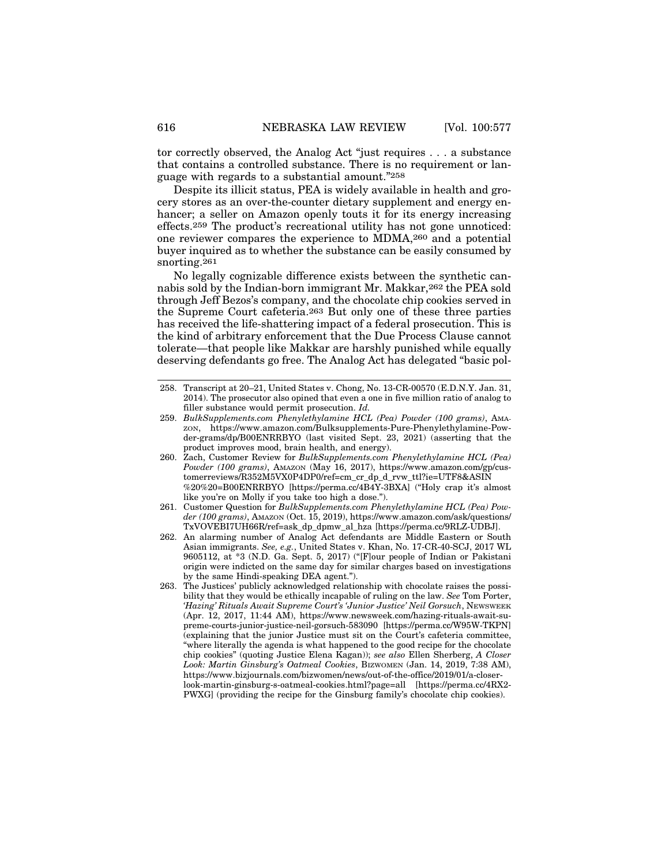tor correctly observed, the Analog Act "just requires . . . a substance that contains a controlled substance. There is no requirement or language with regards to a substantial amount."258

Despite its illicit status, PEA is widely available in health and grocery stores as an over-the-counter dietary supplement and energy enhancer; a seller on Amazon openly touts it for its energy increasing effects.259 The product's recreational utility has not gone unnoticed: one reviewer compares the experience to MDMA,260 and a potential buyer inquired as to whether the substance can be easily consumed by snorting.261

No legally cognizable difference exists between the synthetic cannabis sold by the Indian-born immigrant Mr. Makkar,262 the PEA sold through Jeff Bezos's company, and the chocolate chip cookies served in the Supreme Court cafeteria.263 But only one of these three parties has received the life-shattering impact of a federal prosecution. This is the kind of arbitrary enforcement that the Due Process Clause cannot tolerate—that people like Makkar are harshly punished while equally deserving defendants go free. The Analog Act has delegated "basic pol-

<sup>258.</sup> Transcript at 20–21, United States v. Chong, No. 13-CR-00570 (E.D.N.Y. Jan. 31, 2014). The prosecutor also opined that even a one in five million ratio of analog to filler substance would permit prosecution. *Id.*

<sup>259.</sup> *BulkSupplements.com Phenylethylamine HCL (Pea) Powder (100 grams)*, AMA-ZON, https://www.amazon.com/Bulksupplements-Pure-Phenylethylamine-Powder-grams/dp/B00ENRRBYO (last visited Sept. 23, 2021) (asserting that the product improves mood, brain health, and energy).

<sup>260.</sup> Zach, Customer Review for *BulkSupplements.com Phenylethylamine HCL (Pea) Powder (100 grams)*, AMAZON (May 16, 2017), https://www.amazon.com/gp/customerreviews/R352M5VX0P4DP0/ref=cm\_cr\_dp\_d\_rvw\_ttl?ie=UTF8&ASIN %20%20=B00ENRRBYO [https://perma.cc/4B4Y-3BXA] ("Holy crap it's almost like you're on Molly if you take too high a dose.").

<sup>261.</sup> Customer Question for *BulkSupplements.com Phenylethylamine HCL (Pea) Powder (100 grams)*, AMAZON (Oct. 15, 2019), https://www.amazon.com/ask/questions/ TxVOVEBI7UH66R/ref=ask\_dp\_dpmw\_al\_hza [https://perma.cc/9RLZ-UDBJ].

<sup>262.</sup> An alarming number of Analog Act defendants are Middle Eastern or South Asian immigrants. *See, e.g.*, United States v. Khan, No. 17-CR-40-SCJ, 2017 WL 9605112, at \*3 (N.D. Ga. Sept. 5, 2017) ("[F]our people of Indian or Pakistani origin were indicted on the same day for similar charges based on investigations by the same Hindi-speaking DEA agent.").

<sup>263.</sup> The Justices' publicly acknowledged relationship with chocolate raises the possibility that they would be ethically incapable of ruling on the law. *See* Tom Porter, *'Hazing' Rituals Await Supreme Court's 'Junior Justice' Neil Gorsuch*, NEWSWEEK (Apr. 12, 2017, 11:44 AM), https://www.newsweek.com/hazing-rituals-await-supreme-courts-junior-justice-neil-gorsuch-583090 [https://perma.cc/W95W-TKPN] (explaining that the junior Justice must sit on the Court's cafeteria committee, "where literally the agenda is what happened to the good recipe for the chocolate chip cookies" (quoting Justice Elena Kagan)); *see also* Ellen Sherberg, *A Closer Look: Martin Ginsburg's Oatmeal Cookies*, BIZWOMEN (Jan. 14, 2019, 7:38 AM), https://www.bizjournals.com/bizwomen/news/out-of-the-office/2019/01/a-closerlook-martin-ginsburg-s-oatmeal-cookies.html?page=all [https://perma.cc/4RX2- PWXG] (providing the recipe for the Ginsburg family's chocolate chip cookies).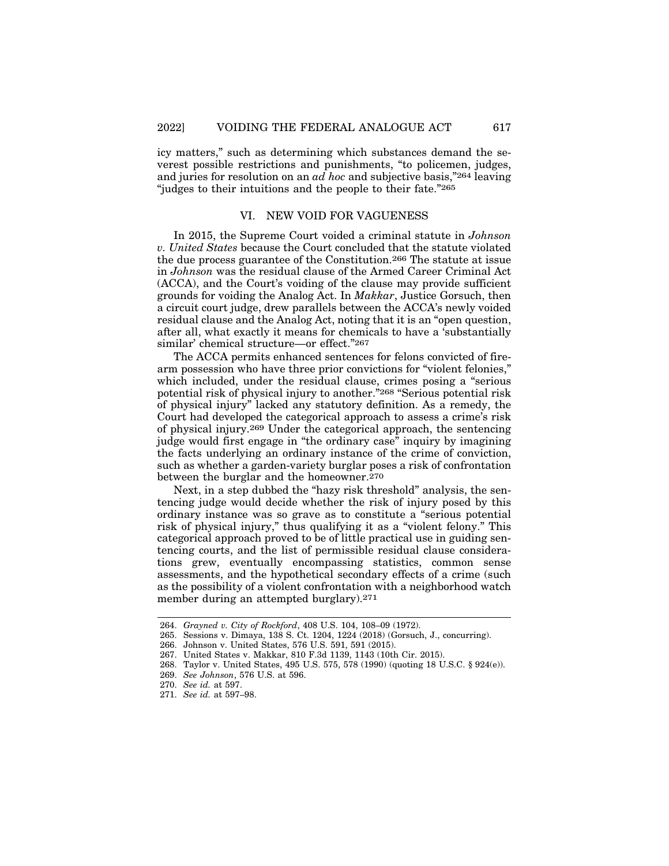icy matters," such as determining which substances demand the severest possible restrictions and punishments, "to policemen, judges, and juries for resolution on an *ad hoc* and subjective basis,"264 leaving "judges to their intuitions and the people to their fate."265

### VI. NEW VOID FOR VAGUENESS

In 2015, the Supreme Court voided a criminal statute in *Johnson v. United States* because the Court concluded that the statute violated the due process guarantee of the Constitution.266 The statute at issue in *Johnson* was the residual clause of the Armed Career Criminal Act (ACCA), and the Court's voiding of the clause may provide sufficient grounds for voiding the Analog Act. In *Makkar*, Justice Gorsuch, then a circuit court judge, drew parallels between the ACCA's newly voided residual clause and the Analog Act, noting that it is an "open question, after all, what exactly it means for chemicals to have a 'substantially similar' chemical structure—or effect."267

The ACCA permits enhanced sentences for felons convicted of firearm possession who have three prior convictions for "violent felonies," which included, under the residual clause, crimes posing a "serious potential risk of physical injury to another."268 "Serious potential risk of physical injury" lacked any statutory definition. As a remedy, the Court had developed the categorical approach to assess a crime's risk of physical injury.269 Under the categorical approach, the sentencing judge would first engage in "the ordinary case" inquiry by imagining the facts underlying an ordinary instance of the crime of conviction, such as whether a garden-variety burglar poses a risk of confrontation between the burglar and the homeowner.270

Next, in a step dubbed the "hazy risk threshold" analysis, the sentencing judge would decide whether the risk of injury posed by this ordinary instance was so grave as to constitute a "serious potential risk of physical injury," thus qualifying it as a "violent felony." This categorical approach proved to be of little practical use in guiding sentencing courts, and the list of permissible residual clause considerations grew, eventually encompassing statistics, common sense assessments, and the hypothetical secondary effects of a crime (such as the possibility of a violent confrontation with a neighborhood watch member during an attempted burglary).271

<sup>264.</sup> *Grayned v. City of Rockford*, 408 U.S. 104, 108–09 (1972).

<sup>265.</sup> Sessions v. Dimaya, 138 S. Ct. 1204, 1224 (2018) (Gorsuch, J., concurring).

<sup>266.</sup> Johnson v. United States, 576 U.S. 591, 591 (2015).

<sup>267.</sup> United States v. Makkar, 810 F.3d 1139, 1143 (10th Cir. 2015).

<sup>268.</sup> Taylor v. United States, 495 U.S. 575, 578 (1990) (quoting 18 U.S.C. § 924(e)).

<sup>269.</sup> *See Johnson*, 576 U.S. at 596.

<sup>270.</sup> *See id.* at 597.

<sup>271.</sup> *See id.* at 597–98.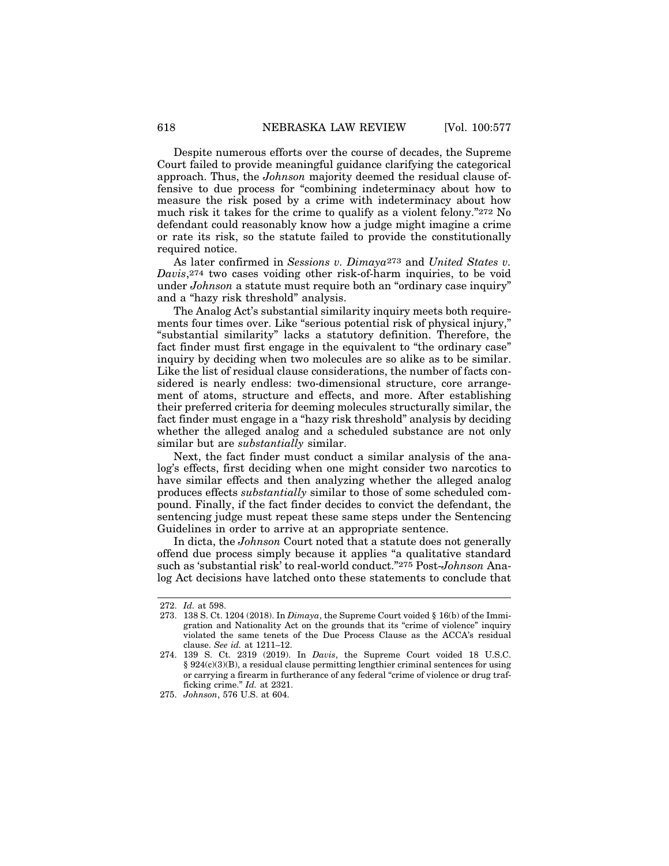Despite numerous efforts over the course of decades, the Supreme Court failed to provide meaningful guidance clarifying the categorical approach. Thus, the *Johnson* majority deemed the residual clause offensive to due process for "combining indeterminacy about how to measure the risk posed by a crime with indeterminacy about how much risk it takes for the crime to qualify as a violent felony."272 No defendant could reasonably know how a judge might imagine a crime or rate its risk, so the statute failed to provide the constitutionally required notice.

As later confirmed in *Sessions v. Dimaya*273 and *United States v. Davis*,<sup>274</sup> two cases voiding other risk-of-harm inquiries, to be void under *Johnson* a statute must require both an "ordinary case inquiry" and a "hazy risk threshold" analysis.

The Analog Act's substantial similarity inquiry meets both requirements four times over. Like "serious potential risk of physical injury," "substantial similarity" lacks a statutory definition. Therefore, the fact finder must first engage in the equivalent to "the ordinary case" inquiry by deciding when two molecules are so alike as to be similar. Like the list of residual clause considerations, the number of facts considered is nearly endless: two-dimensional structure, core arrangement of atoms, structure and effects, and more. After establishing their preferred criteria for deeming molecules structurally similar, the fact finder must engage in a "hazy risk threshold" analysis by deciding whether the alleged analog and a scheduled substance are not only similar but are *substantially* similar.

Next, the fact finder must conduct a similar analysis of the analog's effects, first deciding when one might consider two narcotics to have similar effects and then analyzing whether the alleged analog produces effects *substantially* similar to those of some scheduled compound. Finally, if the fact finder decides to convict the defendant, the sentencing judge must repeat these same steps under the Sentencing Guidelines in order to arrive at an appropriate sentence.

In dicta, the *Johnson* Court noted that a statute does not generally offend due process simply because it applies "a qualitative standard such as 'substantial risk' to real-world conduct."275 Post-*Johnson* Analog Act decisions have latched onto these statements to conclude that

<sup>272.</sup> *Id.* at 598.

<sup>273. 138</sup> S. Ct. 1204 (2018). In *Dimaya*, the Supreme Court voided § 16(b) of the Immigration and Nationality Act on the grounds that its "crime of violence" inquiry violated the same tenets of the Due Process Clause as the ACCA's residual clause. *See id.* at 1211–12.

<sup>274. 139</sup> S. Ct. 2319 (2019). In *Davis*, the Supreme Court voided 18 U.S.C. § 924(c)(3)(B), a residual clause permitting lengthier criminal sentences for using or carrying a firearm in furtherance of any federal "crime of violence or drug trafficking crime." *Id.* at 2321.

<sup>275.</sup> *Johnson*, 576 U.S. at 604.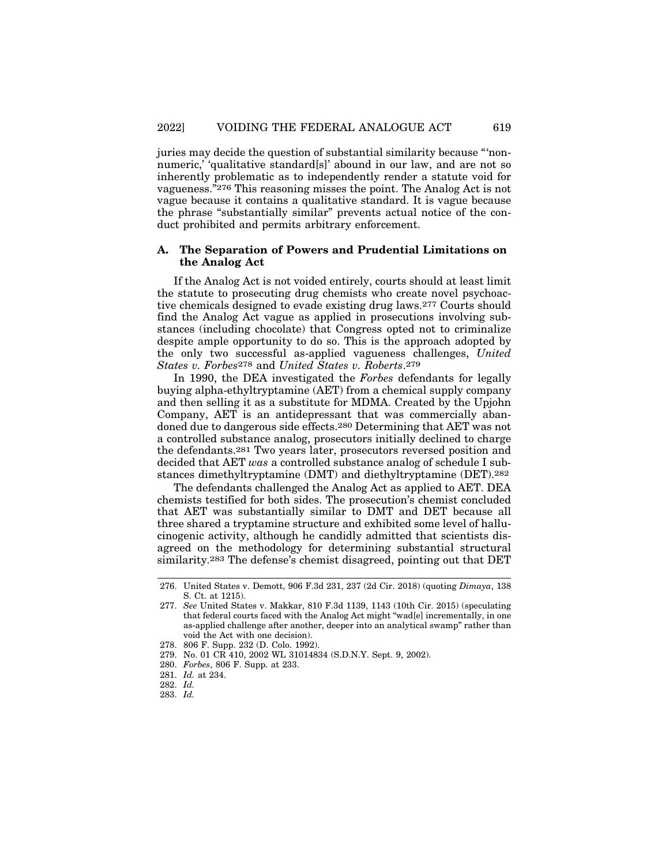juries may decide the question of substantial similarity because "'nonnumeric,' 'qualitative standard[s]' abound in our law, and are not so inherently problematic as to independently render a statute void for vagueness."276 This reasoning misses the point. The Analog Act is not vague because it contains a qualitative standard. It is vague because the phrase "substantially similar" prevents actual notice of the conduct prohibited and permits arbitrary enforcement.

## **A. The Separation of Powers and Prudential Limitations on the Analog Act**

If the Analog Act is not voided entirely, courts should at least limit the statute to prosecuting drug chemists who create novel psychoactive chemicals designed to evade existing drug laws.277 Courts should find the Analog Act vague as applied in prosecutions involving substances (including chocolate) that Congress opted not to criminalize despite ample opportunity to do so. This is the approach adopted by the only two successful as-applied vagueness challenges, *United States v. Forbes*278 and *United States v. Roberts*.279

In 1990, the DEA investigated the *Forbes* defendants for legally buying alpha-ethyltryptamine (AET) from a chemical supply company and then selling it as a substitute for MDMA. Created by the Upjohn Company, AET is an antidepressant that was commercially abandoned due to dangerous side effects.280 Determining that AET was not a controlled substance analog, prosecutors initially declined to charge the defendants.281 Two years later, prosecutors reversed position and decided that AET *was* a controlled substance analog of schedule I substances dimethyltryptamine (DMT) and diethyltryptamine (DET).282

The defendants challenged the Analog Act as applied to AET. DEA chemists testified for both sides. The prosecution's chemist concluded that AET was substantially similar to DMT and DET because all three shared a tryptamine structure and exhibited some level of hallucinogenic activity, although he candidly admitted that scientists disagreed on the methodology for determining substantial structural similarity.283 The defense's chemist disagreed, pointing out that DET

<sup>276.</sup> United States v. Demott, 906 F.3d 231, 237 (2d Cir. 2018) (quoting *Dimaya*, 138 S. Ct. at 1215).

<sup>277.</sup> *See* United States v. Makkar, 810 F.3d 1139, 1143 (10th Cir. 2015) (speculating that federal courts faced with the Analog Act might "wad[e] incrementally, in one as-applied challenge after another, deeper into an analytical swamp" rather than void the Act with one decision).

<sup>278. 806</sup> F. Supp. 232 (D. Colo. 1992).

<sup>279.</sup> No. 01 CR 410, 2002 WL 31014834 (S.D.N.Y. Sept. 9, 2002).

<sup>280.</sup> *Forbes*, 806 F. Supp. at 233.

<sup>281.</sup> *Id.* at 234.

<sup>282.</sup> *Id.*

<sup>283.</sup> *Id.*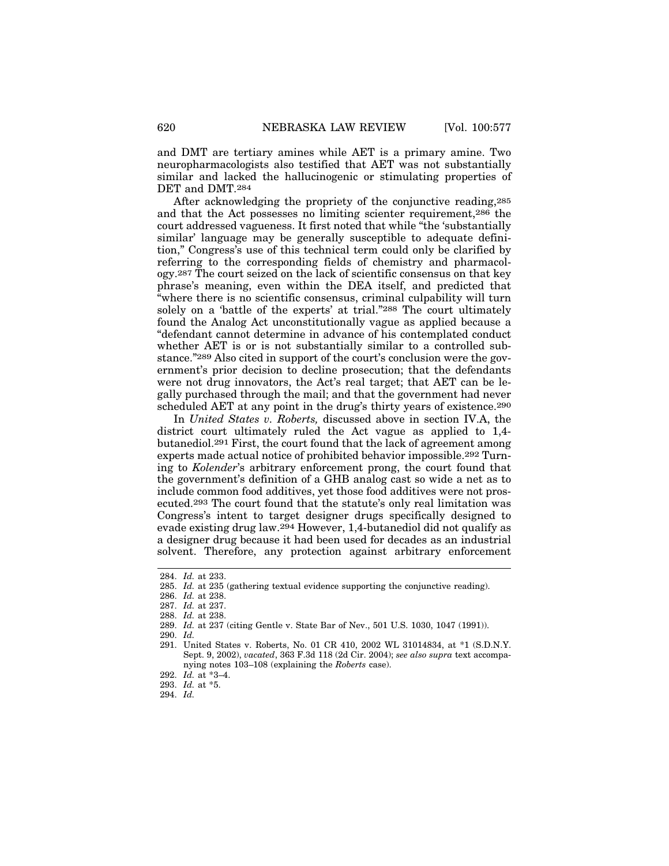and DMT are tertiary amines while AET is a primary amine. Two neuropharmacologists also testified that AET was not substantially similar and lacked the hallucinogenic or stimulating properties of DET and DMT.284

After acknowledging the propriety of the conjunctive reading,285 and that the Act possesses no limiting scienter requirement,286 the court addressed vagueness. It first noted that while "the 'substantially similar' language may be generally susceptible to adequate definition," Congress's use of this technical term could only be clarified by referring to the corresponding fields of chemistry and pharmacology.287 The court seized on the lack of scientific consensus on that key phrase's meaning, even within the DEA itself, and predicted that "where there is no scientific consensus, criminal culpability will turn solely on a 'battle of the experts' at trial."288 The court ultimately found the Analog Act unconstitutionally vague as applied because a "defendant cannot determine in advance of his contemplated conduct whether AET is or is not substantially similar to a controlled substance."289 Also cited in support of the court's conclusion were the government's prior decision to decline prosecution; that the defendants were not drug innovators, the Act's real target; that AET can be legally purchased through the mail; and that the government had never scheduled AET at any point in the drug's thirty years of existence.<sup>290</sup>

In *United States v. Roberts,* discussed above in section IV.A, the district court ultimately ruled the Act vague as applied to 1,4 butanediol.291 First, the court found that the lack of agreement among experts made actual notice of prohibited behavior impossible.292 Turning to *Kolender*'s arbitrary enforcement prong, the court found that the government's definition of a GHB analog cast so wide a net as to include common food additives, yet those food additives were not prosecuted.293 The court found that the statute's only real limitation was Congress's intent to target designer drugs specifically designed to evade existing drug law.294 However, 1,4-butanediol did not qualify as a designer drug because it had been used for decades as an industrial solvent. Therefore, any protection against arbitrary enforcement

<sup>284.</sup> *Id.* at 233.

<sup>285.</sup> *Id.* at 235 (gathering textual evidence supporting the conjunctive reading).

<sup>286.</sup> *Id.* at 238.

<sup>287.</sup> *Id.* at 237.

<sup>288.</sup> *Id.* at 238.

<sup>289.</sup> *Id.* at 237 (citing Gentle v. State Bar of Nev., 501 U.S. 1030, 1047 (1991)).

<sup>290.</sup> *Id.*

<sup>291.</sup> United States v. Roberts, No. 01 CR 410, 2002 WL 31014834, at \*1 (S.D.N.Y. Sept. 9, 2002), *vacated*, 363 F.3d 118 (2d Cir. 2004); *see also supra* text accompanying notes 103–108 (explaining the *Roberts* case).

<sup>292.</sup> *Id.* at \*3–4.

<sup>293.</sup> *Id.* at \*5.

<sup>294.</sup> *Id.*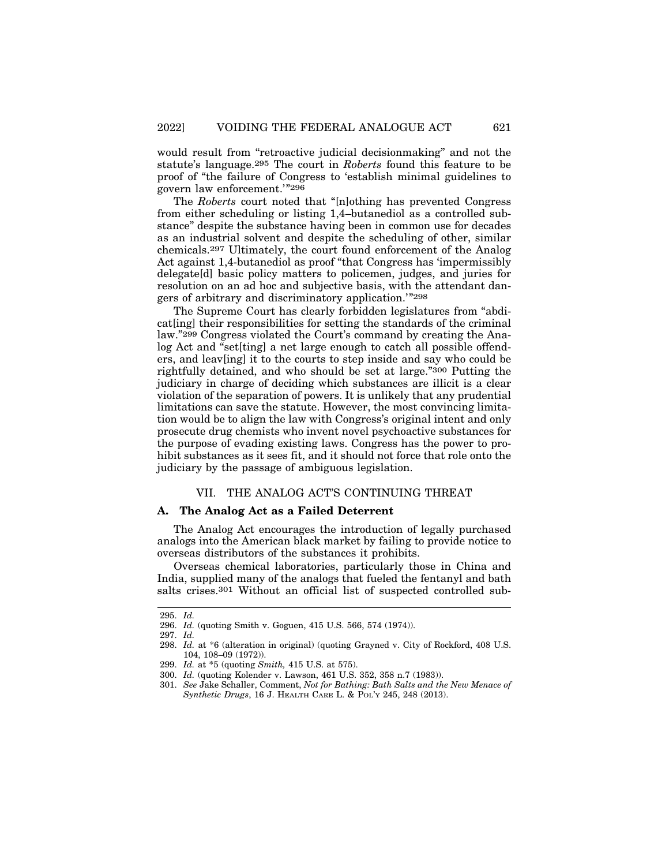would result from "retroactive judicial decisionmaking" and not the statute's language.295 The court in *Roberts* found this feature to be proof of "the failure of Congress to 'establish minimal guidelines to govern law enforcement.'"296

The *Roberts* court noted that "[n]othing has prevented Congress from either scheduling or listing 1,4–butanediol as a controlled substance" despite the substance having been in common use for decades as an industrial solvent and despite the scheduling of other, similar chemicals.297 Ultimately, the court found enforcement of the Analog Act against 1,4-butanediol as proof "that Congress has 'impermissibly delegate[d] basic policy matters to policemen, judges, and juries for resolution on an ad hoc and subjective basis, with the attendant dangers of arbitrary and discriminatory application.'"298

The Supreme Court has clearly forbidden legislatures from "abdicat[ing] their responsibilities for setting the standards of the criminal law."299 Congress violated the Court's command by creating the Analog Act and "set[ting] a net large enough to catch all possible offenders, and leav[ing] it to the courts to step inside and say who could be rightfully detained, and who should be set at large."300 Putting the judiciary in charge of deciding which substances are illicit is a clear violation of the separation of powers. It is unlikely that any prudential limitations can save the statute. However, the most convincing limitation would be to align the law with Congress's original intent and only prosecute drug chemists who invent novel psychoactive substances for the purpose of evading existing laws. Congress has the power to prohibit substances as it sees fit, and it should not force that role onto the judiciary by the passage of ambiguous legislation.

## VII. THE ANALOG ACT'S CONTINUING THREAT

## **A. The Analog Act as a Failed Deterrent**

The Analog Act encourages the introduction of legally purchased analogs into the American black market by failing to provide notice to overseas distributors of the substances it prohibits.

Overseas chemical laboratories, particularly those in China and India, supplied many of the analogs that fueled the fentanyl and bath salts crises.301 Without an official list of suspected controlled sub-

<sup>295.</sup> *Id.*

<sup>296.</sup> *Id.* (quoting Smith v. Goguen, 415 U.S. 566, 574 (1974)).

<sup>297.</sup> *Id.*

<sup>298.</sup> *Id.* at \*6 (alteration in original) (quoting Grayned v. City of Rockford, 408 U.S. 104, 108–09 (1972)).

<sup>299.</sup> *Id.* at \*5 (quoting *Smith,* 415 U.S. at 575).

<sup>300.</sup> *Id.* (quoting Kolender v. Lawson, 461 U.S. 352, 358 n.7 (1983)).

<sup>301.</sup> *See* Jake Schaller, Comment, *Not for Bathing: Bath Salts and the New Menace of Synthetic Drugs*, 16 J. HEALTH CARE L. & POL'Y 245, 248 (2013).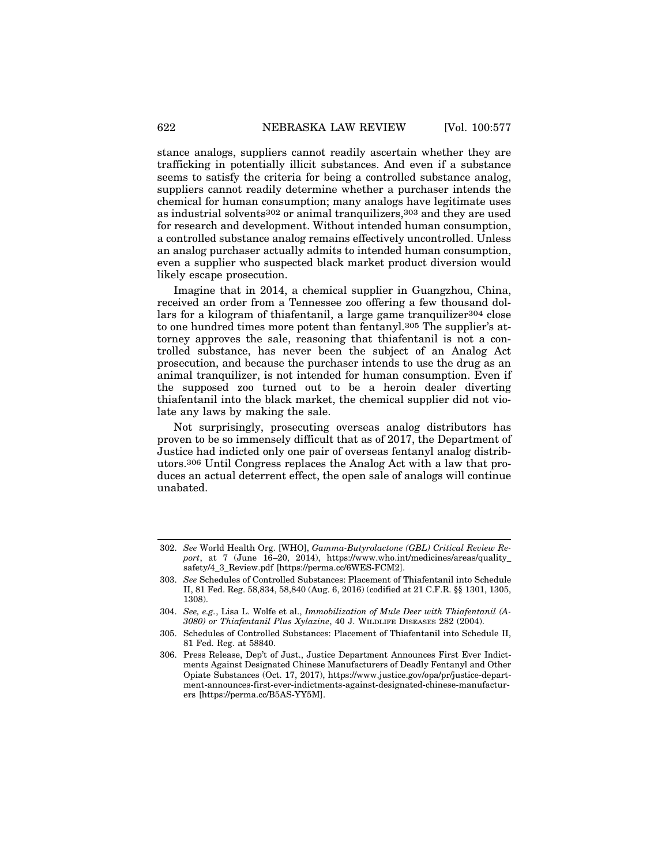stance analogs, suppliers cannot readily ascertain whether they are trafficking in potentially illicit substances. And even if a substance seems to satisfy the criteria for being a controlled substance analog, suppliers cannot readily determine whether a purchaser intends the chemical for human consumption; many analogs have legitimate uses as industrial solvents302 or animal tranquilizers,303 and they are used for research and development. Without intended human consumption, a controlled substance analog remains effectively uncontrolled. Unless an analog purchaser actually admits to intended human consumption, even a supplier who suspected black market product diversion would likely escape prosecution.

Imagine that in 2014, a chemical supplier in Guangzhou, China, received an order from a Tennessee zoo offering a few thousand dollars for a kilogram of thiafentanil, a large game tranquilizer304 close to one hundred times more potent than fentanyl.305 The supplier's attorney approves the sale, reasoning that thiafentanil is not a controlled substance, has never been the subject of an Analog Act prosecution, and because the purchaser intends to use the drug as an animal tranquilizer, is not intended for human consumption. Even if the supposed zoo turned out to be a heroin dealer diverting thiafentanil into the black market, the chemical supplier did not violate any laws by making the sale.

Not surprisingly, prosecuting overseas analog distributors has proven to be so immensely difficult that as of 2017, the Department of Justice had indicted only one pair of overseas fentanyl analog distributors.306 Until Congress replaces the Analog Act with a law that produces an actual deterrent effect, the open sale of analogs will continue unabated.

<sup>302.</sup> *See* World Health Org. [WHO], *Gamma-Butyrolactone (GBL) Critical Review Report*, at 7 (June 16–20, 2014), https://www.who.int/medicines/areas/quality\_ safety/4\_3\_Review.pdf [https://perma.cc/6WES-FCM2].

<sup>303.</sup> *See* Schedules of Controlled Substances: Placement of Thiafentanil into Schedule II, 81 Fed. Reg. 58,834, 58,840 (Aug. 6, 2016) (codified at 21 C.F.R. §§ 1301, 1305, 1308).

<sup>304.</sup> *See, e.g.*, Lisa L. Wolfe et al., *Immobilization of Mule Deer with Thiafentanil (A-3080) or Thiafentanil Plus Xylazine*, 40 J. WILDLIFE DISEASES 282 (2004).

<sup>305.</sup> Schedules of Controlled Substances: Placement of Thiafentanil into Schedule II, 81 Fed. Reg. at 58840.

<sup>306.</sup> Press Release, Dep't of Just., Justice Department Announces First Ever Indictments Against Designated Chinese Manufacturers of Deadly Fentanyl and Other Opiate Substances (Oct. 17, 2017), https://www.justice.gov/opa/pr/justice-department-announces-first-ever-indictments-against-designated-chinese-manufacturers [https://perma.cc/B5AS-YY5M].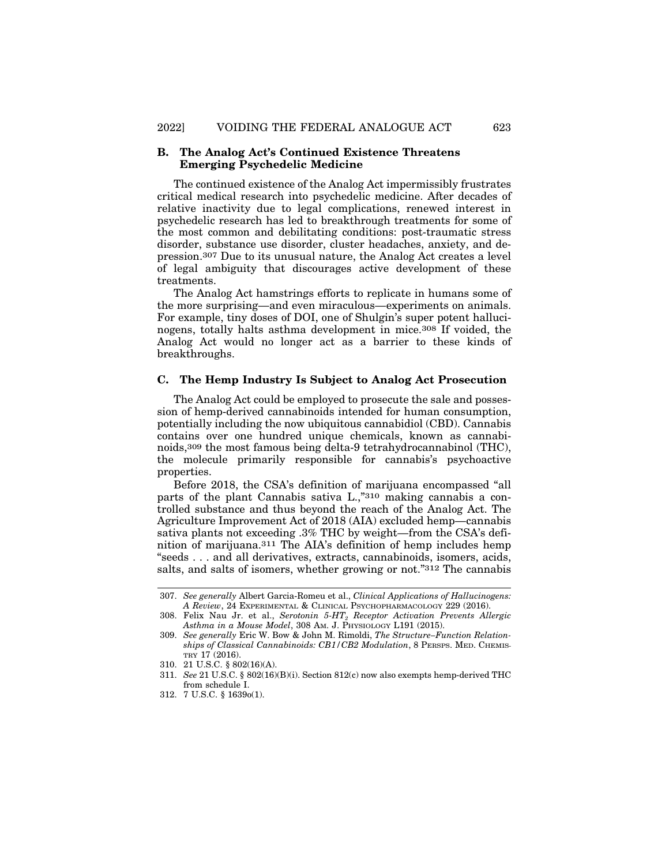## **B. The Analog Act's Continued Existence Threatens Emerging Psychedelic Medicine**

The continued existence of the Analog Act impermissibly frustrates critical medical research into psychedelic medicine. After decades of relative inactivity due to legal complications, renewed interest in psychedelic research has led to breakthrough treatments for some of the most common and debilitating conditions: post-traumatic stress disorder, substance use disorder, cluster headaches, anxiety, and depression.307 Due to its unusual nature, the Analog Act creates a level of legal ambiguity that discourages active development of these treatments.

The Analog Act hamstrings efforts to replicate in humans some of the more surprising—and even miraculous—experiments on animals. For example, tiny doses of DOI, one of Shulgin's super potent hallucinogens, totally halts asthma development in mice.308 If voided, the Analog Act would no longer act as a barrier to these kinds of breakthroughs.

#### **C. The Hemp Industry Is Subject to Analog Act Prosecution**

The Analog Act could be employed to prosecute the sale and possession of hemp-derived cannabinoids intended for human consumption, potentially including the now ubiquitous cannabidiol (CBD). Cannabis contains over one hundred unique chemicals, known as cannabinoids,309 the most famous being delta-9 tetrahydrocannabinol (THC), the molecule primarily responsible for cannabis's psychoactive properties.

Before 2018, the CSA's definition of marijuana encompassed "all parts of the plant Cannabis sativa L.,"310 making cannabis a controlled substance and thus beyond the reach of the Analog Act. The Agriculture Improvement Act of 2018 (AIA) excluded hemp—cannabis sativa plants not exceeding .3% THC by weight—from the CSA's definition of marijuana.311 The AIA's definition of hemp includes hemp "seeds . . . and all derivatives, extracts, cannabinoids, isomers, acids, salts, and salts of isomers, whether growing or not."312 The cannabis

<sup>307.</sup> *See generally* Albert Garcia-Romeu et al., *Clinical Applications of Hallucinogens: A Review*, 24 EXPERIMENTAL & CLINICAL PSYCHOPHARMACOLOGY 229 (2016).

<sup>308.</sup> Felix Nau Jr. et al., *Serotonin 5-HT2 Receptor Activation Prevents Allergic Asthma in a Mouse Model*, 308 AM. J. PHYSIOLOGY L191 (2015).

<sup>309.</sup> *See generally* Eric W. Bow & John M. Rimoldi, *The Structure–Function Relationships of Classical Cannabinoids: CB1/CB2 Modulation*, 8 PERSPS. MED. CHEMIS-TRY 17 (2016).

<sup>310. 21</sup> U.S.C. § 802(16)(A).

<sup>311.</sup> *See* 21 U.S.C. § 802(16)(B)(i). Section 812(c) now also exempts hemp-derived THC from schedule I.

<sup>312. 7</sup> U.S.C. § 1639o(1).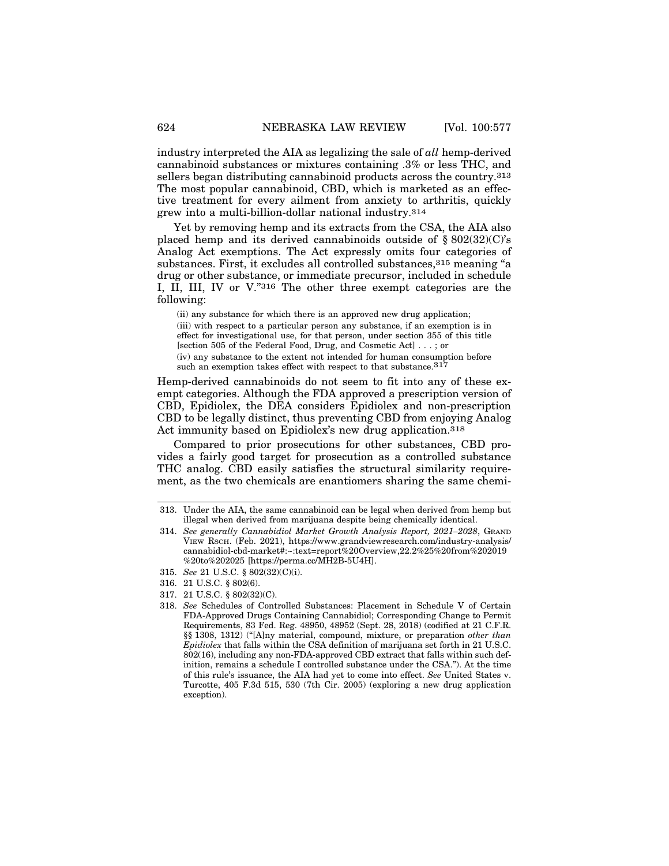industry interpreted the AIA as legalizing the sale of *all* hemp-derived cannabinoid substances or mixtures containing .3% or less THC, and sellers began distributing cannabinoid products across the country.313 The most popular cannabinoid, CBD, which is marketed as an effective treatment for every ailment from anxiety to arthritis, quickly grew into a multi-billion-dollar national industry.314

Yet by removing hemp and its extracts from the CSA, the AIA also placed hemp and its derived cannabinoids outside of  $\S 802(32)(C)$ 's Analog Act exemptions. The Act expressly omits four categories of substances. First, it excludes all controlled substances, 315 meaning "a drug or other substance, or immediate precursor, included in schedule I, II, III, IV or V."316 The other three exempt categories are the following:

(ii) any substance for which there is an approved new drug application; (iii) with respect to a particular person any substance, if an exemption is in effect for investigational use, for that person, under section 355 of this title [section 505 of the Federal Food, Drug, and Cosmetic Act] . . . ; or (iv) any substance to the extent not intended for human consumption before such an exemption takes effect with respect to that substance.<sup>317</sup>

Hemp-derived cannabinoids do not seem to fit into any of these exempt categories. Although the FDA approved a prescription version of CBD, Epidiolex, the DEA considers Epidiolex and non-prescription CBD to be legally distinct, thus preventing CBD from enjoying Analog Act immunity based on Epidiolex's new drug application.<sup>318</sup>

Compared to prior prosecutions for other substances, CBD provides a fairly good target for prosecution as a controlled substance THC analog. CBD easily satisfies the structural similarity requirement, as the two chemicals are enantiomers sharing the same chemi-

- 317. 21 U.S.C. § 802(32)(C).
- 318. *See* Schedules of Controlled Substances: Placement in Schedule V of Certain FDA-Approved Drugs Containing Cannabidiol; Corresponding Change to Permit Requirements, 83 Fed. Reg. 48950, 48952 (Sept. 28, 2018) (codified at 21 C.F.R. §§ 1308, 1312) ("[A]ny material, compound, mixture, or preparation *other than Epidiolex* that falls within the CSA definition of marijuana set forth in 21 U.S.C. 802(16), including any non-FDA-approved CBD extract that falls within such definition, remains a schedule I controlled substance under the CSA."). At the time of this rule's issuance, the AIA had yet to come into effect. *See* United States v. Turcotte, 405 F.3d 515, 530 (7th Cir. 2005) (exploring a new drug application exception).

<sup>313.</sup> Under the AIA, the same cannabinoid can be legal when derived from hemp but illegal when derived from marijuana despite being chemically identical.

<sup>314.</sup> *See generally Cannabidiol Market Growth Analysis Report, 2021–2028*, GRAND VIEW RSCH. (Feb. 2021), https://www.grandviewresearch.com/industry-analysis/ cannabidiol-cbd-market#:~:text=report%20Overview,22.2%25%20from%202019 %20to%202025 [https://perma.cc/MH2B-5U4H].

<sup>315.</sup> *See* 21 U.S.C. § 802(32)(C)(i).

<sup>316. 21</sup> U.S.C. § 802(6).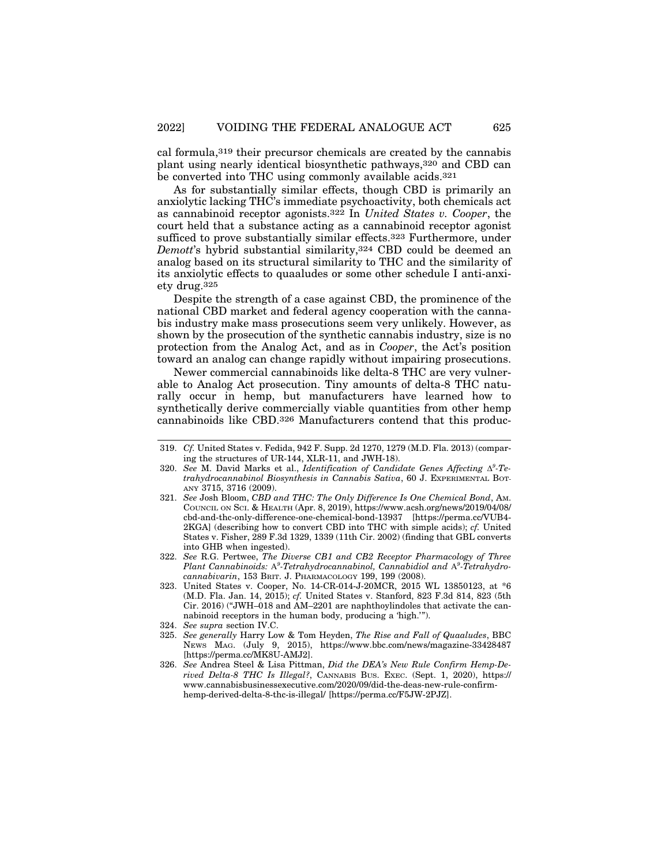cal formula,319 their precursor chemicals are created by the cannabis plant using nearly identical biosynthetic pathways,320 and CBD can be converted into THC using commonly available acids.321

As for substantially similar effects, though CBD is primarily an anxiolytic lacking THC's immediate psychoactivity, both chemicals act as cannabinoid receptor agonists.322 In *United States v. Cooper*, the court held that a substance acting as a cannabinoid receptor agonist sufficed to prove substantially similar effects.323 Furthermore, under *Demott*'s hybrid substantial similarity,324 CBD could be deemed an analog based on its structural similarity to THC and the similarity of its anxiolytic effects to quaaludes or some other schedule I anti-anxiety drug.325

Despite the strength of a case against CBD, the prominence of the national CBD market and federal agency cooperation with the cannabis industry make mass prosecutions seem very unlikely. However, as shown by the prosecution of the synthetic cannabis industry, size is no protection from the Analog Act, and as in *Cooper*, the Act's position toward an analog can change rapidly without impairing prosecutions.

Newer commercial cannabinoids like delta-8 THC are very vulnerable to Analog Act prosecution. Tiny amounts of delta-8 THC naturally occur in hemp, but manufacturers have learned how to synthetically derive commercially viable quantities from other hemp cannabinoids like CBD.326 Manufacturers contend that this produc-

- 322. *See* R.G. Pertwee, *The Diverse CB1 and CB2 Receptor Pharmacology of Three Plant Cannabinoids:* A*<sup>9</sup> -Tetrahydrocannabinol, Cannabidiol and* A*<sup>9</sup> -Tetrahydrocannabivarin*, 153 BRIT. J. PHARMACOLOGY 199, 199 (2008).
- 323. United States v. Cooper, No. 14-CR-014-J-20MCR, 2015 WL 13850123, at \*6 (M.D. Fla. Jan. 14, 2015); *cf.* United States v. Stanford, 823 F.3d 814, 823 (5th Cir. 2016) ("JWH–018 and AM–2201 are naphthoylindoles that activate the cannabinoid receptors in the human body, producing a 'high.'").
- 324. *See supra* section IV.C.
- 325. *See generally* Harry Low & Tom Heyden, *The Rise and Fall of Quaaludes*, BBC NEWS MAG. (July 9, 2015), https://www.bbc.com/news/magazine-33428487 [https://perma.cc/MK8U-AMJ2].
- 326. *See* Andrea Steel & Lisa Pittman, *Did the DEA's New Rule Confirm Hemp-Derived Delta-8 THC Is Illegal?*, CANNABIS BUS. EXEC. (Sept. 1, 2020), https:// www.cannabisbusinessexecutive.com/2020/09/did-the-deas-new-rule-confirmhemp-derived-delta-8-thc-is-illegal/ [https://perma.cc/F5JW-2PJZ].

<sup>319.</sup> *Cf.* United States v. Fedida, 942 F. Supp. 2d 1270, 1279 (M.D. Fla. 2013) (comparing the structures of UR-144, XLR-11, and JWH-18).

<sup>320.</sup> See M. David Marks et al., *Identification of Candidate Genes Affecting*  $\Delta^9$ -Te*trahydrocannabinol Biosynthesis in Cannabis Sativa*, 60 J. EXPERIMENTAL BOT-ANY 3715, 3716 (2009).

<sup>321.</sup> *See* Josh Bloom, *CBD and THC: The Only Difference Is One Chemical Bond*, AM. COUNCIL ON SCI. & HEALTH (Apr. 8, 2019), https://www.acsh.org/news/2019/04/08/ cbd-and-thc-only-difference-one-chemical-bond-13937 [https://perma.cc/VUB4- 2KGA] (describing how to convert CBD into THC with simple acids); *cf.* United States v. Fisher, 289 F.3d 1329, 1339 (11th Cir. 2002) (finding that GBL converts into GHB when ingested).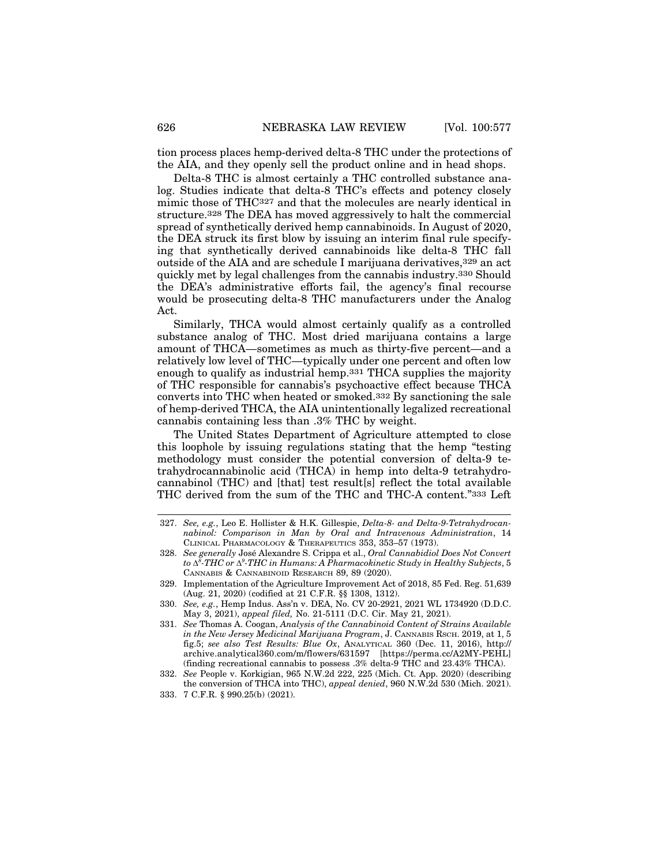tion process places hemp-derived delta-8 THC under the protections of the AIA, and they openly sell the product online and in head shops.

Delta-8 THC is almost certainly a THC controlled substance analog. Studies indicate that delta-8 THC's effects and potency closely mimic those of THC327 and that the molecules are nearly identical in structure.328 The DEA has moved aggressively to halt the commercial spread of synthetically derived hemp cannabinoids. In August of 2020, the DEA struck its first blow by issuing an interim final rule specifying that synthetically derived cannabinoids like delta-8 THC fall outside of the AIA and are schedule I marijuana derivatives, 329 an act quickly met by legal challenges from the cannabis industry.330 Should the DEA's administrative efforts fail, the agency's final recourse would be prosecuting delta-8 THC manufacturers under the Analog Act.

Similarly, THCA would almost certainly qualify as a controlled substance analog of THC. Most dried marijuana contains a large amount of THCA—sometimes as much as thirty-five percent—and a relatively low level of THC—typically under one percent and often low enough to qualify as industrial hemp.331 THCA supplies the majority of THC responsible for cannabis's psychoactive effect because THCA converts into THC when heated or smoked.332 By sanctioning the sale of hemp-derived THCA, the AIA unintentionally legalized recreational cannabis containing less than .3% THC by weight.

The United States Department of Agriculture attempted to close this loophole by issuing regulations stating that the hemp "testing methodology must consider the potential conversion of delta-9 tetrahydrocannabinolic acid (THCA) in hemp into delta-9 tetrahydrocannabinol (THC) and [that] test result[s] reflect the total available THC derived from the sum of the THC and THC-A content."333 Left

<sup>327.</sup> *See, e.g.*, Leo E. Hollister & H.K. Gillespie, *Delta-8- and Delta-9-Tetrahydrocannabinol: Comparison in Man by Oral and Intravenous Administration*, 14 CLINICAL PHARMACOLOGY & THERAPEUTICS 353, 353–57 (1973).

<sup>328.</sup> See generally José Alexandre S. Crippa et al., *Oral Cannabidiol Does Not Convert* to  $\Delta^8\text{-}THC$  or  $\Delta^9\text{-}THC$  in Humans: A Pharmacokinetic Study in Healthy Subjects,  $5$ CANNABIS & CANNABINOID RESEARCH 89, 89 (2020).

<sup>329.</sup> Implementation of the Agriculture Improvement Act of 2018, 85 Fed. Reg. 51,639 (Aug. 21, 2020) (codified at 21 C.F.R. §§ 1308, 1312).

<sup>330.</sup> *See, e.g.*, Hemp Indus. Ass'n v. DEA, No. CV 20-2921, 2021 WL 1734920 (D.D.C. May 3, 2021), *appeal filed,* No. 21-5111 (D.C. Cir. May 21, 2021).

<sup>331.</sup> *See* Thomas A. Coogan, *Analysis of the Cannabinoid Content of Strains Available in the New Jersey Medicinal Marijuana Program*, J. CANNABIS RSCH. 2019, at 1, 5 fig.5; *see also Test Results: Blue Ox*, ANALYTICAL 360 (Dec. 11, 2016), http:// archive.analytical360.com/m/flowers/631597 [https://perma.cc/A2MY-PEHL] (finding recreational cannabis to possess .3% delta-9 THC and 23.43% THCA).

<sup>332.</sup> *See* People v. Korkigian, 965 N.W.2d 222, 225 (Mich. Ct. App. 2020) (describing the conversion of THCA into THC), *appeal denied*, 960 N.W.2d 530 (Mich. 2021).

<sup>333. 7</sup> C.F.R. § 990.25(b) (2021).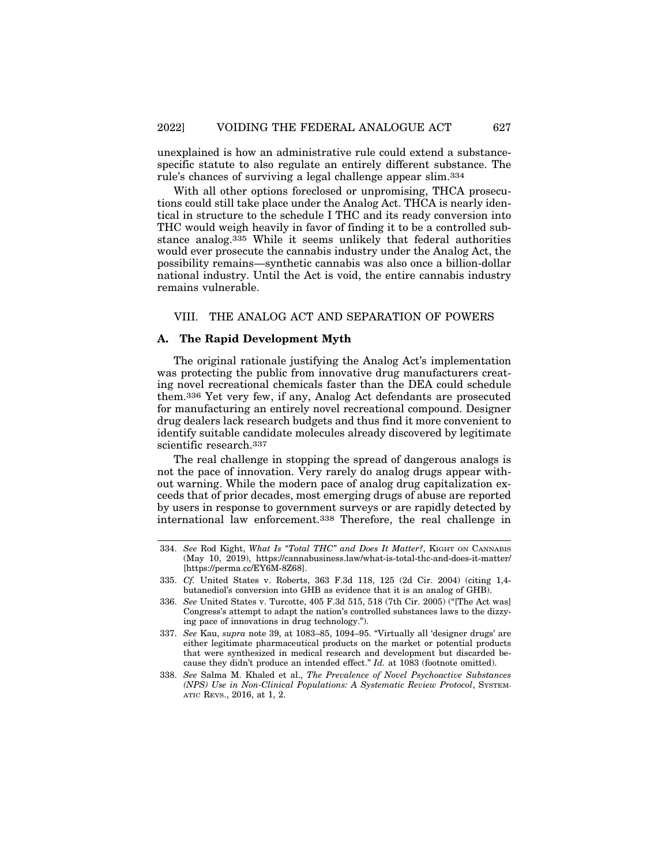unexplained is how an administrative rule could extend a substancespecific statute to also regulate an entirely different substance. The rule's chances of surviving a legal challenge appear slim.334

With all other options foreclosed or unpromising, THCA prosecutions could still take place under the Analog Act. THCA is nearly identical in structure to the schedule I THC and its ready conversion into THC would weigh heavily in favor of finding it to be a controlled substance analog.335 While it seems unlikely that federal authorities would ever prosecute the cannabis industry under the Analog Act, the possibility remains—synthetic cannabis was also once a billion-dollar national industry. Until the Act is void, the entire cannabis industry remains vulnerable.

#### VIII. THE ANALOG ACT AND SEPARATION OF POWERS

## **A. The Rapid Development Myth**

The original rationale justifying the Analog Act's implementation was protecting the public from innovative drug manufacturers creating novel recreational chemicals faster than the DEA could schedule them.336 Yet very few, if any, Analog Act defendants are prosecuted for manufacturing an entirely novel recreational compound. Designer drug dealers lack research budgets and thus find it more convenient to identify suitable candidate molecules already discovered by legitimate scientific research.337

The real challenge in stopping the spread of dangerous analogs is not the pace of innovation. Very rarely do analog drugs appear without warning. While the modern pace of analog drug capitalization exceeds that of prior decades, most emerging drugs of abuse are reported by users in response to government surveys or are rapidly detected by international law enforcement.338 Therefore, the real challenge in

<sup>334.</sup> *See* Rod Kight, *What Is "Total THC" and Does It Matter?*, KIGHT ON CANNABIS (May 10, 2019), https://cannabusiness.law/what-is-total-thc-and-does-it-matter/ [https://perma.cc/EY6M-8Z68].

<sup>335.</sup> *Cf.* United States v. Roberts, 363 F.3d 118, 125 (2d Cir. 2004) (citing 1,4 butanediol's conversion into GHB as evidence that it is an analog of GHB).

<sup>336.</sup> *See* United States v. Turcotte, 405 F.3d 515, 518 (7th Cir. 2005) ("[The Act was] Congress's attempt to adapt the nation's controlled substances laws to the dizzying pace of innovations in drug technology.").

<sup>337.</sup> *See* Kau, *supra* note 39, at 1083–85, 1094–95. "Virtually all 'designer drugs' are either legitimate pharmaceutical products on the market or potential products that were synthesized in medical research and development but discarded because they didn't produce an intended effect." *Id.* at 1083 (footnote omitted).

<sup>338.</sup> *See* Salma M. Khaled et al., *The Prevalence of Novel Psychoactive Substances (NPS) Use in Non-Clinical Populations: A Systematic Review Protocol*, SYSTEM-ATIC REVS., 2016, at 1, 2.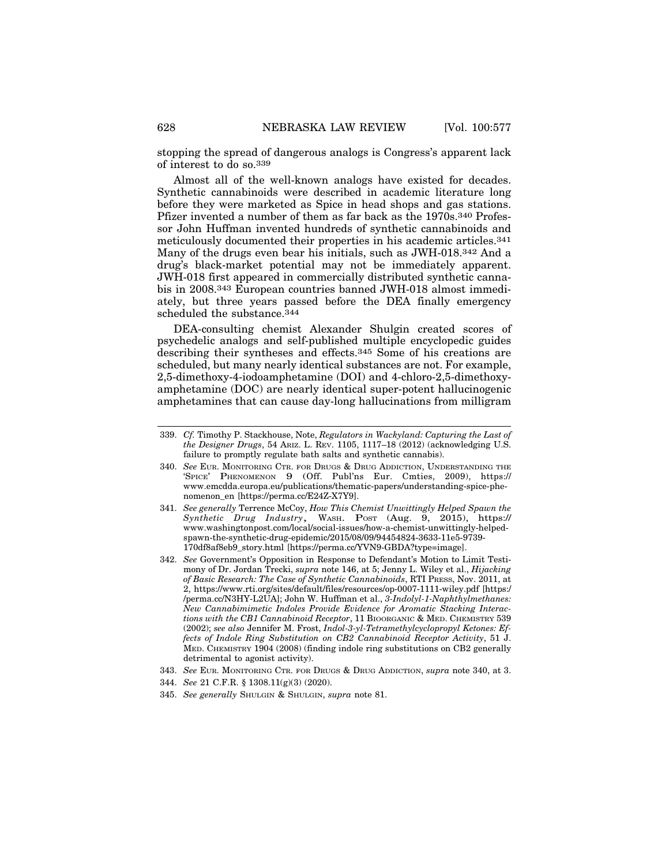stopping the spread of dangerous analogs is Congress's apparent lack of interest to do so.339

Almost all of the well-known analogs have existed for decades. Synthetic cannabinoids were described in academic literature long before they were marketed as Spice in head shops and gas stations. Pfizer invented a number of them as far back as the 1970s.340 Professor John Huffman invented hundreds of synthetic cannabinoids and meticulously documented their properties in his academic articles.341 Many of the drugs even bear his initials, such as JWH-018.342 And a drug's black-market potential may not be immediately apparent. JWH-018 first appeared in commercially distributed synthetic cannabis in 2008.343 European countries banned JWH-018 almost immediately, but three years passed before the DEA finally emergency scheduled the substance.<sup>344</sup>

DEA-consulting chemist Alexander Shulgin created scores of psychedelic analogs and self-published multiple encyclopedic guides describing their syntheses and effects.345 Some of his creations are scheduled, but many nearly identical substances are not. For example, 2,5-dimethoxy-4-iodoamphetamine (DOI) and 4-chloro-2,5-dimethoxyamphetamine (DOC) are nearly identical super-potent hallucinogenic amphetamines that can cause day-long hallucinations from milligram

- 343. *See* EUR. MONITORING CTR. FOR DRUGS & DRUG ADDICTION, *supra* note 340, at 3.
- 344. *See* 21 C.F.R. § 1308.11(g)(3) (2020).
- 345. *See generally* SHULGIN & SHULGIN, *supra* note 81.

<sup>339.</sup> *Cf.* Timothy P. Stackhouse, Note, *Regulators in Wackyland: Capturing the Last of the Designer Drugs*, 54 ARIZ. L. REV. 1105, 1117–18 (2012) (acknowledging U.S. failure to promptly regulate bath salts and synthetic cannabis).

<sup>340.</sup> *See* EUR. MONITORING CTR. FOR DRUGS & DRUG ADDICTION, UNDERSTANDING THE 'SPICE' PHENOMENON 9 (Off. Publ'ns Eur. Cmties, 2009), https:// www.emcdda.europa.eu/publications/thematic-papers/understanding-spice-phenomenon\_en [https://perma.cc/E24Z-X7Y9].

<sup>341.</sup> *See generally* Terrence McCoy, *How This Chemist Unwittingly Helped Spawn the Synthetic Drug Industry*, WASH. POST (Aug. 9, 2015), https:// www.washingtonpost.com/local/social-issues/how-a-chemist-unwittingly-helpedspawn-the-synthetic-drug-epidemic/2015/08/09/94454824-3633-11e5-9739- 170df8af8eb9\_story.html [https://perma.cc/YVN9-GBDA?type=image].

<sup>342.</sup> *See* Government's Opposition in Response to Defendant's Motion to Limit Testimony of Dr. Jordan Trecki, *supra* note 146, at 5; Jenny L. Wiley et al., *Hijacking of Basic Research: The Case of Synthetic Cannabinoids*, RTI PRESS, Nov. 2011, at 2, https://www.rti.org/sites/default/files/resources/op-0007-1111-wiley.pdf [https:/ /perma.cc/N3HY-L2UA]; John W. Huffman et al., *3-Indolyl-1-Naphthylmethanes: New Cannabimimetic Indoles Provide Evidence for Aromatic Stacking Interactions with the CB1 Cannabinoid Receptor*, 11 BIOORGANIC & MED. CHEMISTRY 539 (2002); *see also* Jennifer M. Frost, *Indol-3-yl-Tetramethylcyclopropyl Ketones: Effects of Indole Ring Substitution on CB2 Cannabinoid Receptor Activity*, 51 J. MED. CHEMISTRY 1904 (2008) (finding indole ring substitutions on CB2 generally detrimental to agonist activity).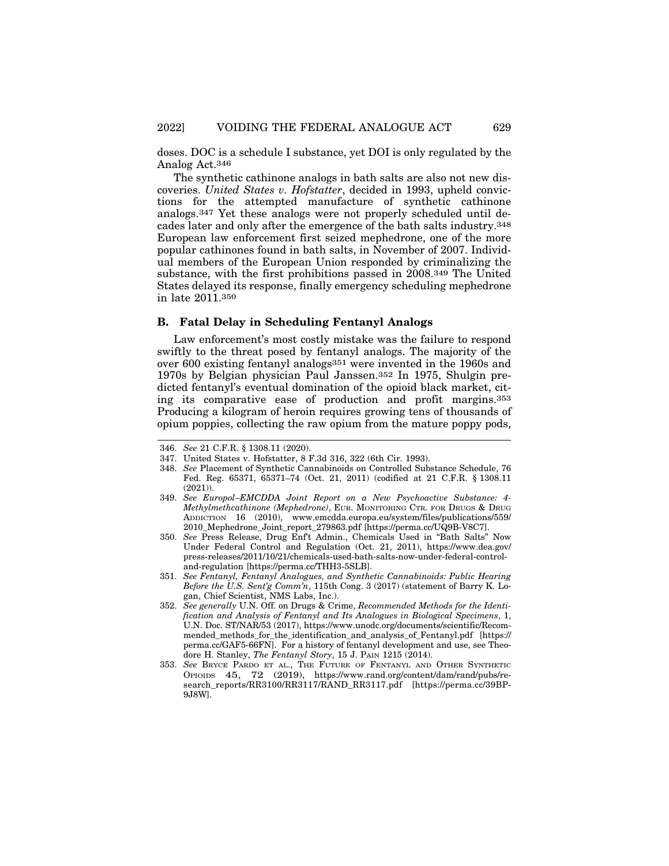doses. DOC is a schedule I substance, yet DOI is only regulated by the Analog Act.346

The synthetic cathinone analogs in bath salts are also not new discoveries. *United States v. Hofstatter*, decided in 1993, upheld convictions for the attempted manufacture of synthetic cathinone analogs.347 Yet these analogs were not properly scheduled until decades later and only after the emergence of the bath salts industry.348 European law enforcement first seized mephedrone, one of the more popular cathinones found in bath salts, in November of 2007. Individual members of the European Union responded by criminalizing the substance, with the first prohibitions passed in 2008.349 The United States delayed its response, finally emergency scheduling mephedrone in late 2011.350

#### **B. Fatal Delay in Scheduling Fentanyl Analogs**

Law enforcement's most costly mistake was the failure to respond swiftly to the threat posed by fentanyl analogs. The majority of the over 600 existing fentanyl analogs351 were invented in the 1960s and 1970s by Belgian physician Paul Janssen.352 In 1975, Shulgin predicted fentanyl's eventual domination of the opioid black market, citing its comparative ease of production and profit margins.353 Producing a kilogram of heroin requires growing tens of thousands of opium poppies, collecting the raw opium from the mature poppy pods,

<sup>346.</sup> *See* 21 C.F.R. § 1308.11 (2020).

<sup>347.</sup> United States v. Hofstatter, 8 F.3d 316, 322 (6th Cir. 1993).

<sup>348.</sup> *See* Placement of Synthetic Cannabinoids on Controlled Substance Schedule, 76 Fed. Reg. 65371, 65371–74 (Oct. 21, 2011) (codified at 21 C.F.R. § 1308.11 (2021)).

<sup>349.</sup> *See Europol–EMCDDA Joint Report on a New Psychoactive Substance: 4- Methylmethcathinone (Mephedrone)*, EUR. MONITORING CTR. FOR DRUGS & DRUG ADDICTION 16 (2010), www.emcdda.europa.eu/system/files/publications/559/ 2010\_Mephedrone\_Joint\_report\_279863.pdf [https://perma.cc/UQ9B-V8C7].

<sup>350.</sup> *See* Press Release, Drug Enf't Admin., Chemicals Used in "Bath Salts" Now Under Federal Control and Regulation (Oct. 21, 2011), https://www.dea.gov/ press-releases/2011/10/21/chemicals-used-bath-salts-now-under-federal-controland-regulation [https://perma.cc/THH3-5SLB].

<sup>351.</sup> *See Fentanyl, Fentanyl Analogues, and Synthetic Cannabinoids: Public Hearing Before the U.S. Sent'g Comm'n*, 115th Cong. 3 (2017) (statement of Barry K. Logan, Chief Scientist, NMS Labs, Inc.).

<sup>352.</sup> *See generally* U.N. Off. on Drugs & Crime, *Recommended Methods for the Identification and Analysis of Fentanyl and Its Analogues in Biological Specimens*, 1, U.N. Doc. ST/NAR/53 (2017), https://www.unodc.org/documents/scientific/Recommended\_methods\_for\_the\_identification\_and\_analysis\_of\_Fentanyl.pdf [https:// perma.cc/GAF5-66FN]. For a history of fentanyl development and use, see Theodore H. Stanley, *The Fentanyl Story*, 15 J. PAIN 1215 (2014).

<sup>353.</sup> *See* BRYCE PARDO ET AL., THE FUTURE OF FENTANYL AND OTHER SYNTHETIC OPIOIDS 45, 72 (2019), https://www.rand.org/content/dam/rand/pubs/research\_reports/RR3100/RR3117/RAND\_RR3117.pdf [https://perma.cc/39BP-9J8W].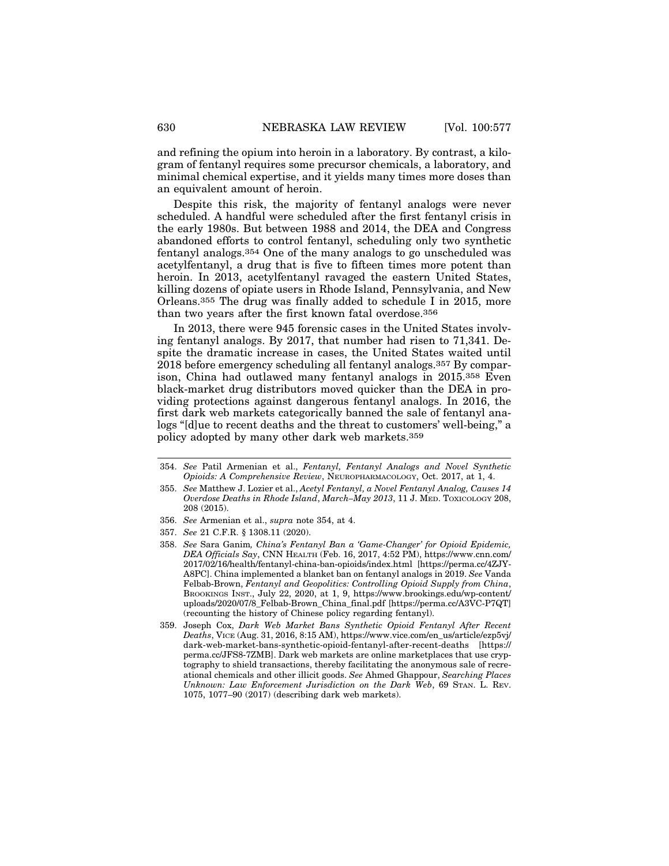and refining the opium into heroin in a laboratory. By contrast, a kilogram of fentanyl requires some precursor chemicals, a laboratory, and minimal chemical expertise, and it yields many times more doses than an equivalent amount of heroin.

Despite this risk, the majority of fentanyl analogs were never scheduled. A handful were scheduled after the first fentanyl crisis in the early 1980s. But between 1988 and 2014, the DEA and Congress abandoned efforts to control fentanyl, scheduling only two synthetic fentanyl analogs.354 One of the many analogs to go unscheduled was acetylfentanyl, a drug that is five to fifteen times more potent than heroin. In 2013, acetylfentanyl ravaged the eastern United States, killing dozens of opiate users in Rhode Island, Pennsylvania, and New Orleans.355 The drug was finally added to schedule I in 2015, more than two years after the first known fatal overdose.356

In 2013, there were 945 forensic cases in the United States involving fentanyl analogs. By 2017, that number had risen to 71,341. Despite the dramatic increase in cases, the United States waited until 2018 before emergency scheduling all fentanyl analogs.357 By comparison, China had outlawed many fentanyl analogs in 2015.358 Even black-market drug distributors moved quicker than the DEA in providing protections against dangerous fentanyl analogs. In 2016, the first dark web markets categorically banned the sale of fentanyl analogs "[d]ue to recent deaths and the threat to customers' well-being," a policy adopted by many other dark web markets.359

- 356. *See* Armenian et al., *supra* note 354, at 4.
- 357. *See* 21 C.F.R. § 1308.11 (2020).
- 358. *See* Sara Ganim*, China's Fentanyl Ban a 'Game-Changer' for Opioid Epidemic, DEA Officials Say*, CNN HEALTH (Feb. 16, 2017, 4:52 PM), https://www.cnn.com/ 2017/02/16/health/fentanyl-china-ban-opioids/index.html [https://perma.cc/4ZJY-A8PC]. China implemented a blanket ban on fentanyl analogs in 2019. *See* Vanda Felbab-Brown, *Fentanyl and Geopolitics: Controlling Opioid Supply from China*, BROOKINGS INST., July 22, 2020, at 1, 9, https://www.brookings.edu/wp-content/ uploads/2020/07/8\_Felbab-Brown\_China\_final.pdf [https://perma.cc/A3VC-P7QT] (recounting the history of Chinese policy regarding fentanyl).
- 359. Joseph Cox, *Dark Web Market Bans Synthetic Opioid Fentanyl After Recent Deaths*, VICE (Aug. 31, 2016, 8:15 AM), https://www.vice.com/en\_us/article/ezp5vj/ dark-web-market-bans-synthetic-opioid-fentanyl-after-recent-deaths [https:// perma.cc/JFS8-7ZMB]. Dark web markets are online marketplaces that use cryptography to shield transactions, thereby facilitating the anonymous sale of recreational chemicals and other illicit goods. *See* Ahmed Ghappour, *Searching Places Unknown: Law Enforcement Jurisdiction on the Dark Web*, 69 STAN. L. REV. 1075, 1077–90 (2017) (describing dark web markets).

<sup>354.</sup> *See* Patil Armenian et al., *Fentanyl, Fentanyl Analogs and Novel Synthetic Opioids: A Comprehensive Review*, NEUROPHARMACOLOGY, Oct. 2017, at 1, 4.

<sup>355.</sup> *See* Matthew J. Lozier et al., *Acetyl Fentanyl, a Novel Fentanyl Analog, Causes 14 Overdose Deaths in Rhode Island*, *March–May 2013*, 11 J. MED. TOXICOLOGY 208, 208 (2015).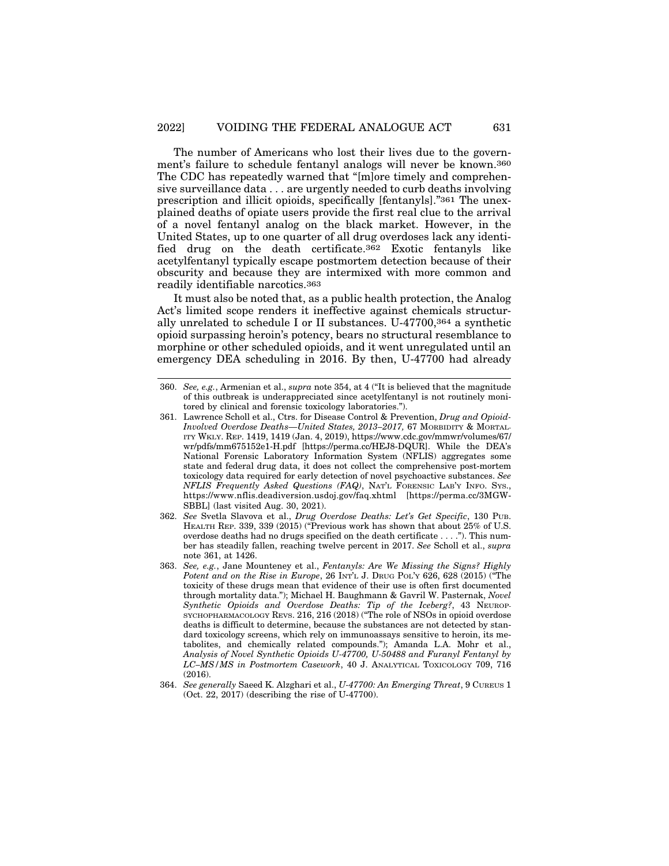The number of Americans who lost their lives due to the government's failure to schedule fentanyl analogs will never be known.360 The CDC has repeatedly warned that "[m]ore timely and comprehensive surveillance data . . . are urgently needed to curb deaths involving prescription and illicit opioids, specifically [fentanyls]."361 The unexplained deaths of opiate users provide the first real clue to the arrival of a novel fentanyl analog on the black market. However, in the United States, up to one quarter of all drug overdoses lack any identified drug on the death certificate.362 Exotic fentanyls like acetylfentanyl typically escape postmortem detection because of their obscurity and because they are intermixed with more common and readily identifiable narcotics.363

It must also be noted that, as a public health protection, the Analog Act's limited scope renders it ineffective against chemicals structurally unrelated to schedule I or II substances. U-47700,364 a synthetic opioid surpassing heroin's potency, bears no structural resemblance to morphine or other scheduled opioids, and it went unregulated until an emergency DEA scheduling in 2016. By then, U-47700 had already

<sup>360.</sup> *See, e.g.*, Armenian et al., *supra* note 354, at 4 ("It is believed that the magnitude of this outbreak is underappreciated since acetylfentanyl is not routinely monitored by clinical and forensic toxicology laboratories.").

<sup>361.</sup> Lawrence Scholl et al., Ctrs. for Disease Control & Prevention, *Drug and Opioid-Involved Overdose Deaths—United States, 2013–2017,* 67 MORBIDITY & MORTAL-ITY WKLY. REP. 1419, 1419 (Jan. 4, 2019), https://www.cdc.gov/mmwr/volumes/67/ wr/pdfs/mm675152e1-H.pdf [https://perma.cc/HEJ8-DQUR]. While the DEA's National Forensic Laboratory Information System (NFLIS) aggregates some state and federal drug data, it does not collect the comprehensive post-mortem toxicology data required for early detection of novel psychoactive substances. *See NFLIS Frequently Asked Questions (FAQ)*, NAT'L FORENSIC LAB'Y INFO. SYS., https://www.nflis.deadiversion.usdoj.gov/faq.xhtml [https://perma.cc/3MGW-SBBL] (last visited Aug. 30, 2021).

<sup>362.</sup> *See* Svetla Slavova et al., *Drug Overdose Deaths: Let's Get Specific*, 130 PUB. HEALTH REP. 339, 339 (2015) ("Previous work has shown that about 25% of U.S. overdose deaths had no drugs specified on the death certificate . . . ."). This number has steadily fallen, reaching twelve percent in 2017. *See* Scholl et al., *supra* note 361, at 1426.

<sup>363.</sup> *See, e.g.*, Jane Mounteney et al., *Fentanyls: Are We Missing the Signs? Highly Potent and on the Rise in Europe*, 26 INT'L J. DRUG POL'Y 626, 628 (2015) ("The toxicity of these drugs mean that evidence of their use is often first documented through mortality data."); Michael H. Baughmann & Gavril W. Pasternak, *Novel Synthetic Opioids and Overdose Deaths: Tip of the Iceberg?*, 43 NEUROP-SYCHOPHARMACOLOGY REVS. 216, 216 (2018) ("The role of NSOs in opioid overdose deaths is difficult to determine, because the substances are not detected by standard toxicology screens, which rely on immunoassays sensitive to heroin, its metabolites, and chemically related compounds."); Amanda L.A. Mohr et al., *Analysis of Novel Synthetic Opioids U-47700, U-50488 and Furanyl Fentanyl by LC–MS/MS in Postmortem Casework*, 40 J. ANALYTICAL TOXICOLOGY 709, 716  $(2016)$ .

<sup>364.</sup> *See generally* Saeed K. Alzghari et al., *U-47700: An Emerging Threat*, 9 CUREUS 1 (Oct. 22, 2017) (describing the rise of U-47700).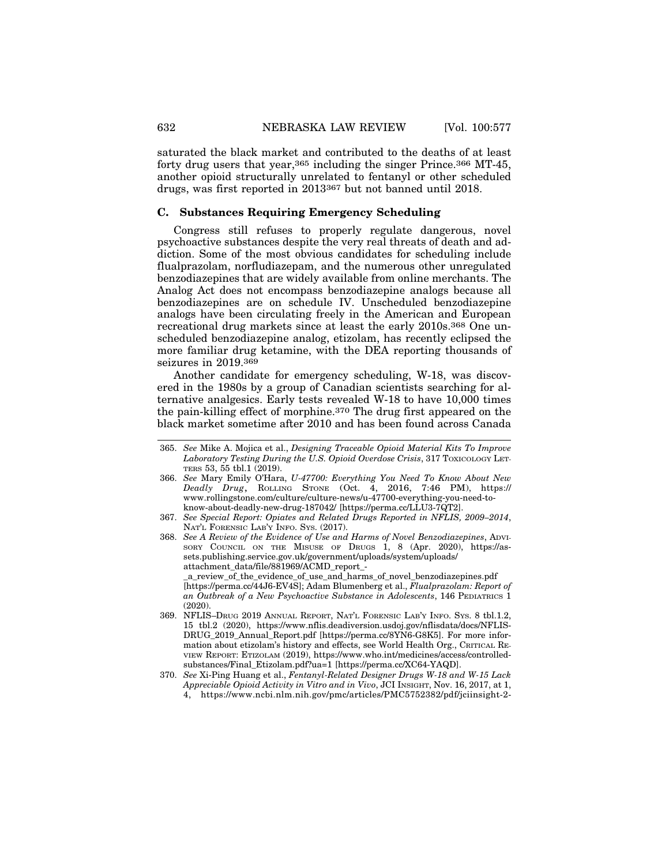saturated the black market and contributed to the deaths of at least forty drug users that year,365 including the singer Prince.366 MT-45, another opioid structurally unrelated to fentanyl or other scheduled drugs, was first reported in 2013367 but not banned until 2018.

#### **C. Substances Requiring Emergency Scheduling**

Congress still refuses to properly regulate dangerous, novel psychoactive substances despite the very real threats of death and addiction. Some of the most obvious candidates for scheduling include flualprazolam, norfludiazepam, and the numerous other unregulated benzodiazepines that are widely available from online merchants. The Analog Act does not encompass benzodiazepine analogs because all benzodiazepines are on schedule IV. Unscheduled benzodiazepine analogs have been circulating freely in the American and European recreational drug markets since at least the early 2010s.368 One unscheduled benzodiazepine analog, etizolam, has recently eclipsed the more familiar drug ketamine, with the DEA reporting thousands of seizures in 2019.369

Another candidate for emergency scheduling, W-18, was discovered in the 1980s by a group of Canadian scientists searching for alternative analgesics. Early tests revealed W-18 to have 10,000 times the pain-killing effect of morphine.370 The drug first appeared on the black market sometime after 2010 and has been found across Canada

<sup>365.</sup> *See* Mike A. Mojica et al., *Designing Traceable Opioid Material Kits To Improve Laboratory Testing During the U.S. Opioid Overdose Crisis*, 317 TOXICOLOGY LET-TERS 53, 55 tbl.1 (2019).

<sup>366.</sup> *See* Mary Emily O'Hara, *U-47700: Everything You Need To Know About New Deadly Drug*, ROLLING STONE (Oct. 4, 2016, 7:46 PM), https:// www.rollingstone.com/culture/culture-news/u-47700-everything-you-need-toknow-about-deadly-new-drug-187042/ [https://perma.cc/LLU3-7QT2].

<sup>367.</sup> *See Special Report: Opiates and Related Drugs Reported in NFLIS, 2009–2014*, NAT'L FORENSIC LAB'Y INFO. SYS. (2017).

<sup>368.</sup> *See A Review of the Evidence of Use and Harms of Novel Benzodiazepines*, ADVI-SORY COUNCIL ON THE MISUSE OF DRUGS 1, 8 (Apr. 2020), https://assets.publishing.service.gov.uk/government/uploads/system/uploads/ attachment\_data/file/881969/ACMD\_report\_- \_a\_review\_of\_the\_evidence\_of\_use\_and\_harms\_of\_novel\_benzodiazepines.pdf [https://perma.cc/44J6-EV4S]; Adam Blumenberg et al., *Flualprazolam: Report of*

*an Outbreak of a New Psychoactive Substance in Adolescents*, 146 PEDIATRICS 1 (2020). 369. NFLIS–DRUG 2019 ANNUAL REPORT, NAT'L FORENSIC LAB'Y INFO. SYS. 8 tbl.1.2, 15 tbl.2 (2020), https://www.nflis.deadiversion.usdoj.gov/nflisdata/docs/NFLIS-

DRUG\_2019\_Annual\_Report.pdf [https://perma.cc/8YN6-G8K5]. For more information about etizolam's history and effects, see World Health Org., CRITICAL RE-VIEW REPORT: ETIZOLAM (2019), https://www.who.int/medicines/access/controlledsubstances/Final\_Etizolam.pdf?ua=1 [https://perma.cc/XC64-YAQD].

<sup>370.</sup> *See* Xi-Ping Huang et al., *Fentanyl-Related Designer Drugs W-18 and W-15 Lack Appreciable Opioid Activity in Vitro and in Vivo*, JCI INSIGHT, Nov. 16, 2017, at 1, 4, https://www.ncbi.nlm.nih.gov/pmc/articles/PMC5752382/pdf/jciinsight-2-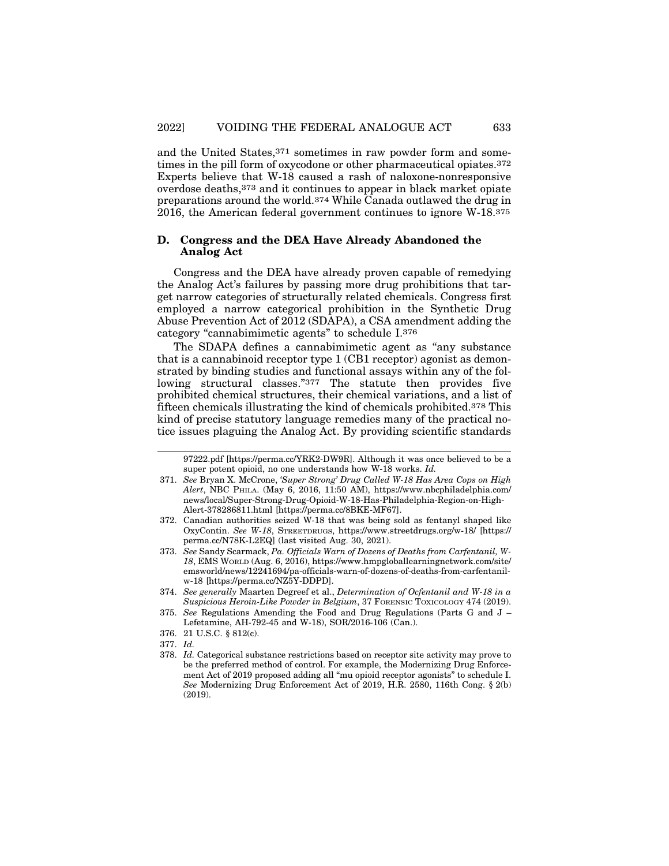and the United States,371 sometimes in raw powder form and sometimes in the pill form of oxycodone or other pharmaceutical opiates.372 Experts believe that W-18 caused a rash of naloxone-nonresponsive overdose deaths,373 and it continues to appear in black market opiate preparations around the world.374 While Canada outlawed the drug in 2016, the American federal government continues to ignore W-18.375

## **D. Congress and the DEA Have Already Abandoned the Analog Act**

Congress and the DEA have already proven capable of remedying the Analog Act's failures by passing more drug prohibitions that target narrow categories of structurally related chemicals. Congress first employed a narrow categorical prohibition in the Synthetic Drug Abuse Prevention Act of 2012 (SDAPA), a CSA amendment adding the category "cannabimimetic agents" to schedule I.376

The SDAPA defines a cannabimimetic agent as "any substance that is a cannabinoid receptor type 1 (CB1 receptor) agonist as demonstrated by binding studies and functional assays within any of the following structural classes."377 The statute then provides five prohibited chemical structures, their chemical variations, and a list of fifteen chemicals illustrating the kind of chemicals prohibited.378 This kind of precise statutory language remedies many of the practical notice issues plaguing the Analog Act. By providing scientific standards

377. *Id.*

<sup>97222.</sup>pdf [https://perma.cc/YRK2-DW9R]. Although it was once believed to be a super potent opioid, no one understands how W-18 works. *Id.*

<sup>371.</sup> *See* Bryan X. McCrone, *'Super Strong' Drug Called W-18 Has Area Cops on High Alert*, NBC PHILA. (May 6, 2016, 11:50 AM), https://www.nbcphiladelphia.com/ news/local/Super-Strong-Drug-Opioid-W-18-Has-Philadelphia-Region-on-High-Alert-378286811.html [https://perma.cc/8BKE-MF67].

<sup>372.</sup> Canadian authorities seized W-18 that was being sold as fentanyl shaped like OxyContin. *See W-18*, STREETDRUGS, https://www.streetdrugs.org/w-18/ [https:// perma.cc/N78K-L2EQ] (last visited Aug. 30, 2021).

<sup>373.</sup> *See* Sandy Scarmack, *Pa. Officials Warn of Dozens of Deaths from Carfentanil, W-18*, EMS WORLD (Aug. 6, 2016), https://www.hmpgloballearningnetwork.com/site/ emsworld/news/12241694/pa-officials-warn-of-dozens-of-deaths-from-carfentanilw-18 [https://perma.cc/NZ5Y-DDPD].

<sup>374.</sup> *See generally* Maarten Degreef et al., *Determination of Ocfentanil and W-18 in a Suspicious Heroin-Like Powder in Belgium*, 37 FORENSIC TOXICOLOGY 474 (2019).

<sup>375.</sup> *See* Regulations Amending the Food and Drug Regulations (Parts G and J – Lefetamine, AH-792-45 and W-18), SOR/2016-106 (Can.).

<sup>376. 21</sup> U.S.C. § 812(c).

<sup>378.</sup> *Id.* Categorical substance restrictions based on receptor site activity may prove to be the preferred method of control. For example, the Modernizing Drug Enforcement Act of 2019 proposed adding all "mu opioid receptor agonists" to schedule I. *See* Modernizing Drug Enforcement Act of 2019, H.R. 2580, 116th Cong. § 2(b) (2019).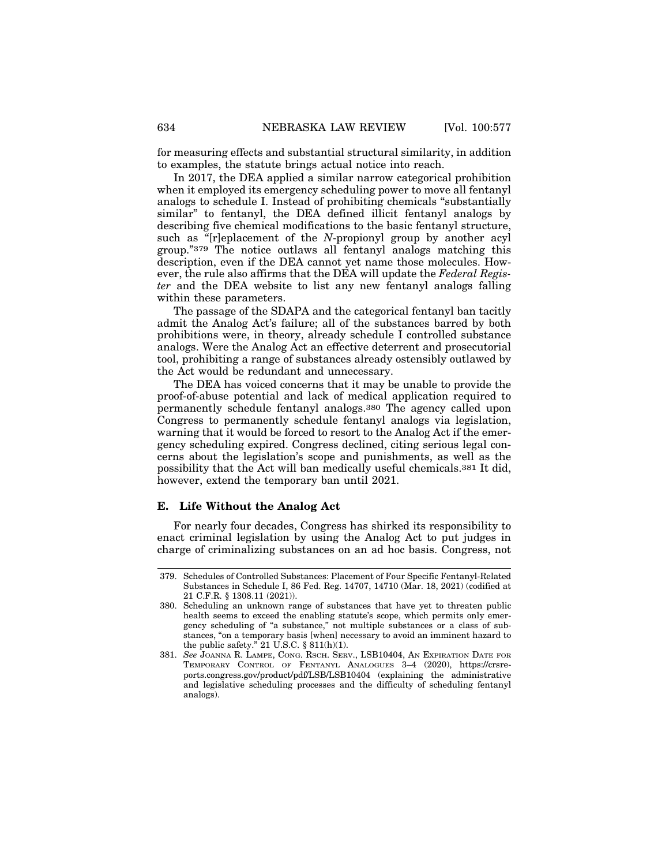for measuring effects and substantial structural similarity, in addition to examples, the statute brings actual notice into reach.

In 2017, the DEA applied a similar narrow categorical prohibition when it employed its emergency scheduling power to move all fentanyl analogs to schedule I. Instead of prohibiting chemicals "substantially similar" to fentanyl, the DEA defined illicit fentanyl analogs by describing five chemical modifications to the basic fentanyl structure, such as "[r]eplacement of the *N*-propionyl group by another acyl group."379 The notice outlaws all fentanyl analogs matching this description, even if the DEA cannot yet name those molecules. However, the rule also affirms that the DEA will update the *Federal Register* and the DEA website to list any new fentanyl analogs falling within these parameters.

The passage of the SDAPA and the categorical fentanyl ban tacitly admit the Analog Act's failure; all of the substances barred by both prohibitions were, in theory, already schedule I controlled substance analogs. Were the Analog Act an effective deterrent and prosecutorial tool, prohibiting a range of substances already ostensibly outlawed by the Act would be redundant and unnecessary.

The DEA has voiced concerns that it may be unable to provide the proof-of-abuse potential and lack of medical application required to permanently schedule fentanyl analogs.380 The agency called upon Congress to permanently schedule fentanyl analogs via legislation, warning that it would be forced to resort to the Analog Act if the emergency scheduling expired. Congress declined, citing serious legal concerns about the legislation's scope and punishments, as well as the possibility that the Act will ban medically useful chemicals.381 It did, however, extend the temporary ban until 2021.

#### **E. Life Without the Analog Act**

For nearly four decades, Congress has shirked its responsibility to enact criminal legislation by using the Analog Act to put judges in charge of criminalizing substances on an ad hoc basis. Congress, not

<sup>379.</sup> Schedules of Controlled Substances: Placement of Four Specific Fentanyl-Related Substances in Schedule I, 86 Fed. Reg. 14707, 14710 (Mar. 18, 2021) (codified at 21 C.F.R. § 1308.11 (2021)).

<sup>380.</sup> Scheduling an unknown range of substances that have yet to threaten public health seems to exceed the enabling statute's scope, which permits only emergency scheduling of "a substance," not multiple substances or a class of substances, "on a temporary basis [when] necessary to avoid an imminent hazard to the public safety." 21 U.S.C.  $\S$  811(h)(1).

<sup>381.</sup> *See* JOANNA R. LAMPE, CONG. RSCH. SERV., LSB10404, AN EXPIRATION DATE FOR TEMPORARY CONTROL OF FENTANYL ANALOGUES 3–4 (2020), https://crsreports.congress.gov/product/pdf/LSB/LSB10404 (explaining the administrative and legislative scheduling processes and the difficulty of scheduling fentanyl analogs).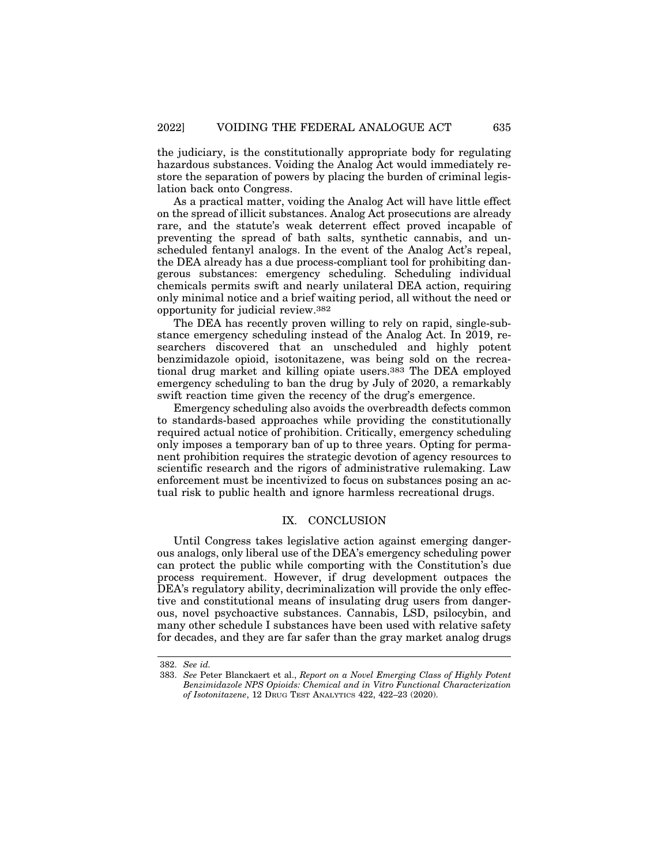the judiciary, is the constitutionally appropriate body for regulating hazardous substances. Voiding the Analog Act would immediately restore the separation of powers by placing the burden of criminal legislation back onto Congress.

As a practical matter, voiding the Analog Act will have little effect on the spread of illicit substances. Analog Act prosecutions are already rare, and the statute's weak deterrent effect proved incapable of preventing the spread of bath salts, synthetic cannabis, and unscheduled fentanyl analogs. In the event of the Analog Act's repeal, the DEA already has a due process-compliant tool for prohibiting dangerous substances: emergency scheduling. Scheduling individual chemicals permits swift and nearly unilateral DEA action, requiring only minimal notice and a brief waiting period, all without the need or opportunity for judicial review.382

The DEA has recently proven willing to rely on rapid, single-substance emergency scheduling instead of the Analog Act. In 2019, researchers discovered that an unscheduled and highly potent benzimidazole opioid, isotonitazene, was being sold on the recreational drug market and killing opiate users.383 The DEA employed emergency scheduling to ban the drug by July of 2020, a remarkably swift reaction time given the recency of the drug's emergence.

Emergency scheduling also avoids the overbreadth defects common to standards-based approaches while providing the constitutionally required actual notice of prohibition. Critically, emergency scheduling only imposes a temporary ban of up to three years. Opting for permanent prohibition requires the strategic devotion of agency resources to scientific research and the rigors of administrative rulemaking. Law enforcement must be incentivized to focus on substances posing an actual risk to public health and ignore harmless recreational drugs.

## IX. CONCLUSION

Until Congress takes legislative action against emerging dangerous analogs, only liberal use of the DEA's emergency scheduling power can protect the public while comporting with the Constitution's due process requirement. However, if drug development outpaces the DEA's regulatory ability, decriminalization will provide the only effective and constitutional means of insulating drug users from dangerous, novel psychoactive substances. Cannabis, LSD, psilocybin, and many other schedule I substances have been used with relative safety for decades, and they are far safer than the gray market analog drugs

<sup>382.</sup> *See id.*

<sup>383.</sup> *See* Peter Blanckaert et al., *Report on a Novel Emerging Class of Highly Potent Benzimidazole NPS Opioids: Chemical and in Vitro Functional Characterization of Isotonitazene*, 12 DRUG TEST ANALYTICS 422, 422–23 (2020).